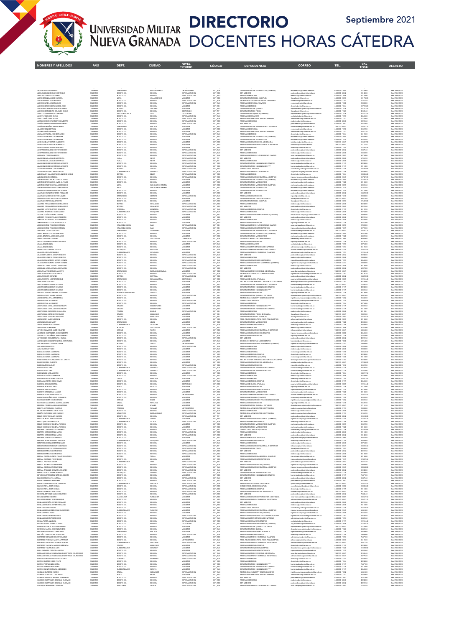

### UNIVERSIDAD MILITAR **DIRECTORIO** Septiembre 2021<br>NUEVA GRANADA DOCENTES HORAS CÁTEDRA

| ABAUNZA GALVIS ANDREA                                                                               | COLOMBIA                         | SANTANDER                                               | BUCARAMANGA                     | <b>UNIVERSITARIO</b>                                   | CAT AUX                       | DEPARTAMENTO DE MATEMATICAS (CAMPUS)                                                                | natematicas@unimilitar.edu.co                                                                           | 6500000 - 3055                                     | 7772960                       | Res 2986/2020                                   |
|-----------------------------------------------------------------------------------------------------|----------------------------------|---------------------------------------------------------|---------------------------------|--------------------------------------------------------|-------------------------------|-----------------------------------------------------------------------------------------------------|---------------------------------------------------------------------------------------------------------|----------------------------------------------------|-------------------------------|-------------------------------------------------|
| ABRIL GALEANO GIOVANNI ENRIQUE                                                                      | COLOMBIA                         | BOGOTA D.C                                              | ATODOB                          | ESPECIALIZACION                                        | CAT_ASO                       | ESP. MEDICAS                                                                                        | ost medicina@unimilitar.edu.co                                                                          | 6500000 - 2042                                     | 2414880                       | Res 2986/2020                                   |
| ABRIL GUTIERREZ LUIS DANIEL                                                                         | COLOMBIA                         | BOGOTA D.C.                                             | BOGOTA                          | <b>ESPECIALIZACION</b>                                 | CAT_ASO                       | PRECRADO MEDICINA                                                                                   | medicina@unimilitar.edu.co                                                                              | 6500000 - 2048                                     | 2012400                       | Res 2986/2020                                   |
| ACERO OMAÑA ANGGIE MARICEL                                                                          | COLOMBIA                         | META                                                    | VILLAVICENCIO                   | MAGISTER                                               | CAT ASO                       | DEPARTAMENTO FISICA (CAMPUS)                                                                        | fisica@unimilitar.edu.co                                                                                | 6500000 - 3053                                     | 12175020                      | Res 2986/2020                                   |
| ACEVEDO ARDILA GLORIA INE                                                                           | COLOMBI                          | SOGOTA D.C.                                             | ATODOR                          | <b>ESPECIALIZACION</b>                                 | CAT_AUX                       | TECNOLOGIA EN CONTABILIDAD Y TRIBUTARIA                                                             | contaduria@unimilitar.edu.co                                                                            | 650000-319                                         | 7234240                       | les 2986/2020                                   |
| ACEVEDO ARDILA GLORIA INES                                                                          | COLOMBIA                         | BOGOTA D.C                                              | BOGOTA                          | <b>ESPECIALIZACION</b>                                 | CAT_AUX                       | PREGRADO ECONOMIA (CAMPUS)                                                                          | economia@unimilitar.edu.co                                                                              | 6500000 - 1300                                     | 2308800                       | Res 2986/2020                                   |
| ACEVEDO CAJCEDO FRANCISCO JOSE                                                                      | COLOMBIA                         | BOGOTA D.C                                              | BOGOTA                          | MAGISTER                                               | CAT ASI                       | PRECRADO DERECHO                                                                                    | derecho (bunimilitar edu co                                                                             | 6500000-1244                                       | 13725520                      | Res 2986/2020                                   |
| ACEVEDO CORREDOR SERGIO ALBERTO                                                                     | COLOMBIA                         | <b>OYACA</b>                                            | DUITAM                          | MAGISTER                                               | CAT_ASO                       | DEPARTAMENTO DE QUIMICA                                                                             | partamento.quimica@unimilitar.edu.c                                                                     | 5500000 - 152                                      | 570734                        | les 2986/2020                                   |
| ACEVEDO SARMENTO ORLANDO EMILIO                                                                     | COLOMBIA                         | BOGOTA D.C                                              | BOGOTA                          | DOCTORADO                                              | CAT_TIT                       | DEPARTAMENTO DE FISICA                                                                              | faica@unimilitar.edu.co                                                                                 | 6500000 - 1523                                     | 4350540                       | Res 2986/2020                                   |
| ACOSTA GUZMAN PAOLA ANDREA<br>ACOSTA NIÑO LIBIA ELENA<br>ACOSTA NIÑO LIBIA ELENA                    | COLOMBIA<br>COLOMBI<br>COLOMBIA  | VALLE DEL CAUCA<br>BOGOTA D.C                           | CALI<br>ATODO<br>BOGOTA         | <b>DOCTORADO</b><br>ESPECIALIZACION<br>ESPECIALIZACION | CAT ASO<br>CAT_AUX<br>CAT_AUX | DEPARTAMENTO QUIMICA (CAMPUS)<br>PREGRADO CONTADURIA<br>PREGRADO ADMINISTRACION DE EMPRESAS         | secugiamento química@unimilitar.edu.co<br>contaduria@unimilitar.edu.co<br>inistracion@unimilitar.edu.co | 6500000 - 1526<br>6500000 - 1317                   | 10263240<br>463680<br>2770560 | Res 2986/2020<br>Res 2986/2020<br>Res 2986/2020 |
| ACUÑA CORDERO RANNIERY HUMBERTO<br>ACUÑA CORDERO RANNIERY HUMBERTO                                  | COLOMBIA<br>OLOMBIA              | BOGOTA D.C                                              | BOGOTA<br>nonta                 | ESPECIALIZACION<br>SPECIALIZACION                      | CAT ASO                       | PRECRADO MEDICINA                                                                                   | medicinacionesistar educan                                                                              | 6500000 - 2048<br>500000 - 204                     | 3823560<br>829760             | Res 2986/2020                                   |
| ACUÑA MONTAÑEZ NIEVES MARIA                                                                         | COLOMBIA                         | BOGOTA D.C.<br>SANTANDER                                | MALAGA                          | MAGISTER                                               | CAT_ASO<br>CAT_ASO            | ESP. MEDICAS<br>DEPARTAMENTO DE HUMANIDADES - DISTANCIA                                             | post medicina@unimilitar.edu.co<br>humanidades@unimilitar.edu.co                                        | 7480333 - 6841                                     | 12678120                      | Res 2986/2020<br>Res 2986/2020                  |
| ADAMS DUEÑAS EFRAIN                                                                                 | COLOMBIA                         | BOGOTA D.C                                              | BOGOTA                          | MAGISTER                                               | CAT ASO                       | PRECRADO ECONOMIA                                                                                   | economia@unimilitar.edu.co                                                                              | 6500000 - 1318                                     | 8552700                       | Res 2986/2020                                   |
| ADAMS DUEÑAS EFRAIP<br>AFANADOR PLATA JOSE BERNARDO                                                 | COLOMBI<br>COLOMBIA              | <b>SOGOTA Pin</b><br>BOGOTA D.C                         | BOGOTA                          | MAGISTER<br>ESPECIALIZACION                            | CAT_ASO<br>CAT_AUX            | PREGRADO ADMINISTRACION DE EMPRESAS<br>PREGRADO DERECHO                                             | dministracion@unimilitar.edu.cr<br>derecho@unimilitar.edu.co                                            | 6500000-1317<br>6500000 - 1244                     | 1647120<br>8619520            | Res 2986/2020<br>Res 2986/2020                  |
| AGUDELO CARDENAS ALEXANDER                                                                          | COLOMBIA                         | BOGOTA D.C                                              | BOGOTA                          | MAGISTER                                               | CAT ASO                       | DEPARTAMENTO DE MATEMATICAS (CAMPUS)                                                                | matematicas@unimilitar.edu.co                                                                           | 6500000 - 3055                                     | 5835960                       | Res 2986/2020                                   |
| AGUDELO CARDENAS ALEXANDER                                                                          | COLOMBIA                         | BOGOTA D.C                                              | ATODOB                          | MAGISTER                                               | CAT_ASO                       | DEPARTAMENTO DE MATEMATICAS                                                                         | natematicas@unimilitar.edu.co                                                                           | 650000-1520                                        | 8452080                       | Res 2986/2020                                   |
| AGUDELO DIAZ NESTOR HUMBERTO                                                                        | COLOMBIA                         | BOGOTA D.C                                              | BOGOTA                          | MAGISTER                                               | CAT_ASO                       | PREGRADO INGENIERIA CIVIL A DISTANCIA                                                               | iodistancia@unimilitar.edu.co                                                                           | 7480333 - 6841                                     | 13583700                      | Res 2986/2020                                   |
| AGUDELO DIAZ NESTOR HUMBERTO                                                                        | COLOMBIA                         | BOGOTA D.C                                              | BOGOTA                          | MAGISTER                                               | CAT_ASO                       | PREGRADO INGENIERIA INDUSTRIAL A DISTANCIA                                                          | idistancia@unimilitar.edu.co                                                                            | 7480333 - 6841                                     | 2716740                       | Res 2986/2020                                   |
| AGUDELO GIRALDO OSCAR ALEXIS                                                                        | COLOMBIA                         | BOGOTA D.C                                              | BOGOTA                          | MAGISTER                                               | CAT_ASO                       | PRECRADO DERECHO                                                                                    | derecho@unimilitar.edu.co                                                                               | 6500000 - 1244                                     | 11269440                      | Res 2986/2020                                   |
| AGUIRRE BERMUDEZ GUSTAVO ADOLFO                                                                     | COLOMBIA                         | BOGOTA D.C                                              | BOGOTA                          | ESPECIALIZACION                                        | CAT_AUX<br>CAT_AUX            | ESP. MEDICAS                                                                                        | ost medicina@unimilitar.edu.co                                                                          | 6500000-204                                        | 847040                        | Res 2986/2020                                   |
| AGUIRRE BERMUDEZ GUSTAVO ADOLFO                                                                     | COLOMBIA                         | BOGOTA D.C                                              | BOGOTA                          | <b>ESPECIALIZACION</b>                                 | CAT AUX                       | PRECRADO MEDICINA                                                                                   | medicina@unimilitar.edu.co                                                                              | 6500000 - 2048                                     | 1539200                       | Res 2986/2020                                   |
| AHUMADA TORRES ALBERTO                                                                              | COLOMBIA                         | BOGOTA D.C.                                             | BOGOTA                          | ESPECIALIZACION                                        |                               | PREGRADO ADMON DE LA SEGURIDAD CAMPUS                                                               | asso.campus@unimilitar.edu.co                                                                           | 6500000 - 3093                                     | 3078400                       | Res 2986/2020                                   |
| ALARCON AVILA CLAUDIA PATRICIA<br>ALARCON AVILA CLAIDIA PATRICIA<br>ALARCON CORREDOR MESIAS AUGUSTO | COLOMBIA<br>COLOMBIA<br>COLOMBIA | <b>HULA</b><br><b>HULA</b><br>BOGOTA D.C                | <b>NEIVA</b><br>NEIVA<br>BOCOTA | ESPECIALIZACION<br>ESPECIALIZACION<br>SPECIALIZACIO    | CAT_TIT<br>CAT TIT<br>CAT_ASO | ESP. MEDICAS<br>PRECRADO MEDICINA<br>DEPARTAMENTO DE HUMANIDADES CAMPUS                             | post medicina@unimilitar.edu.co<br>.<br>Naskrina Stanimilitar erlu en                                   | 6500000 - 2042<br>6500000 - 2048<br>500000-317     | 6736320<br>8280050<br>(02480) | Res 2986/2020<br>Res 2986/2020<br>les 2986/2020 |
| ALARCON CORREDOR MESIAS AUGUSTO<br>ALARCON LAVERDE CARLOS EMILIO                                    | COLOMBIA<br>COLOMBIA             | BOGOTA D.C.<br>BOYACA                                   | BOGOTA<br>CUTIVA                | <b>ESPECIALIZACION</b><br>ESPECIALIZACION              | CAT_ASO<br>CAT_ASO            | DEPARTAMENTO DE HUMANIDADES ****<br>CONSULTORIO JURIDICO                                            | manidades@unimilitar.edu.co<br>humanidades@unimilitar.edu.co<br>consultorio juridico@unimilitar.edu.cr  | 6500000-3179<br>6500000 - 1239                     | 2012400<br>17608500           | Res 2986/2020<br>Res 2986/2020                  |
| ALARCON VASQUEZ PIEDAD ROCIO<br>ALBARRACIN BALAGUERA ORLANDO DE JESUS                               | COLOMBIA<br>COLOMBIA             | <b>CUNDINAMARCA</b><br>BOYACA                           | GRARDOT<br>BELEN                | <b>ESPECIALIZACION</b><br><b>CODECULI ITACION</b>      | CAT_AUX                       | PRECRADO ADMON DE LA SECURIDAD                                                                      | seguridad.integral@unimilitar.edu.co<br>cho@unimilitar.edu.co                                           | 6500000 - 1346<br>6500000 - 1244                   | 5848960<br>13080600           | Res 2986/2020<br>Res 2986/2020                  |
| ALDANA OROZCO ANDREA                                                                                | COLOMBIA                         | BOGOTA D.C.                                             | BOGOTA                          | ESPECIALIZACION                                        | CAT_ASO<br>CAT_ASO            | PREGRADO DERECHO<br>PREGRADO INGENIERIA INDUSTRIAL (CAMPUS)                                         | ngenieria.campus@unimiltar.edu.co                                                                       | 6500000 - 3245                                     | 16702920                      | Res 2986/2020                                   |
| ALFONSO CRISTANCHO AMED ALFONSO                                                                     | COLOMBIA                         | BOGOTA D.C.                                             | BOGOTA                          | MAGISTER                                               | CAT ASO                       | DEPARTAMENTO DE MATEMATICAS (CAMPUS)                                                                | matematicas@unimilitar.edu.co                                                                           | 6500000 - 3055                                     | 11269440                      | Res 2986/2020                                   |
| ALFONSO CRISTANCHO AMED ALFONSO                                                                     | COLOMBIA                         | BOGOTA D.C.                                             | BOGOTA                          | MAGISTER                                               | CAT_ASO                       | DEPARTAMENTO DE MATEMATICAS                                                                         | matematicas@unimilitar.edu.co                                                                           | 6500000 - 1520                                     | 3018600                       | Res 2986/2020                                   |
| ALFONSO VALENCIA WILLIAM EDUARDO                                                                    | COLOMBIA                         | <b>META</b>                                             | SAN JUAN DE ARAMA               | MAGISTER                                               | CAT ASO                       | DEPARTAMENTO DE MATEMATICAS (CAMPUS)                                                                | matematicas@unimilitar.edu.co                                                                           | 6500000 - 3055                                     | 5835960                       | Res 2986/2020                                   |
| ALFONSO VALENCIA WILLIAM EDUARDO                                                                    | COLOMBIA                         | META                                                    | MARA 3D MALL MA                 | MAGISTER                                               | CAT_ASO                       | DEPARTAMENTO DE MATEMATICAS                                                                         | atematicas@unimilitar.edu.o                                                                             | 6500000 - 1520                                     | 5735340                       | les 2986/2020                                   |
| ALVARADO GAMBOA MARTHA YAJAIRA                                                                      | COLOMBIA                         | BOGOTA D.C                                              | BOGOTA                          | MAGISTER                                               | CAT_TIT                       | DEPARTAMENTO DE MATEMATICAS                                                                         | matematicas@unimilitar.edu.co                                                                           | 6500000 - 1520                                     | 4210200                       | Res 2986/2020                                   |
| ALVARADO GARZON ANDRES FERNANDO                                                                     | COLOMBIA                         | BOGOTA D.C                                              | BOGOTA                          | MAGISTER                                               | CAT_ASO                       | ESP. MEDICAS                                                                                        | post medicina@unimilitar.edu.o                                                                          | 6500000 - 2042                                     | 14489280                      | Res 2986/2020                                   |
| ALVARADO MORENO HECTOR JAVIER                                                                       | COLOMBIA                         | SANTANDER                                               | CERRITO                         | ESPECIALIZACION                                        | CAT_AUX                       | PRECRADO INCENIERIA CIVIL                                                                           | ingcivil@unimilitar.edu.co                                                                              | 6500000 - 1276                                     | 2308800                       | Res 2986/2020                                   |
| ALVARADO PUENTES KEIDY ALEJANDRA<br>ALVARADO REYES ANA CRISTINA                                     | COLOMBIA<br>COLOMBIA             | BOGOTA D.C<br>BOGOTA D.C                                | ROGOTA<br><b>ATODOB</b>         | MACISTER<br>MAGISTER                                   | CAT_ASO<br>CAT_ASO            | DEPARTAMENTO DE FISICA - DISTANCIA<br>DEPARTAMENTO FISICA (CAMPUS)                                  | a@unimilitar.edu.co<br>fisica@unimilitar.edu.co                                                         | 7480333 - 6841<br>6500000 - 3053                   | 061380<br>1760850             | Res 2986/2020<br>Res 2986/2020                  |
| ALVAREZ FERNANDEZ OSCAR MAURICIO                                                                    | COLOMBIA                         | BOYACA                                                  | SOGAMOSO                        | ESPECIALIZACION                                        | CAT ASO                       | PRECRADO MEDICINA                                                                                   | medicina@unimilitar.edu.co                                                                              | 6500000 - 2048                                     | 4024800                       | Res 2986/2020                                   |
| ALVAREZ FERNANDEZ OSCAR MAURICIO                                                                    | COLOMBIA                         | <b>BOYACA</b>                                           | SOGAMOS:                        | ESPECIALIZACION                                        | CAT_ASO                       | ESP. MEDICAS                                                                                        | post medicina@unimilitar.edu.co                                                                         | 6500000 - 2042                                     | 4829760                       | Res 2986/2020                                   |
| ALVAREZ LOPEZ GUSTAVO ERNESTO                                                                       | COLOMBIA                         | CORDOBA                                                 | <b>MONTERIA</b>                 | ESPECIALIZACION                                        | CAT AUX                       | PREGRADO DERECHO/CAMPUS)                                                                            | derecho (dunimilitar edu co                                                                             | 6500000-3199                                       | 8619520                       | Res 2986/2020                                   |
| ALVAREZ RODRIGUEZ JOSE CAMILO                                                                       | COLOMBIA                         | <b>CUNDINAMARCA</b>                                     | MOSQUERA                        | ESPECIALIZACION                                        | CAT_AUX                       | PREGRADO MEDICINA                                                                                   | medicina@unimilitar.edu.co                                                                              | 6500000 - 2048                                     | 3078400                       | Res 2986/2020                                   |
| ALZATE ACUÑA GABRIEL ANDRES                                                                         | COLOMBIA                         | BOGOTA D.C.                                             | BOGOTA                          | MAGISTER                                               | CAT_ASI                       | PRECRADO INGENIERIA MECATRONICA (CAMPUS)                                                            | mecatronica.campus@unimilitar.edu.co                                                                    | 6500000 - 3009                                     | 3709600                       | Res 2986/2020                                   |
| AMADOR PATARROYO JULIO ROBERTO                                                                      | COLOMBIA                         | BOGOTA D.C                                              | BOGOTA                          | MAGISTER                                               | CAT_ASO                       | ESP. MEDICAS                                                                                        | post medicina@unimilitar.edu.co                                                                         | 6500000 - 2042                                     | 4829760                       | Res 2986/2020                                   |
| AMADOR PATARROYO JULIO ROBERTO                                                                      | COLOMBIA                         | BOGOTA D.C                                              | BOGOTA                          | MAGISTER                                               | CAT_ASO                       | PRECRADO MEDICINA                                                                                   | medicina@unimilitar.edu.co                                                                              | 6500000 - 2048                                     | 4024800                       | Res 2986/2020                                   |
| AMAYA PEDRAZA CLAUDIA MARCELA<br>ANDRADE CRUZ FRANCISCO MIGUEL                                      | COLOMBIA                         | BOGOTA D.C                                              | ATODOB                          | MAGISTER                                               | CAT_ASO<br>CAT_ASI            | PREGRADO INGENIERIA CIVIL<br>PREGRADO INGENIERIA CIVIL<br>PREGRADO ADMON DE LA SEGURIDAD CAMPUS     | ingcivil@unimilitar.edu.co                                                                              | 6500000 - 1276                                     | 8552700                       | Res 2986/2020                                   |
| ANDRADE CRUZ FRANCISCO MIGUEL                                                                       | COLOMBIA<br>COLOMBIA             | VALLE DEL CAUCA<br>VALLE DEL CAUCA                      | CALI<br>CALL                    | ESPECIALIZACION<br>ESPECIALIZACION                     | CAT ASI                       | PRECRADO INCENIERIA MECATRONICA                                                                     | asso campus@unimilitar.edu.co<br>ingmecatronica@unimilitar.edu.co                                       | 6500000 - 3093<br>6500000 - 1279                   | 2782200<br>5378920            | Res 2986/2020<br>Res 2986/2020                  |
| ANGARITA OSCAR GONZALO                                                                              | COLOMBIA                         | SANTANDER                                               | CAPITANEJO                      | MAGISTER                                               | CAT_ASO                       | DEPARTAMENTO DE HUMANIDADES - DISTANCIA                                                             | humanidades@unimilitar.edu.co                                                                           | 7480333 - 6841                                     | 12678120                      | Res 2986/2020                                   |
| ANGEL BAUTISTA JOSE LEONARDO                                                                        | COLOMBIA                         | BOGOTA D.C                                              | BOGOTA                          | MAGISTER                                               | CAT ASO                       | DEPARTAMENTO DE MATEMATICAS (CAMPUS)                                                                | matematicas@unimilitar.edu.co                                                                           | 6500000 - 3055                                     | 8552700                       | Res 2986/2020                                   |
| ANGEL BAUTISTA JOSE LEONARDO                                                                        | COLOMBIA                         | BOGOTA D.C                                              | BOGOTA                          | MAGISTER                                               | CAT_ASO                       | DEPARTAMENTO DE MATEMATICAS                                                                         | maticas@unimilitar.edu.co                                                                               | 6500000 - 1520                                     | 5282550                       | Res 2986/2020                                   |
| ANGULO DIAZ ENA FARIDES                                                                             | COLOMBIA                         | <b>BOLIVAR</b>                                          | CARTAGENA                       | LICENCIADO                                             | CAT_AUX                       | DIVISION DE BIENESTAR UNIVERSITARIO                                                                 | bienestar@unimilitar.edu.co                                                                             | 6500000 - 1060                                     | 9696960                       | Res 2986/2020                                   |
| ANZOLA ALVAREZ GABRIEL ALFONSO                                                                      | COLOMBIA                         | BOGOTA D.C                                              | <b>ATODOB</b>                   | ESPECIALIZACION                                        | CAT_ASI                       | PRECRADO INCENIERIA CIVIL                                                                           | .<br>Ingcivil@unimilitar.edu.co                                                                         | 6500000 - 1276                                     | 5378920                       | Res 2986/2020                                   |
| APAZA NIÑO DANIEL                                                                                   | COLOMBIA                         | BOGOTA D.C                                              | BOGOTA                          | MAGISTER                                               | CAT_AUX                       | PREGRADO CONTADURIA                                                                                 | contaduria@unimilitar.edu.co                                                                            | 6500000 - 1313                                     | 3078400                       | Res 2986/2020                                   |
| APAZA NIÑO DANIEL<br>APONTE ISAZA MARIA CECILIA                                                     | COLOMBIA<br>COLOMBIA             | BOGOTA D.C<br>ANTIOQUIA                                 | BOGOTA<br>MEDELLIN              | MAGISTER<br>MAGISTER                                   | CAT_AUX<br>CAT_AUX            | PREGRADO ADMINISTRACIÓN DE EMPRESAS<br>SECCIÓN BIENESTAR UNIVERSITARIO CAMPUS                       | dministracion@unimilitar.edu.co<br>seccion.bienestan@unimilitar.edu.co                                  | 6500000 - 1317<br>6500000 - 3310                   | 8619520<br>12467520           | Res 2986/2020<br>Res 2986/2020                  |
| ARANCO JUNCA FERNANDO                                                                               | COLOMBIA                         | <b>CUNDINAMARCA</b>                                     | ZIPAQUIRA                       | MAGISTER                                               | CAT ASO                       | RRECRADO ADMON DE EMPRESAS (CAMPUS)                                                                 | administracion(bunimilitar.edu.co                                                                       | 6500000 - 1317                                     | 11269440                      | Res 2986/2020                                   |
| ARANGO PILONIETA CESAR ERNESTO                                                                      | COLOMBIA                         | BOGOTA D.C                                              | BOGOTA                          | ESPECIALIZACION                                        | CAT_AUX                       | ESP. MEDICAS                                                                                        | post medicina@unimilitar.edu.co                                                                         | 6500000 - 2042                                     | 3694080                       | Res 2986/2020                                   |
| ARANGO PILONIETA CESAR ERNESTO                                                                      | COLOMBIA                         | BOGOTA D.C                                              | BOGOTA                          | ESPECIALIZACION                                        | CAT AUX                       | PRECRADO MEDICINA                                                                                   | medicina@unimilitar.edu.co                                                                              | 6500000 - 2048                                     | 2308800                       | Res 2986/2020                                   |
| ARANGUREN MORENO JAVIER HERNAM                                                                      | COLOMBIA                         | BOGOTA D.C                                              | BOGOTA                          | ESPECIALIZACION                                        | CAT_AUX                       | PREGRADO INGENIERIA EN MULTIMEDIA                                                                   | ingmultimedia@unimilitar.edu.co                                                                         | 6500000 - 1293                                     | 4463680                       | Res 2986/2020                                   |
| ARANGUREN MORENO JAVIER HERNAM                                                                      | COLOMBIA                         | BOGOTA D.C                                              | BOGOTA                          | ESPECIALIZACION                                        | CAT_AUX                       | PRECRADO INCENIERIA DE MULTIMEDIA (CAMPUS)                                                          | ingenieria.campus@unimilitar.edu.co                                                                     | 6500000 - 3247                                     | 2308800                       | Res 2986/2020                                   |
| ARBELAEZ ARBELAEZ WILLIAM RAFAEL                                                                    | COLOMBIA                         | BOGOTA D.C                                              | BOGOTA                          | ESPECIALIZACION                                        | CAT_ASO                       | PREGRADO MEDICINA                                                                                   | edicina@unimilitar.edu.co                                                                               | 6500000 - 2048                                     | 3018600                       | Res 2986/2020                                   |
| ARBELAEZ ARBELAEZ WILLIAM RAFAEL                                                                    | COLOMBIA                         | BOGOTA D.C                                              | BOGOTA                          | <b>ESPECIALIZACION</b>                                 | CAT_ASO                       | ESP. MEDICAS                                                                                        | post medicina@unimilitar.edu.co                                                                         | 6500000 - 2042                                     | 6037200                       | Res 2986/2020                                   |
| ARDILA CASTRO CARLOS ALBERTO<br>ARDILA CHANTRE LUIS ALFREDO                                         | COLOMBIA                         | SANTANDER                                               | BARRANCABERME.JA                | MACISTER.                                              | CAT_ASO<br>CAT_AUX            | PRECRADO ADMON SEGURIDAD A DISTANCIA                                                                | sso distancia@unimilitar.edu.co                                                                         | 7480333 - 6841                                     | 8150220                       | Res 2986/2020                                   |
| ARDILA DUARTE GERARDO                                                                               | COLOMBIA<br>COLOMBIA             | BOGOTA D.C<br>BOYACA                                    | BOGOTA<br>DUITAMA               | ESPECIALIZACION<br>ESPECIALIZACION                     | CAT ASO                       | TECNOLOGIA EN ELECT Y COMUNICACIONES<br>ESP. MEDICAS                                                | vicaciones@unimilitar.edu.co<br>cout medicina@unimilitar.edu.co                                         | 6500000 - 1282<br>6500000 - 2042                   | 8619520<br>14489280           | Res 2986/2020<br>Res 2986/2020                  |
| ARDILA ESPITIA NESTOR ENRIQUE                                                                       | COLOMBIA                         | SANTANDER                                               | BUCARAMANGA                     | DOCTORADO                                              | CAT_ASO                       | PREGRADO BIOLOGIA APLICADA                                                                          | programa.biologia@unimilitar.edu.co                                                                     | 6500000 - 3085                                     | 11269440                      | Res 2986/2020                                   |
| ARDILA ROA GUSTAVO                                                                                  | COLOMBIA                         | BOGOTA D.C.                                             | BOGOTA                          | MAGISTER                                               | CAT AUX                       | TEC. EN GESTION Y PRODUCCION HORTICOLA CAMPUS                                                       | lecnologia.horticultura@unimilitar.edu.co                                                               | 6500000-3183                                       | 3078400                       | Res 2986/2020                                   |
| AREIZA ARENAS CESAR DE JESUS                                                                        | COLOMBIA                         | BOGOTA D.C                                              | BOGOTA                          | MAGISTER                                               | CAT_ASO                       | DEPARTAMENTO DE HUMANIDADES - DISTANCIA                                                             | umanidades@unimilitar.edu.co                                                                            | 7480333 - 6841                                     | 7244640                       | Res 2986/2020                                   |
| AREIZA ARENAS CESAR DE JESUS                                                                        | COLOMBIA                         | BOGOTA D.C                                              | BOGOTA                          | MAGISTER                                               | CAT_ASO                       | DEPARTAMENTO DE HUMANIDADES CAMPUS                                                                  | humanidades@unimilitar.edu.co                                                                           | 6500000-3179                                       | 4024800                       | Res 2986/2020                                   |
| AREIZA ARENAS CESAR DE JESUS                                                                        | COLOMBIA                         | BOGOTA D.C                                              | BOGOTA                          | MAGISTER                                               | CAT_ASO                       | DEPARTAMENTO DE HUMANIDADES ****                                                                    | humanidades@unimilitar.edu.co                                                                           | 6500000-317                                        | 5835960                       | Res 2986/2020                                   |
| AREVALO TAMARA ANDREA STEFANNIA                                                                     | COLOMBIA                         | NORTE DE SANTANDER                                      | <b>CUCUTA</b>                   | MAGISTER                                               | CAT_ASO                       | PRECRADO INCENIERIA CIVIL                                                                           | ingcivil@unimilitar.edu.co                                                                              | 6500000 - 1276                                     | 3018600                       | Res 2986/2020                                   |
| ARIAS CAICEDO DANIEL ARTURO<br>ARIAS CEPEDA WILLIAM GERMAN                                          | COLOMBIA<br>COLOMBIA             | BOGOTA D.C<br>BOGOTA D.C.                               | BOGOTA<br>BOGOTA                | <b>FRPECIALIZACION</b><br>MAGISTER                     | CAT_ASI<br>CAT_ASO            | DEPARTAMENTO DE QUIMICA - DISTANCIA<br>TECNOLOGIA EN ELECT Y COMUNICACIONES                         | irtamento.química@unimilitar.edu.co<br>ingtelecomunicaciones@unimilitar.edu.co                          | 7480333 - 6841<br>650000 - 1282                    | 5007060<br>9458280            | Res 2986/2020<br>Res 2986/2020                  |
| ARIAS OSPINA ALEJANDRO                                                                              | COLOMBIA                         | BOGOTA D.C                                              | BOGOTA                          | ESPECIALIZACION                                        | CAT AUX                       | CONSULTORIO JURIDICO                                                                                | consultorio.iuridico@unimilitar.edu.co                                                                  | 6500000 - 1239                                     | 10004800                      | Res 2986/2020                                   |
| ARIAS OSPINA ALEJANDRO                                                                              | COLOMBIA                         | BOGOTA D.C                                              | BOGOTA                          | ESPECIALIZACION                                        | CAT_AUX                       | PREGRADO DERECHO                                                                                    | derecho (čunimilitar.edu.co                                                                             | 6500000 - 1244                                     | 3078400                       | Res 2986/2020                                   |
| ARISTIZABAL CEBALLOS DIEGO FELIPE                                                                   | COLOMBIA                         | CALDAS                                                  | MANZANARES                      | MAGISTER                                               | CAT ASO                       | DEPARTAMENTO DE HUMANIDADES ****                                                                    | humanidades@unimilitar.edu.co                                                                           | 6500000-3179                                       | 5835960                       | Res 2986/2020                                   |
| ARISTIZABAL CEBALLOS DIEGO FELIPE                                                                   | COLOMBIA                         | CALDAS                                                  | MANZANARES                      | MAGISTER                                               | CAT_ASO                       | DEPARTAMENTO DE HUMANIDADES CAMPUS                                                                  | manidades@unimilitar.edu.co                                                                             | 6500000 - 3179                                     | 2012400                       | Res 2986/2020                                   |
| ARISTIZABAL SAAVEDRA OLGA LUCIA                                                                     | COLOMBIA                         | <b>TOLIMA</b>                                           | <b>IBAGUE</b>                   | ESPECIALIZACION                                        | CAT_ASI                       | PRECRADO MEDICINA                                                                                   | medicina@unimilitar.edu.co                                                                              | 6500000 - 2048                                     | 881030                        | Res 2986/2020                                   |
| ARISTIZABAL SOTO HECTOR DARIO                                                                       | COLOMBIA                         | CALDAS                                                  | MANIZALES                       | MAGISTER                                               | CAT_ASI                       | DEPARTAMENTO DE FISICA - DISTANCIA                                                                  | fisica@unimilitar.edu.co                                                                                | 7480333 - 6841                                     | 2503980                       | Res 2986/2020                                   |
| ARISTIZABAL SOTO HECTOR DARIO                                                                       | COLOMBIA                         | CALDAS                                                  | MANIZALES                       | MAGISTER                                               | CAT_ASI                       | DEPARTAMENTO FISICA (CAMPUS)                                                                        | fisica@unimilitar.edu.co                                                                                | 6500000 - 3053                                     | 13725520                      | Res 2986/2020                                   |
| ARIZA GIRON JAIME JOAQUIN                                                                           | COLOMBIA                         | BOGOTA D.C                                              | <b>BOGOTA</b>                   | MAGISTER                                               | CAT_ASO<br>CAT_ASO            | PREG. RELACIONES INTERN. Y EST. POL.(CAMPUS)<br>DEPARTAMENTO DE MATEMATICAS                         | reintemal@unimilitar.edu.co                                                                             | 6500000 - 3033                                     | 1018600                       | Res 2986/2020                                   |
| ARIZA NIEVES LUZ MARY<br>ARIZA TRIANA HUGO LIZARDO                                                  | COLOMBIA<br>COLOMBIA             | SANTANDER<br><b>CUNDINAMARCA</b>                        | VELEZ<br>LA PALMA               | MAGISTER<br>MAGISTER                                   | CAT AUX                       | PREGRADO DERECHO/CAMPUS)                                                                            | natematicas@unimilitar.edu.co<br>derecho@unimilitar.edu.co                                              | 6500000 - 1520<br>6500000-3199                     | 4030380<br>5848960            | Res 2986/2020<br>Res 2986/2020                  |
| ARRETA ORTIZ MARIBEL                                                                                | COLOMBIA                         | <b>BOLIVAR</b>                                          | CARTAGENA                       | ESPECIALIZACION                                        | CAT_ASO                       | PRECRADO MEDICINA                                                                                   | medicina@unimilitar.edu.co                                                                              | 6500000 - 2048                                     | 5031000                       | Res 2986/2020                                   |
| ARTURO CALVACHE JAIME EDUARDO                                                                       | COLOMBIA                         | NARINO                                                  | PASTO                           | MAGISTER                                               | CAT ASO                       | PREGRADO INGENIERIA INDUSTRIAL A DISTANCIA                                                          | idistancia@unimilitar.edu.co                                                                            | 7480333 - 6841                                     | 5433480                       | Res 2986/2020                                   |
| ASCENCIO CASTAÑEDA JORGE ALBERTO                                                                    | COLOMBIA                         | BOGOTA D.C                                              | BOGOTA                          | MAGISTER                                               | CAT_AUX                       | PREGRADO INGENIERIA CIVIL(CAMPUS)                                                                   | ngenieria.campus@unimilitar.edu.co                                                                      | 6500000 - 3008                                     | 4463680                       | Res 2986/2020                                   |
| ASCENCIO CASTAÑEDA JORGE ALBERTO                                                                    | COLOMBIA                         | BOGOTA D.C                                              | BOGOTA                          | MAGISTER                                               | CAT_AUX                       | PRECRADO INCENIERIA CIVIL                                                                           | ingcivil@unimilitar.edu.co                                                                              | 6500000 - 1276                                     | 1539200                       | Res 2986/2020                                   |
| ASTORQUIZA CHAVEZ MARIA HELENA                                                                      | COLOMBIA                         | BOGOTA D.C                                              | BOGOTA                          | ESPECIALIZACION                                        | CAT_ASO                       | ESP. MEDICAS                                                                                        | ost.medicina@unimilitar.edu.co                                                                          | 6500000 - 2042                                     | 4829760                       | Res 2986/2020                                   |
| AVENDAÑO BOCANEGRA NORMA CONSTANZA                                                                  | COLOMBIA                         | BOGOTA D.C.                                             | BOGOTA                          | MAGISTER                                               | CAT_AUX                       | DIVISION DE BIENESTAR UNIVERSITARIO                                                                 | bienestar@unimilitar.edu.co                                                                             | 6500000 - 1060                                     | 6926400                       | Res 2986/2020                                   |
| AVILA BUITRAGO SANDRA YAMILE<br>AVILA NIETO MARITZA                                                 | COLOMBIA<br>COLOMBIA             | BOYACA<br>BOGOTA D.C                                    | TUNJA<br>BOGOTA                 | <b>UNIVERSITARI</b><br>ESPECIALIZACION                 | CAT_AUX<br>CAT_AUX            | PREGRADO INGENIERIA DE MULTIMEDIA (CAMPUS)<br>PREGRADO MEDICINA                                     | ngenieria.campus@unimilitar.edu.co<br>medicina@unimilitar.edu.cc                                        | 6500000 - 3247<br>6500000 - 2048                   | 2308800<br>1539200            | Res 2986/2020<br>Res 2986/2020                  |
| AVILES LEE SANTIAGO                                                                                 | COLOMBIA                         | BOGOTA D.C                                              | BOGOTA                          | MAGISTER                                               | CAT AUX                       | PRECRADO MEDICINA                                                                                   | medicina@unimilitar.edu.co                                                                              | 6500000 - 2048                                     | 2308800                       | Res 2986/2020                                   |
| BALCAZAR DAZA ANA MARU                                                                              | COLOMBIA                         | BOGOTA D.C                                              | BOGOTA                          | MAGISTER                                               | CAT_ASO                       | PRECRADO ECONOMIA                                                                                   | economia@unimilitar.edu.co                                                                              | 6500000 - 1318                                     | 10363860                      | Res 2986/2020                                   |
| BALCAZAR DAZA ANA MARIA                                                                             | COLOMBIA                         | BOGOTA D.C                                              | BOGOTA                          | MAGISTER                                               | CAT ASO                       | PREGRADO DERECHO/CAMPUS)                                                                            | derecho@unimilitar.edu.co                                                                               | 6500000-3199                                       | 4024800                       | Res 2986/2020                                   |
| BALCAZAR DAZA ANA MARIA                                                                             | COLOMBIA                         | BOGOTA D.C                                              | BOGOTA                          | MAGISTER                                               | CAT_ASO                       | PREGRADO ECONOMIA (CAMPUS)                                                                          | conomia@unimilitar.edu.co                                                                               | 6500000 - 1300                                     | 2012400                       | Res 2986/2020                                   |
| BANDA SANCHEZ LAGUANDIO DEL CRISTO                                                                  | COLOMBIA                         | BOGOTA D.C                                              | BOGOTA                          | MAGISTER                                               | CAT_ASO                       | TEC. EN GESTION Y PRODUCCION HORTICOLA CAMPUS                                                       | tecnologia.horticultura@unimilitar.edu.cc                                                               | 6500000 - 3183                                     | 4024800                       | Res 2986/2020                                   |
| BAQUERO VEGA ALBERTO                                                                                | COLOMBIA                         | BOGOTA D.C                                              | BOGOTA                          | MAGISTER                                               | CAT_ASO                       | PREGRADO INGENIERIA CIVIL A DISTANCIA                                                               | edistancia@unimilitar.edu.co                                                                            | 7480333 - 6841                                     | 17206020                      | Res 2986/2020                                   |
| BARBOSA ROCHA ELSY<br>BARCO CALVO YIM!<br>BARCO CALVO YIM                                           | COLOMBIA<br>COLOMBIA             | BOGOTA D.C.<br><b>CUNDINAMAR</b><br><b>CUNDINAMARCA</b> | BOGOTA<br>CRAPDO®               | ESPECIALIZACION<br><b>CODECULI ITACION</b>             | CAT_ASO<br>CAT_AUX<br>CAT_AUX | PRECRADO INCENIERIA CIVIL<br>DEPARTAMENTO DE HUMANIDADES CAMPUS<br>DEPARTAMENTO DE HUMANIDADES **   | ingcivil@unimilitar.edu.co<br>.<br>humanidades@unimilitar.edu.co<br>humanidades@unimilitar.edu.co       | 6500000 - 1276<br>6500000-3170                     | 8552700<br>4463680            | Res 2986/2020<br>Res 2986/2020                  |
| BARON BAEZ LUIS ALBERTO<br>BARON CASTAÑEDA GERMAN                                                   | COLOMBIA<br>COLOMBIA             | BOGOTA D.C.<br>BOGOTA D.C.                              | GIRARDO'<br>BOGOTA              | <b>ESPECIALIZACION</b><br><b>MAGISTER</b>              | CAT ASO                       | PRECRADO DERECHO<br>PREGRADO MEDICINA                                                               | derecho@unimilitar.edu.co                                                                               | 6500000-317<br>6500000 - 1244                      | 1539200<br>14891760           | Res 2986/2020<br>Res 2986/2020                  |
| RARONA GARCIA FRIKA VANESSA                                                                         | COLOMBIA<br>COLOMBIA             | CAUCA                                                   | BOGOTA<br>POPAYAN               | ESPECIALIZACION<br>MAGISTER                            | CAT_ASO<br>CAT ASO            | PREGRADO DERECHO                                                                                    | medicina@unimilitar.edu.co<br>denomination in the party of the                                          | 6500000 - 2048<br>6500000 - 1244                   | 4024800<br>14891760           | Res 2986/2020<br>Res 2986/2020                  |
| BARRAGAN FERRO DIEGO DAVID<br>BARRERA BAILON BIVIANA<br>BARRERA HURTADO ABEL                        | COLOMBIA<br>COLOMBIA             | BOGOTA D.C<br>BOGOTA D.C.                               | BOGOTA<br>BOGOTA                | MAGISTER<br>DOCTORADO<br>MAGISTER                      | CAT_AUX<br>CAT_ASO            | PREGRADO DERECHO(CAMPUS)<br>PREGRADO BIOLOGIA APLICADA                                              | derecho@unimilitar.edu.co<br>programa.biologia@unimilitar.edu.co<br>ingcivil@unimilitar.edu.co          | 6500000-3199<br>6500000 - 3085                     | 4463680<br>11260440           | Res 2986/2020<br>Res 2986/2020                  |
| <b>BARRERA PRIETO FABIAN</b><br>BARRETO ARCINIEGAS LILIANA                                          | COLOMBIA<br>COLOMBIA<br>COLOMBIA | HULA<br>BOGOTA D.C<br>BOGOTA D.C                        | PITALITO<br>BOGOTA<br>ROCOTA    | MAGISTER<br>MAGISTER                                   | CAT_TIT<br>CAT_AUX            | PRECRADO INGENIERIA CIVIL<br>PRECRADO INGENIERIA MECATRONICA                                        | ingmecatronica@unimilitar.edu.co                                                                        | 6500000 - 1276<br>6500000 - 1279<br>6500000 - 1520 | 4210200<br>3078400<br>nnasmr  | Res 2986/2020<br>Res 2986/2020                  |
| BARRIGA SILVA JAIME ALBERTO<br>RARBIOS ORDOÑEZ, IESI IS EERNAMDO                                    | COLOMBIA<br>COLOMBIA             | BOGOTA D.C<br>BOGOTA D.C                                | BOGOTA<br>BOGOTA                | <b>UNIVERSITARIO</b><br>MAGISTER                       | CAT_ASO<br>CAT_AUX<br>CAT ASO | DEPARTAMENTO DE MATEMATICAS<br>SÉCCION BIENESTAR UNIVERSITARIO CAMPUS<br>PREGRADO ECONOMIA (CAMPUS) | maticas@unimilitar.edu.co<br>seccion.bienestan@unimilitar.edu.co<br>conomia@unimilitar.edu.co           | 6500000 - 3310<br>6500000 - 1300                   | 12467520<br>8452080           | Res 2986/2020<br>Res 2986/2020<br>Res 2986/2020 |
| BASTIDAS MORA HENRY ARTURO<br>AUTIONS CALLABANCA MARTINA                                            | COLOMBIA                         | NARINO<br>ALCA.                                         | <b>MUES</b>                     | MAGISTER                                               | CAT_ASO                       | PREGRADO INGENIERIA DE TELECOMUNICACIONES                                                           | ngte                                                                                                    | 6500000 - 1282                                     | 5835960                       | Res 2986/2020                                   |
| BECERRA FIGUEROA LILIANA MARCELA                                                                    | COLOMBIA                         | NARINO                                                  | PIALES                          | MAGISTER                                               | CAT_ASO                       | DEPARTAMENTO DE QUIMICA - DISTANCIA                                                                 | departamento quimica@unimilitar.edu.co                                                                  | 7480333 - 6841                                     | 2716740                       | Res 2986/2020                                   |
| BEDOYA YEPES PAOLA CLARENA                                                                          | PANAMA                           | PANAMA                                                  | PANAMA                          | <b>UNIVERSITARIO</b>                                   | CAT_AUX                       | TECNOLOGIA ATENCION PRE HOSPITALARIA                                                                | medicina.social@unimilitar.edu.co                                                                       | 6500000-3197                                       | 2308800                       | Res 2986/2020                                   |
| BEJARANO HERRERA ERICK YESID                                                                        | COLOMBIA                         | BOGOTA D.C                                              | ATODOR                          | ESPECIALIZACION                                        | CAT_AUX                       | PREGRADO MEDICINA                                                                                   | medicina@unimilitar.edu.co                                                                              | 6500000 - 2048                                     | 3078400                       | Res 2986/2020                                   |
| BELEÑO GUTIERREZ LUIS ENRIQUE                                                                       | COLOMBIA                         | ATLANTICO                                               | BARRANQUILLA                    | <b>ESPECIALIZACION</b>                                 | CAT_AUX                       | TECNOLOGIA ATENCION PRE HOSPITALARIA                                                                | medicina.social@unimilitar.edu.co                                                                       | 6500000-3197                                       | 5156320                       | Res 2986/2020                                   |
| BELLO GUALTERO JUAN MANUEL<br>BELLO MURCIA JOSE BENJAMIN                                            | COLOMBIA<br>COLOMBIA             | BOGOTA D.C<br><b>CUNDINAMARCA</b>                       | <b>ATODOB</b><br>COGUA          | ESPECIALIZACION<br>MAGISTER                            | CAT_TIT<br>CAT_ASO            | ESP. MEDICAS<br>PREGRADO INGENIERIA INDUSTRIAL (CAMPUS)                                             | ost medicina@unimilitar.edu.co<br>ngenieria.campus@unimilitar.edu.co                                    | 6500000 - 2042<br>6500000 - 3245                   | 1852488<br>11260440           | Res 2986/2020<br>Res 2986/2020                  |
| BELLO OUINTANA ANGELICA                                                                             | COLOMBIA                         | <b>CUNDINAMARCA</b>                                     | CAICA                           | ESPECIALIZACION                                        | CAT AUX                       | PREGRADO DERECHO/CAMPUS)                                                                            | derecho@unimilitar.edu.co                                                                               | 6500000-3199                                       | 3078400                       | Res 2986/2020                                   |
| BELLO RODRIGUEZ SANDRA PATRICIA                                                                     | COLOMBIA                         | BOGOTA D.C                                              | BOGOTA                          | MAGISTER                                               | CAT_ASO                       | DEPARTAMENTO DE MATEMATICAS (CAMPUS)                                                                | matematicas@unimilitar.edu.co                                                                           | 6500000 - 3055                                     | 8552700                       | Res 2986/2020                                   |
| BELLO RODRIGUEZ SANDRA PATRICIA                                                                     | COLOMBIA                         | BOGOTA D.C.                                             | BOGOTA                          | <b>MAGISTER</b>                                        | CAT ASO                       | DEPARTAMENTO DE MATEMATICAS                                                                         | matematicas@unimilitar.edu.co                                                                           | 6500000 - 1520                                     | 3018600                       | Res 2986/2020                                   |
| BELTRAN CARDENAS LADY ANDREA                                                                        | COLOMBIA                         | BOGOTA D.C                                              | BOGOTA                          | ESPECIALIZACION                                        | CAT_ASI                       | CONSULTORIO JURIDICO(CAMPUS)                                                                        | nsultorio.juridico@unimilitar.edu.co                                                                    | 6500000 - 3206                                     | 1622950                       | Res 2986/2020                                   |
| BELTRAN DIMAS CAMILA MARIA                                                                          | COLOMBIA                         | BOGOTA D.C                                              | BOGOTA                          | ESPECIALIZACION                                        | CAT_ASO                       | PRECRADO MEDICINA                                                                                   | medicina@unimilitar.edu.co                                                                              | 6500000 - 2048                                     | 2012400                       | Res 2986/2020                                   |
| BELTRAN DIMAS CAMILA MARIA                                                                          | COLOMBIA                         | BOGOTA D.C                                              | BOGOTA                          | ESPECIALIZACION                                        | CAT_ASO                       | ESP. MEDICAS                                                                                        | post medicina@unimilitar.edu.co                                                                         | 6500000 - 2042                                     | 2414880                       | Res 2986/2020                                   |
| BELTRAN FORERO LUIS ERNESTO<br>BELTRAN MONCADA MARTHA LUCI.                                         | COLOMBIA<br>COLOMBIA             | BOGOTA D.C<br>CUNDINAMARO                               | BOGOTA                          | MAGISTER<br><b>ESPECIALIZACIÓN</b>                     | CAT_ASO                       | PREGRADO BIOLOGIA APLICADA<br>PREGRADO DERECHO(CAMPUS)                                              | programa.biologia@unimilitar.edu.co<br>ho@unimilitar.edu.co                                             | 6500000 - 3085<br>6500000-3199                     | 4930380<br>5848960            | Res 2986/2020<br>Res 2986/2020                  |
| BENITEZ CARDENAS GERMAN DARIO                                                                       | COLOMBIA                         | BOGOTA D.C                                              | ZIPAQUIRA<br>BOGOTA             | MAGISTER                                               | CAT_AUX<br>CAT_AUX            | PRECRADO MEDICINA                                                                                   | medicina@unimilitar.edu.co                                                                              | 6500000 - 2048                                     | 3078400                       | Res 2986/2020                                   |
| BERDUGO ROMERO EDWING OSWALDO                                                                       | COLOMBIA                         | BOGOTA D.C.                                             | BOGOTA                          | ESPECIALIZACION                                        | CAT TIT                       | PREGRADO INGENIERIA INDUSTRIAL A DISTANCIA                                                          | idistancia@unimilitar.edu.co                                                                            | 7480333 - 6841                                     | 13893660                      | Res 2986/2020                                   |
| BERMUDEZ CORTES RODRIGO ALONSO                                                                      | COLOMBIA                         | BOGOTA D.C                                              | BOGOTA                          | ESPECIALIZACION                                        | CAT_AUX                       | DEPARTAMENTO DE FISICA                                                                              | fisica@unimilitar.edu.co                                                                                | 6500000 - 1523                                     | 4463680                       | Res 2986/2020                                   |
| BERMUDEZ MELENDEZ RODRIGO                                                                           | COLOMBIA                         | BOGOTA D.C                                              | BOGOTA                          | ESPECIALIZACION                                        | CAT ASO                       | ESP. MEDICAS                                                                                        | post medicina@unimilitar.edu.co                                                                         | 6500000-2042                                       | 4829760                       | Res 2986/2020                                   |
| BERMUDEZ MELENDEZ RODRIGO                                                                           | COLOMBIA                         | BOGOTA D.C.                                             | BOGOTA                          | ESPECIALIZACION                                        | CAT_ASO                       | PREGRADO MEDICINA                                                                                   | edicina@unimilitar.edu.co                                                                               | 6500000 - 2048                                     | 3018600                       | Res 2986/2020                                   |
| BERNAL CASTELBLANCO FRANCISCO JAVIER                                                                | COLOMBIA                         | BOYACA                                                  | TUNJA                           | MAGISTER                                               | CAT_ASO                       | PRECRADO INGENIERIA AMBIENTAL (CAMPUS)                                                              | ing.ambiental@unimilitar.edu.co                                                                         | 6500000 - 3008                                     | 3018600                       | Res 2986/2020                                   |
| BERNAL CASTILLO FREDY DAVID                                                                         | COLOMBIA                         | BOGOTA D.C.                                             | BOGOTA                          | MAGISTER                                               | CAT_ASO                       | PREGRADO INGENIERIA MECATRONICA                                                                     | .<br>ngmecatronica@unimilitar.edu.co                                                                    | 6500000 - 1279                                     | 17407260                      | Res 2986/2020                                   |
| BERNAL PACHECO OSCAR                                                                                | COLOMBIA                         | <b>CUNDINAMARCA</b>                                     | CHIA                            | ESPECIALIZACION                                        | CAT_ASI                       | ESP. MEDICAS                                                                                        | cost medicina@unimilitar.edu.co                                                                         | 6500000 - 2042                                     | 4451520                       | Res 2986/2020                                   |
| BERNAL RODRIGUEZ OMAR RENI                                                                          | COLOMBIA                         | BOGOTA D.C.                                             | BOGOTA                          | <b>ESPECIALIZACIÓN</b>                                 | CAT_AUX                       | PRECRADO INGENIERIA CIVILICAMPUS)                                                                   | spenieria.campus@unimilitar.edu.co                                                                      | 6500000 - 3008                                     | 2308800                       | Res 2986/2020                                   |
| BERNAL RODRIGUEZ OMAR RENE                                                                          | COLOMBIA                         | BOGOTA D.C                                              | BOGOTA                          | <b>ESPECIALIZACION</b>                                 | CAT_AUX                       | PREGRADO INGENIERIA INDUSTRIAL (CAMPUS)                                                             | ingenieria.campus@unimilitar.edu.co                                                                     | 6500000 - 3245                                     | 10004800                      | Res 2986/2020                                   |
| BERNAL TRUJILLO GERMAN LEONARDO                                                                     | COLOMBIA                         | BOGOTA D.C                                              | BOGOTA                          | ESPECIALIZACION                                        | CAT AUX                       | ESP. MEDICAS                                                                                        | cost medicina@unimilitar.edu.co                                                                         | 6500000 - 2042                                     | 3694080                       | Res 2986/2020                                   |
| BERRIO ZAPATA HENRY ALBERTO                                                                         | COLOMBIA                         | ANTIOQUIA                                               | GUARNI                          | ESPECIALIZACION                                        | CAT_AUX                       | DEPARTAMENTO DE HUMANIDADES ***                                                                     | humanidades@unimilitar.edu.co                                                                           | 6500000-3179                                       | 5848960                       | Res 2986/2020                                   |
| BETANCOURT RAMIREZ MARISOL EDILMA                                                                   | COLOMBIA                         | BOGOTA D.C                                              | BOGOTA                          | <b>MAGISTER</b>                                        | CAT ASO                       | DEPARTAMENTO DE HUMANIDADES CAMPUS                                                                  | humanidades@unimilitar.edu.co                                                                           | 6500000-3179                                       | 7647120                       | Res 2986/2020                                   |
| BLACKBURN VILLOTA NATALIA                                                                           | COLOMBIA                         | BOGOTA D.C                                              | BOGOTA                          | ESPECIALIZACIÓN                                        | CAT_AUX                       | ESP. MEDICAS                                                                                        | post medicina@unimilitar.edu.co                                                                         | 6500000 - 2042                                     | 1847040                       | Res 2986/2020                                   |
| BLANCO FERREIRA KAROLYNA                                                                            | COLOMBIA                         | BOGOTA D.C                                              | BOGOTA                          | ESPECIALIZACION                                        | CAT_ASO                       | ESP. MEDICAS                                                                                        | post medicina@unimilitar.edu.co                                                                         | 6500000 - 2042                                     | 4829760                       | Res 2986/2020                                   |
| BLANCO ORTEGON OSCAR OSWALDO                                                                        | COLOMBIA                         | CUNDINAMARO                                             | SMIJACA                         | ESPECIALIZACION                                        | CAT_AUX                       | PREGRADO CONTADURIA A DISTANCIA                                                                     | cpdistancia@unimilitar.edu.co                                                                           | 7480333 - 6841                                     | 12467520                      | Res 2986/2020                                   |
| BLANCO PEÑA ROSA CECILIA                                                                            | COLOMBIA                         | BOGOTA D.C.                                             | BOGOTA                          | <b>ESPECIALIZACION</b>                                 | CAT_ASO                       | CONSULTORIO JURIDICO(CAMPUS)                                                                        | consultorio juridico@unimilitar.edu.co                                                                  | 6500000 - 3206                                     | 13080600                      | Res 2986/2020                                   |
| BLANCO PEÑA ROSA CECILIA                                                                            | COLOMBIA                         | BOGOTA D.C                                              | BOGOTA                          | ESPECIALIZACION                                        | CAT_ASO                       | PREGRADO DERECHO(CAMPUS)                                                                            | derecho@unimilitar.edu.co                                                                               | 6500000-3199                                       | 2012400                       | Res 2986/2020                                   |
| BLANCO ROMERO JOSE PEDRO                                                                            | COLOMBIA                         | BOGOTA D.C                                              | BOGOTA                          | <b>ESPECIALIZACION</b>                                 | CAT_AUX                       | PREGRADO INGENIERIA CIVIL A DISTANCIA                                                               | iodistancia@unimilitar.edu.co                                                                           | 7480333 - 6841                                     | 8311680                       | Res 2986/2020                                   |
| BOHOROUEZ YUNIS CARLOS EDUARDO                                                                      | COLOMBIA                         | BOGOTA D.C                                              | BOGOTA                          | ESPECIALIZACION                                        | CAT ASO                       | ESP. MEDICAS                                                                                        | cost medicina@unimilitar.edu.co                                                                         | 6500000 - 2042                                     | 7244640                       | Res 2986/2020                                   |
| BOLAÑO LOPEZ FABRIZIO                                                                               | COLOMBIA                         | MAGDALEN                                                | <b>FUNDACION</b>                | MAGISTER                                               | CAT_ASO                       | PREGRADO INGENIERIA INFORMATICA A DISTANCIA                                                         | informatica.distancia@unimilitar.edu.co                                                                 | 6500000 - 8001                                     | 1086696                       | Res 2986/2020                                   |
| BOLIVAR RAMIREZ JORGE ENRIQUE                                                                       | COLOMBIA                         | BOGOTA D.C.                                             | BOGOTA                          | MAGISTER                                               | CAT ASO                       | PREGRADO ADMON DE EMPRESAS A DISTANCIA                                                              | admon.distancia@unimilitar.edu.co                                                                       | 7480333 - 6841                                     | 12678120                      | Res 2986/2020                                   |
| BONILLA BRICEÑO JAVIER FERNANDO                                                                     | COLOMBIA                         | BOGOTA D.C                                              | BOGOTA                          | MAGISTER                                               | CAT_ASO                       | ESP. MEDICAS                                                                                        | post medicina@unimilitar.edu.co                                                                         | 6500000 - 2042                                     | 4829760                       | Res 2986/2020                                   |
| BONILLA BRICEÑO JAVIER FERNANDO                                                                     | COLOMBIA                         | BOGOTA D.C                                              | BOGOTA                          | MAGISTER                                               | CAT_ASO                       | PRECRADO MEDICINA                                                                                   | medicina@unimilitar.edu.co                                                                              | 6500000 - 2048                                     | 2012400                       | Res 2986/2020                                   |
| BONILLA CORREA MABEL                                                                                | COLOMBIA                         | BOGOTA D.C                                              | BOGOTA                          | MAGISTER                                               | CAT_ASO                       | CONSULTORIO JURIDICO                                                                                | consultorio juridico@unimilitar.edu.cr                                                                  | 6500000 - 1231                                     | 16702920                      | Res 2986/2020                                   |
| BONILLA HERNANDEZ CESAR ALEXANDER                                                                   | COLOMBIA                         | <b>CUNDINAMARCA</b>                                     | FUQUENE                         | MAGISTER                                               | CAT_AUX                       | PRECRADO INGENIERIA INDUSTRIAL (CAMPUS)                                                             | ingenieria.campus@unimilitar.edu.co                                                                     | 6500000 - 3245                                     | 6541600                       | Res 2986/2020                                   |
| BONILLA PEREZ AMED                                                                                  | COLOMBIA                         | BOGOTA D.C.                                             | BOGOTA                          | MAGISTER                                               | CAT_ASO                       | PREGRADO INGENIERIA CIVIL (CAMPUS)                                                                  | nieria.campus@unimilitar.edu.o                                                                          | 6500000 - 3008                                     | 9458280                       | Res 2986/2020                                   |
| BONILLA RINCON PEDRO LUCIO                                                                          | COLOMBIA                         | BOGOTA D.C                                              | BOGOTA                          | <b>ESPECIALIZACION</b>                                 | CAT_AUX                       | PRECRADO INGENIERIA DE TELECOMUNICACIONES                                                           | ingtelecomunicaciones@unimilitar.edu.co                                                                 | 6500000 - 1282                                     | 4463680                       | Res 2986/2020                                   |
| BONILLA RINCON PEDRO LUCIO                                                                          | COLOMBIA                         | BOGOTA D.C                                              | <b>BOGOTA</b>                   | ESPECIALIZACION                                        | CAT AUX                       | PREGRADO ADMINISTRACION DE EMPRESAS                                                                 | administracion@unimilitar.edu.co                                                                        | 6500000 - 1317                                     | 5848960                       | Res 2986/2020                                   |
| BORJA PARRA ANA ELSA                                                                                | COLOMBIA                         | BOGOTA D.C                                              | BOGOTA                          | ESPECIALIZACION                                        | CAT_ASO                       | PREGRADO CONTADURIA(CAMPUS)                                                                         | contaduria@unimilitar.edu.co                                                                            | 6500000-3191                                       | 11269440                      | Res 2986/2020                                   |
| BOTERO ROSAS DANIEL ALFONSO                                                                         | COLOMBIA                         | BOGOTA D.C                                              | BOGOTA                          | DOCTORADO                                              | CAT ASO                       | PREGRADO INGENIERIA BIOMEDICA (CAMPUS)                                                              | ing biomedica@unimilitar.edu.co                                                                         | 6500000 - 3008                                     | 11269440                      | Res 2986/2020                                   |
| BOURDON GARCIA JOSE ALEJANDRO                                                                       | COLOMBIA                         | BOGOTA D.C                                              | BOGOTA                          | MAGISTER                                               | CAT_AUX                       | DEPARTAMENTO DE QUIMICA - DISTANCIA                                                                 |                                                                                                         | 7480333 - 6841                                     | 2770560                       | Res 2986/2020                                   |
| BOURDON GARCIA JOSE ALEJANDRO                                                                       | COLOMBIA                         | BOGOTA D.C                                              | BOGOTA                          | MAGISTER                                               | CAT_AUX                       | DEPARTAMENTO DE QUIMICA                                                                             | departamento quimica@unimilitar.edu.co<br>departamento quimica@unimilitar.edu.co                        | 6500000 - 1526                                     | 5848960                       | Res 2986/2020                                   |
| BRAVO HIGUERA DIEGO FERNANDO                                                                        | COLOMBIA                         | <b>SANTANDER</b>                                        | MALAGA                          | MAGISTER                                               | CAT_AUX                       | PREGRADO INGENIERIA MECATRONICA                                                                     | ingmecatronica@unimilitar.edu.co                                                                        | 6500000 - 1279                                     | 5848960                       | Res 2986/2020                                   |
| BRICEÑO TORRES JUAN SEBASTIAN                                                                       | COLOMBIA                         | BOGOTA D.C                                              | BOGOTA                          | ESPECIALIZACION                                        | CAT_AUX                       | PRECRADO DERECHO(CAMPUS)                                                                            | derecho@unimilitar.edu.co                                                                               | 6500000-3199                                       | 2308800                       | Res 2986/2020                                   |
| BUITRAGO MORALES ERNESTO CAMILO                                                                     | COLOMBIA                         | BOGOTA D.C                                              | BOGOTA                          | MAGISTER                                               | CAT_ASO                       | PRECRADO ADMON DE EMPRESAS (CAMPUS)                                                                 | administracion@unimilitar.edu.co                                                                        | 6500000 - 1317                                     | 7647120                       | Res 2986/2020                                   |
| BUITRAGO PERDOMO MARTHA PATRICIA                                                                    | COLOMBIA                         | BOGOTA D.C.                                             | BOGOTA                          | <b>UNIVERSITARIO</b>                                   | CAT_AUX                       | PREG. RELACIONES INTERN. Y EST. POL.(CAMPUS)                                                        | relintemal@unimilitar.edu.co                                                                            | 6500000 - 3033                                     | 8619520                       | Res 2986/2020                                   |
| BUITRAGO RODRIGUEZ BLANCA AURORA                                                                    | COLOMBIA                         | <b>CUNDINAMARCA</b>                                     | GUAYABAL                        | ESPECIALIZACION                                        | CAT AUX                       | PREGRADO ADMON DE EMPRESAS A DISTANCIA                                                              | admon distancia@unimilitar.edu.co                                                                       | 7480333 - 6841                                     | 5541120                       | Res 2986/2020                                   |
| BUITRAGO VALENCIA MARIA CLEMENCIA                                                                   | COLOMBIA                         | CALDAS                                                  | MANIZALES                       | MAGISTER                                               | CAT_ASO                       | PRECRADO DERECHO(CAMPUS)                                                                            | derecho@unimilitar.edu.co                                                                               | 6500000-3199                                       | 4024800                       | Res 2986/2020                                   |
| BUITRAGO VILLANUEVA IVON                                                                            | COLOMBIA                         | <b>CUNDINAMARCA</b>                                     | GIRARDOT                        | MAGISTER                                               | CAT AUX                       | DEPARTAMENTO QUIMICA (CAMPUS)                                                                       | departamento.quimica@unimilitar.edu.cr                                                                  | 6500000 - 1526                                     | 11390080                      | Res 2986/2020                                   |
| BULA GAZABON CARLOS ALBERTO                                                                         | COLOMBIA                         | BOGOTA D.C                                              | BOGOTA                          | MAGISTER                                               | CAT_ASO                       | PREGRADO INGENIERIA MECATRONICA                                                                     | ngmecatronica@unimilitar.edu.co                                                                         | 6500000 - 1279                                     | 5835960                       | Res 2986/2020                                   |
| BURBANO VARGAS HALMA CLAUDIA PATRICIA DEL ROSARIO                                                   | COLOMBIA                         | BOGOTA D.C                                              | BOGOTA                          | <b>ESPECIALIZACION</b>                                 | CAT_AUX                       | PRECRADO ADMON SEGURIDAD A DISTANCIA                                                                | asso distancia@unimilitar.edu.co                                                                        | 7480333 - 6841                                     | 4155840                       | Res 2986/2020                                   |
| BURBANO VARGAS HALMA CLAUDIA PATRICIA DEL ROSARIO                                                   | COLOMBIA                         | BOGOTA D.C                                              | ROCOTA                          | ESPECIALIZACION                                        | CAT_AUX                       | PREGRADO ADMON DE EMPRESAS A DISTANCIA                                                              | admon distancia@unimilitar.edu.co                                                                       | 7480333 - 6841                                     | 2077920                       | Res 2986/2020                                   |
| BURGOS DURANGO WILLIAM ANTONIO                                                                      | COLOMBIA                         | CORDOBA                                                 | MONTERIA                        | ESPECIALIZACION                                        | CAT_AUX                       | PRECRADO DERECHO                                                                                    | derecho@unimilitar.edu.co                                                                               | 6500000 - 1244                                     | 5848960                       | Res 2986/2020                                   |
| BUSTOS BUSTOS DIEGO FELIPE                                                                          | COLOMBIA                         | BOCOTA D.C                                              | BOGOTA                          | MACISTER                                               | CAT_ASO                       | PREGRADO DERECHO                                                                                    | derecho (čunimilitar.edu.co                                                                             | 6500000-1244                                       | 4024800                       | Res 2986/2020                                   |
| BUSTOS PARRA LINDA DIANA                                                                            | COLOMBIA                         | BOGOTA D.C                                              | BOGOTA                          | MAGISTER                                               | CAT_ASO                       | DEPARTAMENTO DE HUMANIDADES ****                                                                    | humanidades@unimilitar.edu.co                                                                           | 6500000-3179                                       | 7647120                       | Res 2986/2020                                   |
| BUSTOS PARRA LINDA DIANA                                                                            | COLOMBIA                         | BOGOTA D.C.                                             | BOGOTA                          | MAGISTER                                               | CAT ASO                       | DEPARTAMENTO DE HUMANIDADES CAMPUS                                                                  | humanidades@unimilitar.edu.co                                                                           | 6500000-3179                                       | 2012400                       | Res 2986/2020                                   |
| BUSTOS QUINTERO MARIA MERCEDES                                                                      | COLOMBIA                         | CUNDINAMARCA                                            | <b>SUPATA</b>                   | MAGISTER                                               | CAT_AUX                       | DEPARTAMENTO DE HUMANIDADES ***                                                                     | humanidades@unimilitar.edu.co                                                                           | 6500000-3179                                       | 4463680                       | Res 2986/2020                                   |
| CABEZAS BURBANO YACIRO                                                                              | COLOMBIA                         | CAUCA                                                   | ALMAGUER                        | ESPECIALIZACION                                        | CAT AUX                       | TECNOLOGIA EN ELECT Y COMUNICACIONES                                                                | ingtelecomunicaciones@unimilitar.edu.co                                                                 | 6500000 - 1282                                     | 6541600                       | Res 2986/2020                                   |
| CABRERA GONZALEZ LUIS MIGUEL                                                                        | COLOMBIA                         | <b>HULA</b>                                             | NEIVA                           | MAGISTER                                               | CAT_ASO                       | PREGRADO ADMINISTRACION DE EMPRESAS                                                                 | inistracion@unimilitar.edu.co                                                                           | 6500000 - 1317                                     | 5835960                       | Res 2986/2020                                   |
| CABRERA VILLEGAS MANUEL FERNANDO                                                                    | COLOMBIA                         | BOGOTA D.C.                                             | BOGOTA                          | <b>ESPECIALIZACION</b>                                 | CAT_ASO                       | ESP. MEDICAS                                                                                        | post medicina@unimilitar.edu.co                                                                         | 6500000 - 2042                                     | 6037200                       | Res 2986/2020                                   |
| CACERES CASTRILLON DOUGLAS ALDEMA                                                                   | COLOMBIA                         | BOGOTA D.C                                              | BOGOTA                          | ESPECIALIZACION                                        | CAT_ASO                       | PRECRADO MEDICINA                                                                                   | edicina@unimilitar.edu.co                                                                               | 6500000 - 2048                                     | 4024800                       | Res 2986/2020                                   |
| CACERES CASTRILLON DOUGLAS ALDEMAR                                                                  | COLOMBIA                         | BOGOTA D.C                                              | BOGOTA                          | <b>ESPECIALIZACION</b>                                 | CAT_ASO                       | ESP. MEDICAS                                                                                        | post medicina@unimilitar.edu.co                                                                         | 6500000 - 2042                                     | 4829760                       | Res 2986/2020                                   |
| CACHIQUE HERNANDEZ GERMAN                                                                           | COLOMBIA                         | <b>AMAZONAS</b>                                         | LETICIA                         | <b>ESPECIALIZACION</b>                                 | CAT_AUX                       | PREGRADO ADMON DE LA SEGURIDAD CAMPUS                                                               | asso.campus@unimilitar.edu.co                                                                           | 6500000-3093                                       | 7234240                       | Res 2986/2020                                   |
|                                                                                                     |                                  |                                                         |                                 |                                                        |                               |                                                                                                     |                                                                                                         |                                                    |                               |                                                 |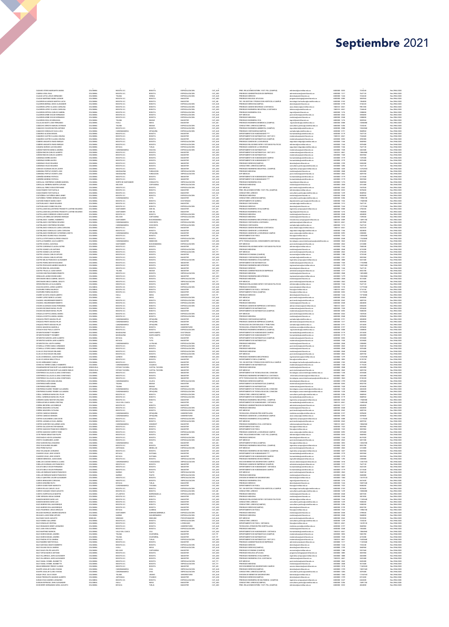| CADAVID OTERO MARGARITA MARIA<br>CADENA VIDAL RAUL                                                                         |
|----------------------------------------------------------------------------------------------------------------------------|
| CALDAS LEYVA JESUS HERNANDO                                                                                                |
| CALDAS MARTINEZ MARIA LEONOR                                                                                               |
| CALDERON ALVARADO MARTHA LUCIA<br>CALDERON BERNAL DIEGO ALEXANDER                                                          |
| CALDERON LOPEZ CLAUDIA CAROLINA                                                                                            |
| CALDERON LOPEZ CLAUDIA CAROLINA                                                                                            |
| CALDERON ORTECA CARLOS CARRIEL                                                                                             |
| CALDERON URBE OSCAR HERNANDO<br>CALDERON URBE OSCAR HERNANDO                                                               |
| CALDERON VEGA SCHERAZADA                                                                                                   |
| CALLEJAS BASTO JOSE FERNANDO                                                                                               |
| CAMACHO ARROYO MANUEL ESTEBAN                                                                                              |
| CAMACHO CHAVES MILTON ANTONIO<br>CAMACHO GONZALEZ OLGA LUCIA                                                               |
| CAMARGO ALDANA MIGUEL                                                                                                      |
| CAMARGO CASTRO CLAUDIA HELENA                                                                                              |
| CAMARGO CASTRO CLAUDIA HELENA                                                                                              |
| CAMERO ANGARITA FABIO ENRIQUE<br>CAMERO ANGARITA FABIO ENRIQUE                                                             |
| CANARIA BURGOS LUIS EDUARDO                                                                                                |
| CAÑON PUENTES MONICA ANDREA<br>CAÑON RINCON CARLOS ALBERTO                                                                 |
| CAÑON RINCON CARLOS ALBERTO                                                                                                |
| CARDENAS SIERRA MATEO                                                                                                      |
| CARDENAS SIERRA MATEO                                                                                                      |
| CARDENAS VELEZ EDUARD                                                                                                      |
| CARDENAS VELEZ EDUARDO<br>CARDOZO GUZMAN OSCAR JAVIER                                                                      |
| CARMONA PERTUZ VICENTE JOSE                                                                                                |
| CARMONA PERTUZ VICENTE JOSE                                                                                                |
| CARREÑO MORENO PATRICIA<br>CARREÑO MORENO PATRICIA                                                                         |
| CARVAJAL CONTRERAS CARMEN MARISOL                                                                                          |
| CARVAJAL HERRERA MARTIN ULPIANO                                                                                            |
| CARVAJAL PEREZ IVON ESTEPHANIE                                                                                             |
| CASAS RAMOS YUDY NATALIA<br>CASAS RAMOS YUDY NATALIA                                                                       |
| CASTAÑEDA CASTAÑEDA MIKE JIMMY                                                                                             |
| CASTAÑEDA TORRES GERMAN ALONSO<br>CASTAÑO ROBAYO MARIA HAIDY                                                               |
| CASTELBLANCO OMAR EDUARDO                                                                                                  |
| CASTELBLANCO GOMEZ WILSON                                                                                                  |
| CASTELLANOS BALLESTEROS FRANCETH JUSTINE EDUARDO                                                                           |
| CASTELLANOS BALLESTEROS FRANCETH JUSTINE EDUARDO                                                                           |
| CASTELLANOS CORREDOR JORGE ELIECER<br>CASTELLAR ARBELAEZ GERARDO ENRIQUE                                                   |
| CASTIBLANCO GABRIEL HUMBERTO                                                                                               |
| CASTIBLANCO CONTRERAS RICARDO<br>CASTIBLANCO CONTRERAS RICARDO                                                             |
| CASTIBLANCO GONZALEZ LAURA CAROLINA                                                                                        |
| CASTIBLANCO GONZALEZ LAURA CAROLINA                                                                                        |
| CASTIN ANCO RODRIGHEZ CATHERINE LISYETH                                                                                    |
| CASTIBLANCO SUAREZ RAUL EDGARDO<br>CASTILLA STIPCIANOS ALFREDO IGNACIO                                                     |
| CASTILLO RAMIREZ JULIO ALBERTO                                                                                             |
| CASTRO AYARZA JUAN RAUL                                                                                                    |
| CASTRO CARDENAS CLAUDIA ASTRID<br>CASTRO GOMEZ LUIS ANTONIO                                                                |
| CASTRO GOMEZ LUIS ANTONIO                                                                                                  |
| CASTRO LOSADA CARLOS ARTURO                                                                                                |
| CASTRO LOSADA CARLOS ARTURO                                                                                                |
| CASTRO MEJIA FRANCISCO ALEXANDER                                                                                           |
| CASTRO PARRA NESTOR EDUARDO                                                                                                |
| CASTRO PESCADOR ANDRES MAURICIO<br>CASTRO RINCON JHON EDWIN                                                                |
|                                                                                                                            |
| CASTRO TRUJILLO JUAN HARVEY<br>CAYCEDO BELTRAN RUBEN ERNESTO                                                               |
| CENDALES LADINO EDWIN DARIO<br>CENTANARO MEZA GABRIEL ADOLFO                                                               |
| CENTANARO MEZA GABRIEL ADOLFO                                                                                              |
| CERON RINCON LUZ ALEJANDRA                                                                                                 |
| CHACON ZAPATA JORGE ALBERTO                                                                                                |
| CHAPARRO PARRA MAURICIO<br>CHAPARRO PARRA MAURICIO                                                                         |
|                                                                                                                            |
| CHARRY ACOSTA CESAR ALBERTO<br>CHARRY LOPEZ MARCO LUCIANO                                                                  |
| CHASKEL HELBRONNER ROBERTO                                                                                                 |
| CHASKEL HELBRONNER ROBERTO<br>CHAVES ALVARADO DIANA FERNANDA                                                               |
| CHAVES ESCOBAR RAFAEL FELIPE                                                                                               |
|                                                                                                                            |
| CHAVES ESCOBAR RAFAEL FELIPE                                                                                               |
| CHIQUILLO ESPITIA ANGELA MARIA                                                                                             |
| CHIQUILLO ESPITIA ANGELA MARIA                                                                                             |
| CHIQUIZA PRIETO MAGDA PILAR<br>CHIQUIZA PRIETO MAGDA PILAR                                                                 |
| CHIQUIZA PRIETO MAGDA PILAR                                                                                                |
| CHISICA MAHÉCHA MARCÉLA                                                                                                    |
| CHOACHI DIAZ PAOLA LIZZETH                                                                                                 |
| CIFUENTES BONETT ROSMERY<br>CIFUENTES BONETT ROSMERY                                                                       |
| CIFUENTES GARZON JAIRO ALBERTO                                                                                             |
| CIFUENTES GARZON JAIRO ALBERTO                                                                                             |
| CIFUENTES ZEA JUDITH KARINA<br>CITARELLA OTERO DANILO ARMANDO                                                              |
| CITARELLA OTERO DANILO ARMANDO                                                                                             |
| CLAVUO CRUZ EDGAR ORLANDO                                                                                                  |
| CLAVUO CRUZ EDGAR ORLANDO                                                                                                  |
| CLAVIJO MENDOZA JUAN RICARDO<br>CLAVIJO VARGAS NINA STELLA                                                                 |
| CLIVIO HERNANDEZ CAMILA                                                                                                    |
| COHECHA TORRES CAMILO HUMBERTO                                                                                             |
|                                                                                                                            |
| COLMENARES BETANCOURT ALEJANDRO EMILIO<br>COLMENARES BETANCOURT ALEJANDRO EMILIO<br>CONTRERAS CALLE (AS LILIANA CONSTANZA) |
| CONTRERAS CALLEJAS LILIANA CONSTANZA                                                                                       |
| CONTRERAS CALLE (AS LILIANA CONSTANZA)                                                                                     |
| CONTRERAS LEON DIANA MILENA<br>CONTRERAS NIÑO DANIEL                                                                       |
| CONTRERAS NIÑO DANIEL                                                                                                      |
| CONTRERAS SUAREZ YEIMMY ALEJANDRA                                                                                          |
| CONTRERAS SUAREZ YEMMY ALEJANDRA                                                                                           |
| CORAL CARDENAS MARIA DEL PILAR<br>CORAL CARDENAS MARIA DEL PILAR                                                           |
| CORDERO SAENZ NESTOR ORLANDO                                                                                               |
| CORRALES MEJIA MARIA CRISTINA                                                                                              |
| CORREA BECERRA LUIS ENRIQUE                                                                                                |
| CORREA MAZUERA CATALINA<br>CORREA MAZUERA CATALINA                                                                         |
| CORTES CABEZAS EDINSON                                                                                                     |
| CORTES CABEZAS EDINSON                                                                                                     |
| CORTES GUACANEME, LIAN DAVID<br>CORTES (ARAMILLO FLSA JIMENA                                                               |
| CORTES QUINTERO GUILLERMO LEO                                                                                              |
| CORTES SALAZAR HECTOR MANUEL                                                                                               |
| CORTES SANCHEZ FRANCISCO ERNESTO<br>CORTES SANCHEZ HARRYS YESID                                                            |
| COTE PABON SEBASTIAN FELIPE                                                                                                |
| CRISTANCHO HOYOS LEONARDO                                                                                                  |
| CRISTO COLMENARES JAVIER<br>CRUZ GARZON RAUL EDUARDO                                                                       |
| CRUZ GUAYAUNDO WILMER                                                                                                      |
| CRUZ PEREZ NATALY                                                                                                          |
| CRUZ VELASQUEZ LEONARDO                                                                                                    |
| CUADROS VIVAS JOSE VICENTE<br>CUADROS VIVAS JOSE VICENTE                                                                   |
| CUBIDES MENDOZA JUAN DANIEI                                                                                                |
| CUBILLOS CAICEDO MONICA LILIANA                                                                                            |
| CUBILLOS GUZMAN LUIS FRANCISCO<br>CUCAITA MELO OSCAR FERNANDO                                                              |
| CUCAITA MELO OSCAR FERNANDO                                                                                                |
| CUELLAR ENRIQUEZ MARIO FRANCISCO                                                                                           |
| CUELLAR ENRIQUEZ MARIO FRANCISCO                                                                                           |
| CUELLO QUINTERO JELVER ALEXANDER<br>CUERVO BENAVIDES CAROLINA                                                              |
| CUERVO ORDOÑEZ RUTH                                                                                                        |
| CUERVO OSSES RUBY MARGOTH                                                                                                  |
| CUERVO ROJAS CARLOS JULIO<br>CUERVO VASQUEZ CESAR AUGUSTO                                                                  |
| CUESTA HUERTAS BLAS MARTIN                                                                                                 |
| CURE VERGARA HELNA SADIME                                                                                                  |
| DANGON MOISES DARIO LUIS                                                                                                   |
| DANGON MOISES DARIO LUIS<br>DAZA BARRIOS WILLIAM ENRIQUE                                                                   |
| DAZA BARRIOS WILLIAM ENRIQUE                                                                                               |
| DAZA FIGUEREDO JESUS ARNOLDO                                                                                               |
| DELGADO BARRAZA ANDRES MAURICIO                                                                                            |
| DELGADO LASSO RENE ARTURO<br>DIAZ BAEZ DAVID AUGUSTO                                                                       |
| DIAZ FORERO GUILLERMO                                                                                                      |
| DIAZ GONZALEZ CRISTINA                                                                                                     |
| DIAZ GRANADOS HENRY LEONARDO<br>DIAZ JUAN IVAN ALFREDO                                                                     |
| DIAZ MARTINEZ MARICEL                                                                                                      |
| DIAZ OSORIO MIGUEL ANDRES                                                                                                  |
| DIAZ OSORIO MIGUEL ANDRES                                                                                                  |
| DIAZ PINZON YETZA XIMENA<br>DIAZ RAMIREZ NESTOR RAUL                                                                       |
| DIAZ SANTANA OMAR HUMBERTO                                                                                                 |
| DIAZ SOLANO SILVIA ANDREA                                                                                                  |
| DIAZ SUAZA FELIPE AUGUSTO                                                                                                  |
| DIAZ TAPIAS MARCO ANTONIO<br>DIAZ VILLARRAGA JAIRO ALEXANDER                                                               |
| DIAZ VILLARRAGA JAIRO ALEXANDER                                                                                            |
| DIAZ YAMAL IVONNE JEANNETTE                                                                                                |
| DIAZ YAMAL IVONNE JEANNETTE<br>DINAS BERMUDEZ FREDDY ALONSO                                                                |
| DUARTE AGUILAR CLARA VIVIANA                                                                                               |
| DUARTE AGUILAR CLARA VIVIANA                                                                                               |
| DUQUE CRUZ JULIO CESAR                                                                                                     |
| DUQUE PIEDRAHITA MAXIMO ALBERTO<br>DURAN VIVAS ANDRÉS LEONARDO                                                             |

(977%2)74-237%.3,2%0)<%2()6 '3031&-% ,9-0% 2)-:% 1%+-78)6 '%8C%73 '32790836-3.96-(-'3'%1497 GSRWYPXSVMSNYVMHMGS\$YRMQMPMXEVIHYGS 6IW ECHEVERRY HERMANDEZARELAUGUSTO COLOMBIA BOYACA TUNJA TUNJA MAGISTER CAT<sub>J</sub>ASO PREG. RELACIONES INTERN. Y EST. POL.(CAMPUS) nelintemal@unimilituredu.co 6500000-3033 4024800 Rea:2986/2020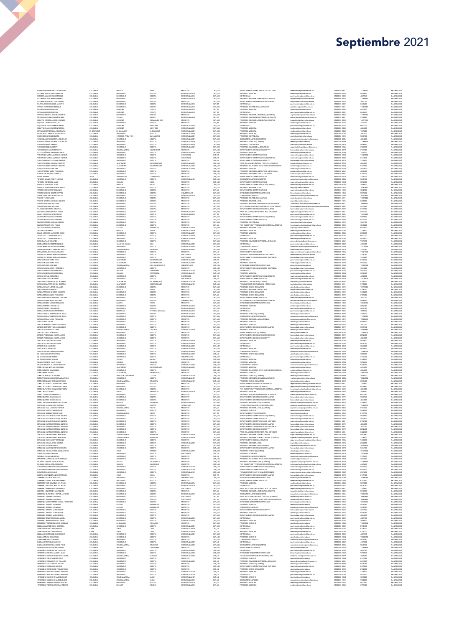| ESCOBAR ARALLIO HUGO ENRIQUE<br><b>ESCOBAR ARALLIO HUGO ENRIQUE</b>                   | COLOMBIA                    | BOYACA                              | PAIPA                           | MAGISTER                                              | CAT_ASO                       | DEPARTAMENTO DE MATEMATICAS - DIST 2013                                                            | matematicas@unimilitar.edu.co                                                               | 7480333 - 6841                   | 17206020                       | Res 2186/2020                                   |
|---------------------------------------------------------------------------------------|-----------------------------|-------------------------------------|---------------------------------|-------------------------------------------------------|-------------------------------|----------------------------------------------------------------------------------------------------|---------------------------------------------------------------------------------------------|----------------------------------|--------------------------------|-------------------------------------------------|
|                                                                                       | COLOMBIA<br>COLOMBIA        | BOGOTA D.C.<br>BOGOTA D.C           | BOGOTA<br>BOGOTA                | <b>ESPECIALIZACION</b><br>ESPECIALIZACION             | CAT ASO<br>CAT_ASO            | REGRADO MEDICINA<br>ESP. MEDICAS                                                                   | nedicina@unimilitar.edu.co<br>post.medicina@unimilitar.edu.co                               | 6500000 - 2048<br>6500000 - 2042 | 4024800<br>4829760             | Res 2086/2020<br>Res 2186/2020                  |
| FSCORAR OCHOA MARIO ALBERTO<br>ESCOBAR RODRIGUEZ LUIS GABRIEL                         | COLOMBIA<br>COLOMBIA        | BOGOTA D.C.<br>BOGOTA D.C           | BOGOTA<br>BOGOTA                | <b>ESPECIALIZACION</b><br>MAGISTER                    | CAT ASO<br>CAT_ASC            | PREGRADO INGENIERIA AMBIENTAL (CAMPUS)<br>DEPARTAMENTO DE HUMANIDADES CAMPUS                       | .<br>Inn amhiantal@amimilitar.adu.rn<br>humanidades@unimilitar.edu.co                       | 6500000 - 3008<br>6500000-3170   | 11269440<br>7647120            | Res 2086/2020<br>Res 2086/2020                  |
| ESLAVA JACOME CAMILO ALBERTO                                                          | COLOMBIA                    | BOGOTA D.C.<br>BOGOTA D.C.          | BOGOTA                          | ESPECIALIZACION                                       | CAT_TIT                       | ESP. MEDICAS<br>PREGRADO CONTADURIA A DISTANCIA                                                    | post.medicina@unimilitar.edu.co                                                             | 6500000-2042                     | 8420400                        | Res 2086/2020                                   |
| ESPINEL PARRA FABIO ENRIQUE<br>ESPINOSA GARCIA EUGENIA                                | COLOMBIA<br>COLOMBIA        | CORDOBA                             | BOGOTA<br>CERETE                | <b>ESPECIALIZACION</b><br>ESPECIALIZACION             | CAT_AUX<br>CAT_TIT            | PREGRADO MEDICINA                                                                                  | cpdistancia@unimilitar.edu.co<br>medicina@unimilitar.edu.co                                 | 7480333 - 6841<br>6500000-2048   | 11082240<br>5613600            | Res 2086/2020<br>Res 2086/2020                  |
| ESPINOSA GARCIA EUGENIA<br>ESPINOSA MEDINA RICARDO ALONSO                             | COLOMBIA<br>COLOMBIA        | CORDOBA<br>BOGOTA D.C.              | CERETE<br>BOGOTA                | ESPECIALIZACION<br>MAGISTER                           | CAT_TIT<br>CAT_AUX            | ESP. MEDICAS<br>PREGRADO INGENIERIA BIOMEDICA (CAMPUS)                                             | post.medicina@unimilitar.edu.co<br>ing biomedica@unimilitar.edu.co                          | 6500000 - 2042<br>6500000 - 3006 | 8420400<br>11390080            | Res 2086/2020<br>Res 2086/2020                  |
| ESPINOSA VILLANUEVA PEDRO NEL                                                         | COLOMBIA                    | TOLIMA                              | <b>IBAGUE</b>                   | <b>ESPECIALIZACION</b>                                | CAT ASI                       | PREGRADO ADMON DE EMPRESAS A DISTANCIA                                                             | admon.distancia@unimilitar.edu.co                                                           | 7480333 - 6841                   | 3338640                        | Res 2086/2020                                   |
| ESQUIVEL ACOSTA ALFREDO CARLOS<br>ESOLIVEL CAMPO DIEGO LUIS                           | COLOMBU<br>COLOMBIA         | CORDOBA<br>BOGOTA D.C.              | CIENAGA DE ORO<br>BOGOTA        | MAGISTER<br>MAGISTER                                  | CAT_ASC<br>CAT TIT            | PREGRADO INGENERIA AMBIENTAL (CAMPUS)<br>PREGRADO MEDICINA                                         | ing.ambiental@unimilitar.edu.co<br>nedicina@unimilitar.edu.co                               | 6500000 - 300<br>6500000 - 2048  | 14891760<br>1403400            | Res 2086/2020<br>Res 2086/2020                  |
| ESQUIVIA PAJARO CARMEN TERESA<br>ESQUIVIA PAJARO CARMEN TERESA                        | COLOMBIA<br>COLOMBIA        | CORDOBA<br>CORDOBA                  | MONTERIA<br><b>MONTERIA</b>     | ESPECIALIZACION<br><b>ESPECIALIZACION</b>             | CAT_ASO<br>CAT_ASO            | ESP. MEDICAS<br>PREGRADO MEDICINA                                                                  | post.medicina@unimilitar.edu.co<br>medicina@unimilitar.edu.co                               | 6500000 - 2042<br>6500000 - 2048 | 6037200<br>4024800             | Res 2086/2020<br>Res 2086/2020                  |
| ESTRADA MONTERROZA JOSE MARIA                                                         | EL SALVADOR                 | EL SALVADOR                         | EL SALVADOR                     | ESPECIALIZACION                                       | CAT_AUX                       | PREGRADO MEDICINA                                                                                  | medicina@unimilitar.edu.co                                                                  | 6500000 - 2048                   | 1539200                        | Res 2086/2020                                   |
| ESTRADA VILLARRAGA JUAN CARLOS<br>EVANS BERNARD CLEVELAND                             | COLOMBIA<br>COLOMBIA        | BOGOTA D.C.<br>S ANDRES, PROV Y S C | BOGOTA<br>SAN ANDRES            | ESPECIALIZACION<br>ESPECIALIZACION                    | CAT_ASO                       | PREGRADO MEDICINA<br>PRECRADO CONTADURIA                                                           | medicina@unimilitar.edu.co<br>contaduria@unimilitar.edu.co                                  | 6500000 - 2048<br>6500000 - 1315 | 2012400                        | Res 2086/2020<br>Res 2086/2020                  |
| FAJARDO ANDRADE LORENA DEL PILAR<br>FAJARDO ANDRADE LORENA DEL PILAR                  | COLOMBIA<br>COLOMBIA        | BOGOTA D.C.<br>BOGOTA D.C.          | BOGOTA<br>BOGOTA                | ESPECIALIZACION<br>ESPECIALIZACION                    | CAT_AUX<br>CAT_ASO<br>CAT ASO | CONSULTORIO JURIDICO(CAMPUS)<br>PRECRADO DERECHO/CAMPUS)                                           | consultorio juridico@unimilitar.edu.co<br>dararbodisminilitarads on                         | 6500000 - 320<br>6500000 - 3199  | 5848960<br>4024800<br>11269440 | Res 2086/2020<br>Res 2086/2020                  |
| FAJARDO FONSECA HENRY                                                                 | COLOMBU                     | BOGOTA D.C.                         | BOGOTA                          | ESPECIALIZACION                                       | CAT_AU                        | PREGRADO CONTADURIA                                                                                | contaduria@unimilitar.edu.co                                                                | 6500000 - 1315                   | 5848160                        | Res 2086/2020                                   |
| FAJARDO FONSECA HENRY<br>FAJARDO PASCAGAZA ERNESTO                                    | COLOMBIA<br>COLOMBIA        | BOGOTA D.C.<br>CUNDINAMARCA         | BOGOTA<br>VILLAGOMEZ            | <b>ESPECIALIZACION</b><br>MAGISTER                    | CAT AUX<br>CAT_ASO            | PREGRADO ADMON DE LA SEGURIDAD<br>DEPARTAMENTO DE HUMANIDADES                                      | seguridad.integral@unimilitar.edu.co<br>nanidades@unimilitar.edu.co                         | 6500000 - 1346<br>6500000 - 3179 | 7926880<br>6741540             | Res 2086/2020<br>Res 2086/2020                  |
| FALLA QUIÑONEZ ANDRES RICARDO<br>FERNANDEZ MONCADA PAULO ENRIQUE                      | COLOMBIA<br>COLOMBIA        | BOGOTA D.C.<br>BOGOTA D.C.          | BOGOTA                          | ESPECIALIZACION                                       | CAT_AUX                       | PREGRADO MEDICINA<br>DEPARTAMENTO DE MATEMATICAS                                                   | medicina@unimilitar.edu.co                                                                  | 6500000 - 2048                   | 1539200                        | Res 2086/2020                                   |
| FERNANDEZ MONCADA PAULO ENRIQUE                                                       | COLOMBIA                    | BOGOTA D.C.                         | BOGOTA<br>BOGOTA                | DOCTORADO<br>DOCTORADO                                | CAT_TIT<br>CAT_TIT            | DEPARTAMENTO DE MATEMATICAS (CAMPUS)                                                               | matematicas@unimilitar.edu.co<br>matematicas@unimilitar.edu.co                              | 6500000 - 1520<br>6500000 - 3055 | 11928900<br>6174960            | Res 2086/2020<br>Res 2086/2020                  |
| FLOREZ RARRANTES, IEMAY ANDREA<br>FLOREZ CACERES MONICA LISSETTE                      | <b>COLOMBIA</b><br>COLOMBIA | BOGOTA D.C<br>SANTANDE              | BOGOTA<br><b>BUCARAMANG</b>     | MAGISTER<br>ESPECIALIZACION                           | CAT_ASI<br>CAT_ASO            | DEPARTAMENTO DE HUMANIDADES*<br>PREG. RELACIONES INTERN. Y EST. POL.(CAMPUS)                       | humanidades@unimilitar.edu.co<br>vlinternal@unimilitar.edu.co                               | 6500000 - 3179<br>6500000 - 3035 | 3709600<br>4024800             | Res 2086/2020<br>Res 2086/2020                  |
| FLOREZ CACERES MONICA LISSETTE                                                        | <b>COLOMBIA</b>             | SANTANDER                           | BUCARAMANGA                     | <b>ESPECIALIZACION</b>                                | CAT ASO                       | PREGRADO RELACIONES INTER Y ESTUDIOS POLITICOS                                                     | relinternal@unimilitar.edu.co                                                               | 6500000 - 1344                   | 6741540                        | Res 2086/2020                                   |
| FLOREZ CARDENAS MILENA<br>FLOREZ TORRES DIEGO FERNANDO                                | COLOMBIA<br><b>COLOMBIA</b> | BOGOTA D.C<br>BOGOTA D.C.           | BOGOTA<br>BOGOTA                | ESPECIALIZACION<br>MAGISTER                           | CAT_ASO<br>CAT AUX            | PREGRADO MEDICINA<br>PREGRADO INGENIERIA INDUSTRIAL A DISTANCIA                                    | medicina@unimilitar.edu.co<br>idistancia@unimilitar.edu.co                                  | 6500000 - 2046<br>7480333 - 6841 | 4024800<br>4848480             | Res 2086/2020<br>Res 2086/2020                  |
| FLORIAN VELASQUEZ GONZALO<br>FOMIN MIKHAIL                                            | COLOMBIA<br><b>RUSIA</b>    | BOGOTA D.C.<br>LENINGRADO           | BOGOTA<br>LENINGRADO            | MAGISTER<br>MAGISTER                                  | CAT_ASO<br>CAT_ASO            | PREGRADO INGENIERIA CIVIL A DISTANCIA<br>DEPARTAMENTO DE MATEMATICAS                               | icdistancia@unimilitar.edu.co<br>matematicas@unimilitar.edu.co                              | 7480333 - 6841<br>6500000 - 1520 | 8150220<br>3119220             | Res 2086/2020<br>Res 2086/2020                  |
| FONSECA AMADO YENNY LORENA                                                            | COLOMBIA                    | BOGOTA D.C                          | BOGOTA                          | ESPECIALIZACION                                       | CAT_AUX                       | CONSULTORIO JURIDICO(CAMPUS                                                                        | consultorio juridico@unimilitar.edu.co                                                      | 6500000 - 3206                   | 5848960                        | Res 2086/2020                                   |
| FONSECA GONZALEZ JAIME                                                                | COLOMBIA<br>COLOMBU         | BOYACA<br>BOYACA                    | MUZO<br>MUZ0                    | MAGISTER<br>MAGISTER                                  | CAT_ASO<br>CAT_ASO            | DEPARTAMENTO DE MATEMATICAS<br>DEPARTAMENTO DE MATEMATICAS (CAMPUS)                                | matematicas@unimilitar.edu.co<br>matematicas@unimilitar.edu.co                              | 6500000 - 1520<br>6500000 - 3055 | 3018600<br>3018600             | Res 2086/2020<br>Res 2086/2020                  |
| FONSECA GONZALEZ JAIME<br>FONSECA HERRERA EDGAR ALBERTO<br>FORERO DIAZ NESTOR ORLANDO | <b>COLOMBIA</b><br>COLOMBIA | BOGOTA D.C<br>BOGOTA D.C.           | BOGOTA<br>BOGOTA                | MAGISTER<br>MAGISTER                                  | CAT_ASO                       | PREGRADO INGENIERIA CIVIL<br>DEPARTAMENTO DE MATEMATICAS                                           | ingcivi@unimilitar.edu.co<br>utematicas@unimilitar.edu.co                                   | 6500000 - 1276<br>6500000 - 1520 | 10363860<br>7882900            | Res 2086/2020<br>Res 2086/2020                  |
| FORERO FANDIÑO OSCAR STEVEN                                                           | COLOMBU                     | BOGOTA D.C                          | BOGOTA                          | UNIVERSITARIO                                         | CAT_ASI<br>CAT_AU             | DIVISION DE BIENESTAR UNIVERSITARIO                                                                | bienestar@unimilitar.edu.co                                                                 | 6500000 - 1060                   | 8311680                        | Res 2186/2020                                   |
| FORERO OUINTERO JUAN CARLOS<br>FRANCO FLOREZ JAIRO                                    | COLOMBIA<br>COLOMBU         | BOGOTA D.C.<br>BOGOTA D.C           | BOGOTA<br>BOGOTA                | ESPECIALIZACION<br>MAGISTER                           | CAT ASO<br>CAT_ASO            | CONSULTORIO JURIDICO<br>PREGRADO CONTADURIA(CAMPUS)                                                | consultorio juridico@unimilitar.edu.co<br>contaduria@unimilitar.edu.co                      | 6500000 - 1239<br>6500000-319    | 16702920<br>11269440           | Res 2086/2020<br>Res 2086/2020                  |
| FRANCO GANTIVA JOAQUIN ANDRES                                                         | COLOMBIA                    | BOGOTA D.C.                         | BOGOTA                          | MAGISTER                                              | CAT_AUX                       | PREGRADO INGENIERIA CIVIL                                                                          | ingcivi@unimilitar.edu.co                                                                   | 6500000 - 1276                   | 2308800                        | Res 2086/2020                                   |
| FRASSER ACEVEDO WILLIAM<br>FRASSER ACEVEDO WILLIAM                                    | COLOMBU<br>COLOMBIA         | BOGOTA D.C<br>BOGOTA D.C.           | BOGOTA<br>BOGOTA                | MAGISTER<br>MAGISTER                                  | CAT_ASO<br>CAT_ASO            | <b>REGRADO INGENIERIA INFORMATICA A DISTANCIA</b><br>DPTO TECNOLIGIAS DEL CONOCIMIENTO (DISTANCIA) | informatica distancia@unimilitar.edu.co<br>tecnologias.conocimientocampus@unimilitar.edu.co | 6500000 - 800<br>6500000-3042    | 1086696<br>5433480             | Res 2086/2020<br>Res 2086/2020                  |
| FULA LIZCANO MARIA CRISTINA                                                           | COLOMBIA                    | BOGOTA D.C                          | BOGOTA                          | MAGISTER                                              | CAT_ASC                       | DEPARTAMENTO DE HUMANIDADES CAMPUS                                                                 | nidades@unimilitar.edu.co                                                                   | 6500000 - 317                    | 6741540                        | Res 2086/2020                                   |
| GAITAN NAVARRO ANGELA MARIA<br>GALAN SUAREZ RICARDO MARIO                             | COLOMBIA<br>COLOMBIA        | BOGOTA D.C.<br>BOGOTA D.C.          | BOGOTA<br>BOGOTA                | <b>ESPECIALIZACION</b><br><b>ESPECIALIZACION</b>      | CAT_AUX<br>CAT TIT            | PREG. RELACIONES INTER Y EST. POL. DISTANCIA<br>ESP. MEDICAS                                       | riepdistancia@unimilitar.edu.co<br>post.medicina@unimilitar.edu.co                          | 7480333 - 6841<br>6500000 - 2042 | 5541120<br>13472640            | Res 2086/2020<br>Res 2086/2020                  |
| GALINDO RIVERA OSCAR ANDRES<br>GALINDO RIVERA OSCAR ANDRES                            | COLOMBU<br>COLOMBIA         | BOGOTA D.C<br>BOGOTA D.C.           | BOGOTA<br>BOGOTA                | MAGISTER<br>MAGISTER                                  | CAT_ASC<br>CAT ASO            | DEPARTAMENTO DE MATEMATICAS (CAMPUS)<br>DEPARTAMENTO DE MATEMATICAS                                | matematicas@unimilitar.edu.co<br>matematicas@unimilitar.edu.co                              | 6500000 - 3055<br>6500000 - 1520 | 5685030<br>8401770             | Res 2086/2020<br>Res 2086/2020                  |
| GALINDO TORRES LUIS ALEJANDRO                                                         | COLOMBIA                    | BOGOTA D.C                          | BOGOTA                          | MAGISTER                                              | CAT_ASO                       | PREGRADO CONTADURIA                                                                                | contaduria@unimilitar.edu.co                                                                | 6500000 - 1315                   | 7647120                        | Res 2086/2020                                   |
| GALINDO TRIANA GINA PAOLA<br>GALLEGO OSORIO LUZ PIEDAD                                | COLOMBIA<br>COLOMBU         | BOGOTA D.C.<br>CALDAS               | BOGOTA<br><b>MANIZALES</b>      | MAGISTER<br>ESPECIALIZACION                           | CAT_ASI                       | TEC. EN GESTION Y PRODUCCION HORTICOLA CAMPUS<br>REGRADO INGENERIA CIVIL                           | tecnologia horticultura@unimilitar.edu.co<br>ingcivi@unimilitar.edu.co                      | 6500000 - 3183<br>6500000 - 127  | 7048240<br>6541600             | Res 2086/2020<br>Res 2086/202                   |
| GALLO ROA ROBERTO                                                                     | COLOMBIA                    | BOYACA                              | <b>TUNJA</b>                    | ESPECIALIZACION                                       | CAT_AUX<br>CAT_ASI            | PREGRADO MEDICINA                                                                                  | medicina@unimilitar.edu.co                                                                  | 6500000 - 2048                   | 3709600                        | Res 2086/2020                                   |
| GALVIS ACEVEDO CATHERINE ROCIO<br>GALVIS DIAZ CLARA ESPERANZA                         | COLOMBIA<br>COLOMBIA        | BOGOTA D.C<br>BOGOTA D.C.           | BOGOTA<br>BOGOTA                | ESPECIALIZACION<br><b>ESPECIALIZACION</b>             | CAT_AU<br>CAT_ASO             | REGRADO MEDICIN<br>ESP. MEDICAS                                                                    | nedicina@unimilitar.edu.co<br>post.medicina@unimilitar.edu.co                               | 6500000 - 2046<br>6500000 - 2042 | 2308800<br>6037200             | Res 2086/2020<br>Res 2086/2020                  |
| GALVIS DIAZ CLARA ESPERANZA                                                           | COLOMBIA                    | BOGOTA D.C.                         | BOGOTA                          | ESPECIALIZACION                                       | CAT ASO                       | PREGRADO MEDICINA                                                                                  | nedicina@unimilitar.edu.co                                                                  | 6500000 - 2048                   | 4024800                        | Res 2086/2020                                   |
| GAMA DIAZ LUIS EDUARDO<br>GAMBA SANCHEZ CESAR ENRIQUE                                 | COLOMBU<br>COLOMBIA         | BOGOTA D.C.<br>VALLE DEL CAUCA      | BOGOTA<br>CALI                  | MAGISTER<br><b>PRPECIALIZACION</b>                    | CAT_ASO<br>CAT AUX            | PREGRADO ADMON DE EMPRESAS A DISTANCIA<br>ESP. MEDICAS                                             | admon.distancia@unimilitar.edu.co<br>post.medicina@unimilitar.edu.co                        | 7480333 - 6841<br>6500000 - 2042 | 0961380<br>4617600             | Res 2086/2020<br>Res 2086/2020                  |
| .<br>GAONA BARAJAS EDGAR GUIOBANN<br>GARAVITO GALINDO ERIKA DEL VALLE                 | COLOMBIA<br>COLOMBIA        | BOGOTA D.C.<br>CUNDINAMARCA         | BOGOTA<br>GIRARDOT              | ESPECIALIZACION<br><b>ESPECIALIZACION</b>             | CAT_AUX<br>CAT_AUX            | CONSULTORIO JURIDICO<br>PREGRADO ECONOMIA                                                          | consultorio.juridico@unimilitar.edu.co<br>economia@unimilitar.edu.co                        | 6500000 - 1239<br>6500000-1318   | 12775360<br>7234240            | Res 2086/2020<br>Res 2086/2020                  |
| GARAVITO NAJAS JENNY ZORAYDA                                                          | COLOMBIA                    | BOGOTA D.C.                         | BOGOTA                          | MAGISTER                                              | CAT_ASI                       | DEPARTAMENTO DE QUIMICA                                                                            | departamento.quimica@unimilitar.edu.c                                                       | 6500000 - 152                    | 11221540                       | Res 2086/2020                                   |
| GARCES GUTIERREZ MARIA FERNANDA<br>GARCES GUTIERREZ MARIA FERNANDA                    | COLOMBIA<br>COLOMBIA        | BOGOTA D.C.<br>BOGOTA D.C.          | BOGOTA<br>BOGOTA                | DOCTORADO<br>DOCTORADO                                | CAT_ASO<br>CAT_ASO            | PREGRADO ADMON SEGURIDAD A DISTANCIA<br>DEPARTAMENTO DE HUMANIDADES - DISTANCIA                    | asso.distancia@unimilitar.edu.co<br>manidades@unimilitar.edu.co                             | 7480333 - 6841<br>7480333 - 6841 | 2716740<br>7244640             | Res 2086/2020<br>Res 2086/2020                  |
| GARCIA ARAQUE HANS FRED                                                               | COLOMBIA                    | SANTANDER                           | <b>BUCARAMANGA</b>              | <b>ESPECIALIZACION</b>                                | CAT_TIT                       | ESP. MEDICAS                                                                                       | post.medicina@unimilitar.edu.co                                                             | 6500000 - 2042                   | 8420400                        | Res 2086/2020                                   |
| GARCIA ARAQUE HANS FRED<br>GARCIA ENCISO JOSE NOE                                     | <b>COLOMBIA</b><br>COLOMBIA | SANTANDER<br>CUNDINAMARCA           | BUCARAMANGA<br>SAN JUAN RIOSECO | <b>ESPECIALIZACION</b><br>UNIVERSITARIO               | CAT TIT<br>CAT_AU             | PREGRADO MEDICINA<br>DIVISION DE BIENESTAR UNIVERSITARIO                                           | edicina@unimilitar.edu.co<br>bienestar@unimilitar.edu.co                                    | 6500000 - 2048<br>6500000 - 1066 | 5613600<br>13160160            | Res 2086/2020<br>Res 2086/2020                  |
| GARCIA GARCIA JESUS HERNANDO                                                          | COLOMBIA<br><b>COLOMBIA</b> | BOGOTA D.C.                         | BOGOTA                          | <b>MAGISTER</b>                                       | CAT ASO                       | DEPARTAMENTO DE HUMANIDADES - DISTANCIA                                                            | humanidades@coimilitar.ads.no                                                               | 7480333 - 6841                   | 7244640                        | Res 2086/2020                                   |
| GARCIA GOMEZ AIDA ESPERANZA<br>GARCIA GOMEZ AIDA ESPERANZA                            | COLOMBIA                    | BOLIVAR<br>BOLIVAR                  | CARTAGENA<br>CARTAGENA          | ESPECIALIZACION<br><b>ESPECIALIZACION</b>             | CAT_AU<br>CAT_AUX             | ESP. MEDICAS<br>PREGRADO MEDICINA                                                                  | post medicina@unimilitar.edu.co<br>medicina@unimilitar.edu.co                               | 6500000 - 2042<br>6500000 - 2048 | 4617600<br>3078400             | Res 2086/2020<br>Res 2086/2020                  |
| GARCIA HURTADO ORLANDO<br>GARCIA HURTADO ORLANDO                                      | COLOMBIA<br>COLOMBIA        | BOGOTA D.C<br>BOGOTA D.C.           | BOGOTA<br>BOGOTA                | DOCTORADO<br>DOCTORADO                                | CAT_TIT<br>CAT_TIT            | DEPARTAMENTO DE MATEMATICAS (CAMPUS)<br>DEPARTAMENTO DE MATEMATICAS                                | matematicas@unimilitar.edu.co<br>matematicas@unimilitar.edu.co                              | 6500000 - 3055<br>6500000 - 1520 | 4210200<br>11928900            | Res 2086/2020<br>Res 2086/2020                  |
| GARCIA MESA PATRICIA DEL ROSARIO                                                      | <b>COLOMBIA</b>             | SANTANDER                           | BUCARAMANO                      | ESPECIALIZACION                                       | CAT_AU)                       | PREGRADO CONTADURIA/CAMPUS)                                                                        | contaduria@unimilitar.edu.co                                                                | 6500000 - 319                    | 5156320                        | Res 2086/2020                                   |
| GARCIA MESA PATRICIA DEL ROSARIO<br>GARCIA NORATO JORGE ORLANDO                       | COLOMBIA<br>COLOMBIA        | SANTANDER<br>BOGOTA D.C.            | <b>BUCARAMANGA</b><br>BOGOTA    | ESPECIALIZACION<br>MAGISTER                           | CAT_AUX<br>CAT ASO            | TECNOLOGIA EN CONTABILIDAD Y TRIBUTARIA<br>PREGRADO DERECHO/CAMPUSI                                | contaduria@unimilitar.edu.co<br>derecho@unimilitar.edu.co                                   | 6500000-3191<br>6500000-3199     | 3771040<br>15797340            | Res 2086/2020<br>Res 2086/2020                  |
| GARCIA PACHECO YADIRA                                                                 | COLOMBIA                    | BOYACA                              | TUNJA                           | MAGISTER                                              | CAT_AUX                       | PREGRADO INGENIERIA INDUSTRIAL                                                                     | ingindustrial@unimilitar.edu.co                                                             | 6500000 - 126                    | 5156320                        | Res 2186/2020                                   |
| CARCIA PARRADO ANDRES AUCUSTO<br>GARCIA REINA CARLOS FERNANDO                         | COLOMBIA<br>COLOMBU         | BOGOTA D.C.<br>BOGOTA D.C           | BOGOTA<br>BOGOTA                | MAGISTER<br>MAGISTER                                  | CAT ASO<br>CAT_ASI            | PREGRADO DERECHO/CAMPUS)<br>PREGRADO DERECHO(CAMPUS)                                               | dararbodisminilitar ads on<br>derecho@unimilitar.edu.co                                     | 6500000-3199<br>6500000-3199     | 9458280<br>3709600             | Res 2086/2020<br>Res 2086/2020                  |
| GARCIA RESTREPO MARCELA CRISTINA<br>GARCIA RODRIGUEZ LILIANA INES                     | COLOMBIA<br>COLOMBIA        | BOGOTA D.C<br>BOGOTA D.C            | BOGOTA                          | MAGISTER<br>UNIVERSITARIO                             | CAT_ASO                       | DEPARTAMENTO DE MATEMATICAS                                                                        | matematicas@unimilitar.edu.co                                                               | 6500000 - 1520                   | 7647120                        | Res 2086/2020                                   |
| GARCIA ROSERO MARIO BERNARDO                                                          | COLOMBIA                    | NARINO                              | BOGOTA<br>PASTO                 | MAGISTER                                              | CAT_AUX<br>CAT_ASO            | SECCION BIENESTAR UNIVERSITARIO CAMPUS<br>DIVISION DE BIENESTAR UNIVERSITARIO                      | seccion.bienestar@unimilitar.edu.co<br>bienestar@unimilitar.edu.co                          | 6500000 - 3310<br>6500000 - 1060 | 1616960<br>12678120            | Res 2086/2020<br>Res 2086/2020                  |
| GARCIA TORRES LAURA ELISA                                                             | COLOMBIA                    | BOGOTA D.C.                         | BOGOTA                          | ESPECIALIZACION                                       | CAT_ASO                       | PREGRADO MEDICINA                                                                                  | medicina@unimilitar.edu.co                                                                  | 6500000-2048                     | 2012400                        | Res 2086/2020                                   |
| GARCIA TORRES LAURA ELISA<br>GARCIA VALENCIA LUIS FERNANDO                            | COLOMBIA<br>COLOMBIA        | BOGOTA D.C.<br>RISARALDA            | BOGOTA<br>STA ROSA DE CABAL     | <b>ESPECIALIZACION</b><br><b>ESPECIALIZACION</b>      | CAT_ASO<br>CAT ASI            | ESP. MEDICAS<br>ESP. MEDICAS                                                                       | post.medicina@unimilitar.edu.co<br>post.medicina@unimilitar.edu.co                          | 6500000-2042<br>6500000 - 2042   | 4829760<br>1066510             | Res 2086/2020<br>Res 2086/2020                  |
| GARCIA VARGAS ANDERSON DE JESUS<br>GARCIA VARGAS ANDERSON DE JESUS                    | COLOMBIA<br>COLOMBIA        | BOGOTA D.C<br>BOGOTA D.C.           | BOGOTA<br>BOGOTA                | ESPECIALIZACION<br>ESPECIALIZACION                    | CAT_AU<br>CAT AUX             | PREGRADO DERECHO(CAMPUS)<br>CONSULTORIO JURIDICO/CAMPUS)                                           | derecho@unimilitar.edu.co<br>consultorio.juridico@unimilitar.edu.co                         | 6500000-319<br>6500000 - 3206    | 1539200<br>11390080            | Res 2086/2020<br>Res 2086/2020                  |
| GARCIA VARGAS LUISA FERNANDA                                                          | COLOMBU                     | BOGOTA D.C                          | BOGOTA                          | MAGISTER                                              | CAT_ASO                       | PREGRADO INGENERIA MECATRONICA                                                                     | ingmecatronica@unimilitar.edu.co                                                            | 6500000 - 1279                   | 13080600                       | Res 2086/2020                                   |
| GARCIA VEGA OSCAR<br>GARZON BARRETO YOHN ALEXANDER                                    | COLOMBIA<br>COLOMBIA        | BOGOTA D.C.<br>BOGOTA D.C.          | BOGOTA<br>BOGOTA                | MAGISTER<br><b>MAGISTER</b>                           | CAT_AUX<br>CAT_ASO            | PREGRADO DERECHO<br>PREGRADO DERECHO                                                               | derecho@unimilitar.edu.co<br>derecho@unimilitar.edu.co                                      | 6500000 - 1244<br>6500000 - 1244 | 8619520<br>7647120             | Res 2086/2020<br>Res 2086/2020                  |
| GARZON BARRETO YOHN ALEXANDER                                                         | COLOMBIA                    | BOGOTA D.C.                         | BOGOTA                          | MAGISTER<br>ESPECIALIZACION                           | CAT_ASO                       | DEPARTAMENTO DE HUMANIDADES CAMPUS                                                                 | humanidades@unimilitar.edu.co                                                               | 6500000 - 3179                   | 5835960<br>10386880            | Res 2086/2020                                   |
| GARZON GUEVARA LUZ DARY<br>GARZON LOPEZ JULY PAOLA                                    | COLOMBIA<br>COLOMBIA        | <b>CUNDINAMARCA</b><br>BOGOTA D.C.  | CAQUEZA<br>BOGOTA               | MAGISTER                                              | CAT_ASI<br>CAT_ASO            | PREGRADO DERECHO<br>DEPARTAMENTO FISICA (CAMPUS)                                                   | derecho@unimilitar.edu.co<br>fisica@unimilitar.edu.co                                       | 6500000 - 1244<br>6500000 - 3053 | 13080600                       | Res 2086/2020<br>Res 2086/2020                  |
| GARZON PASCAGAZA EDGAR JAVIER<br>GARZON PASCAGAZA EDGAR JAVIER                        | COLOMBIA<br>COLOMBU         | BOGOTA D.C.<br>BOGOTA D.C           | BOGOTA<br>BOGOTA                | MAGISTER<br>MAGISTER                                  | CAT ASO<br>CAT_ASO            | DEPARTAMENTO DE HUMANIDADES MEDICINA<br>DEPARTAMENTO DE HUMANIDADES ***                            | humanidades@unimilitar.edu.co<br>humanidades@unimilitar.edu.co                              | 6500000 - 3179<br>6500000 - 3179 | 2012400<br>4024800             | Res 2086/2020<br>Res 2086/2020                  |
| GARZON PULIDO LINA SOLEDAD                                                            | COLOMBIA                    | BOGOTA D.C.                         | BOGOTA                          | ESPECIALIZACION                                       | CAT ASO                       | PREGRADO MEDICINA                                                                                  | medicina@unimilitar.edu.co                                                                  | 6500000 - 2048                   | 4024800                        | Res 2086/2020                                   |
| GARZON PULIDO LINA SOLEDAD<br>GARZON RUIZ MAURICIO                                    | COLOMBIA<br>COLOMBIA        | BOGOTA D.C<br>BOGOTA D.C.           | BOGOTA<br>BOGOTA                | ESPECIALIZACION<br><b>ESPECIALIZACION</b>             | CAT_ASO<br>CAT_ASO            | ESP. MEDICAS<br>ESP. MEDICAS                                                                       | post.medicina@unimilitar.edu.co<br>post.medicina@unimilitar.edu.co                          | 6500000 - 2042<br>6500000 - 2042 | 4829760<br>6037200             | Res 2086/2020<br>Res 2086/2020                  |
| GARZON RUIZ MAURICIO                                                                  | COLOMBIA                    | BOGOTA D.C                          | BOGOTA                          | ESPECIALIZACION                                       | CAT_ASO                       | REGRADO MEDICINA                                                                                   | nedicina@unimilitar.edu.co                                                                  | 6500000 - 2046                   | 4024800                        | Res 2086/2020                                   |
| GARZON SALINAS NUBIA YOLANDA<br>GIL FARFAN MARTHA PATRICIA                            | COLOMBIA<br>COLOMBIA        | BOGOTA D.C.<br>BOGOTA D.C           | BOGOTA<br>BOGOTA                | ESPECIALIZACION<br>ESPECIALIZACION                    | CAT_AUX<br>CAT_ASI            | CONSULTORIO JURIDICO<br>PREGRADO DERECHO(CAMPUS)                                                   | consultorio juridico@unimilitar.edu.co<br>derecho@unimilitar.edu.co                         | 6500000-1239<br>6500000 - 319    | 13468000<br>7882900            | Res 2086/2020<br>Res 2086/2020                  |
| GIL MINA LUIS ALEJANDRO<br>GIL TORRES PABLO RAMON                                     | COLOMBIA<br>COLOMBIA        | BOGOTA D.C.<br>TOLIMA               | BOGOTA<br><b>IBAGLE</b>         | UNIVERSITARIO<br><b>ESPECIALIZACION</b>               | CAT_ASO<br>CAT AUX            | ESP. MEDICAS<br>PREGRADO MEDICINA                                                                  | post.medicina@unimilitar.edu.co<br>medicina@unimilitar.edu.co                               | 6500000 - 2042<br>6500000 - 2048 | 3773250<br>2308800             | Res 2086/2020<br>Res 2086/2020                  |
| GIRALDO FORERO JULIO CESA                                                             | COLOMBIA                    | QUINDIO                             | CALARCA                         | MAGISTER                                              | CAT_ASO                       | PREGRADO MEDICINA                                                                                  | nedicina@unimilitar.edu.co                                                                  | 6500000 - 2046                   | 3018600                        | Res 2086/2020                                   |
| GIRALDO MANFULA JULIAN ANTONIO<br>COMEZ ANAYA NATHALI JOHANNA                         | COLOMBIA<br>COLOMBIA        | BOGOTA D.C.<br>SANTANDER            | BOGOTA<br>BUCARAMANGA           | <b>ESPECIALIZACION</b><br>ESPECIALIZACION             | CAT ASO<br>CAT_AUX            | CONSULTORIO JURIDICO<br>PREGRADO MEDICINA                                                          | consultorio iuridico@unimilitar.edu.cr<br>nedicina@unimilitar.edu.co                        | 6500000 - 1239                   | 9458280                        | Res 2086/2020<br>Res 2086/2020                  |
| GOMEZ AZUERO JUAN PABLO                                                               | COLOMBIA                    | BOGOTA D.C.                         | BOGOTA                          | MAGISTER                                              | CAT_ASO                       | PREGRADO RELACIONES INTER Y ESTUDIOS POLITICOS                                                     | relinternal@unimilitar.edu.co                                                               | 6500000 - 2046<br>6500000 - 1344 | 4617600<br>4024800             | Res 2086/2020                                   |
| GOMEZ BAEZ ALVARO<br>GOMEZ DURAN JULIO ANDRES                                         | COLOMBIA                    | SANTANDER                           | PIEDECUESTA<br>CUCUTA           | MAGISTER<br>ESPECIALIZACION                           | CAT_ASO                       | REGRADO DERECHO                                                                                    | derecho@unimilitar.edu.co                                                                   |                                  |                                | Res 2086/2020                                   |
| GOMEZ FIGUEROA MAURICIO ALEJANDRI                                                     |                             | NORTE DE SANTANDER                  |                                 |                                                       |                               | PREGRADO DERECHO/CAMPUS)                                                                           |                                                                                             | 6500000 - 1244                   | 14891760                       |                                                 |
|                                                                                       | COLOMBIA<br><b>COLOMBIA</b> | BOGOTA D.C.                         | BOGOTA                          | ESPECIALIZACION                                       | CAT_AUX<br>CAT_AU)            | PREGRADO INGENIERIA BIOMEDICA (CAMPUS)                                                             | derecho@unimilitar.edu.co<br>ing.biomedica@unimilitar.edu.co                                | 6500000 - 3199<br>6500000 - 300  | 3078400<br>1000480             | Res 2086/2020<br>Res 2086/2020                  |
| GOMEZ GONZALEZ GERMAN ENRIQUE<br>COMEZ CUTIERREZ DIANA CONSTANZA                      | COLOMBIA<br>COLOMBIA        | CUNDINAMARCA<br>BOGOTA D.C.         | ZIPAQUIRA<br>BOGOTA             | ESPECIALIZACION<br>MAGISTER                           | CAT_AUX<br>CAT ASO            | PREGRADO DERECHO(CAMPUS)<br>DEPARTAMENTO DE QUIMICA - DISTANCIA                                    | derecho@unimilitar.edu.co<br>departamento.quimica@unimilitar.edu.co                         | 6500000 - 3199<br>7480333 - 6841 | 3078400<br>7244640             | Res 2086/2020<br>Res 2086/2020                  |
| COMEZ CUTIERREZ DIANA CONSTANZA                                                       | COLOMBIA                    | BOGOTA D.C                          | BOGOTA                          | MAGISTER                                              | CAT_ASO                       | DEPARTAMENTO QUIMICA (CAMPUS)                                                                      | departamento.quimica@unimilitar.edu.co                                                      | 6500000 - 1526                   | 4024800                        | Res 2186/2020                                   |
| GOMEZ GUTIERREZ DIANA CONSTANZA<br>GOMEZ HOYOS DIANA                                  | COLOMBIA<br>COLOMBIA        | BOGOTA D.C.<br>SUCRE                | BOGOTA<br>SINCELEJO             | MAGISTER<br>ESPECIALIZACION                           | CAT ASO<br>CAT_AU             | TEC. EN GESTION Y PRODUCCION HORTICOLA CAMPUS<br>PREGRADO MEDICINA                                 | tecnologia.horticultura@unimilitar.edu.co<br>nedicina@unimilitar.edu.co                     | 6500000 - 3183<br>6500000-2048   | 4024800<br>1078400             | Res 2086/2020<br>Res 2186/2020                  |
| GOMEZ LOPEZ LUIS FRANCISCO                                                            | COLOMBIA                    | BOGOTA D.C.                         | BOGOTA                          | MAGISTER                                              | CAT ASI                       | PRECRADO ADMON DE EMPRESAS A DISTANCIA                                                             | admon.distancia@unimilitar.edu.co                                                           | 7480333 - 6841                   | 6677280                        | Res 2086/2020                                   |
| COMEZ QUITIAN JUAN CARLOS<br>GOMEZ QUITIAN JUAN CARLOS                                | COLOMBU<br>COLOMBIA         | BOGOTA D.C<br>BOGOTA D.C.           | BOGOTA<br>BOGOTA                | MAGISTER<br>MAGISTER                                  | CAT_ASO<br>CAT_ASO            | DEPARTAMENTO DE HUMANIDADES CAMPUS<br>DEPARTAMENTO DE HUMANIDADES MEDICINA                         | humanidades@unimilitar.edu.co<br>humanidades@unimilitar.edu.co                              | 6500000 - 317<br>6500000-3179    | 5835960<br>4024800             | Res 2086/2020<br>Res 2086/2020                  |
| COMEZ VILLAMARIN MERCEDES ELENA                                                       | COLOMBIA                    | BOYACA                              | TURMEQUE                        | ESPECIALIZACION                                       | CAT_AU                        | REGRADO INGENIERIA CIVIL (CAMPUS)                                                                  | ieria.campus@unimilitar.edu.cr<br>medicina.social@unimilitar.edu.co                         | 6500000-300                      | 2308800                        | Res 2086/2020                                   |
| GONZALEZ ALDANA FRED ENRIQUE<br>GONZALEZ DIAZ LAURA KATHERINE                         | COLOMBIA<br>COLOMBIA        | BOGOTA D.C.<br>CUNDINAMARCA         | BOGOTA<br>PACHO                 | TECNOLOGO<br>MAGISTER                                 | CAT_AUX<br>CAT ASI            | TECNOLOGIA ATENCION PRE HOSPITALARIA<br>PREGRADO INGENERIA CIVIL(CAMPUS)                           | ingenieria.campus@unimilitar.edu.cc                                                         | 6500000-3197<br>6500000 - 3006   | 13468000<br>8717560            | Res 2086/2020<br>Res 2086/2020                  |
| GONZALEZ GARCIA PABLO CESAR<br>GONZALEZ JIMENEZ EDGAR EMIR                            | COLOMBIA<br>COLOMBIA        | BOGOTA D.C.<br>CUNDINAMARCA         | BOGOTA<br>UBATE                 | MAGISTER<br>MAGISTER                                  | CAT_ASC<br>CAT TIT            | PREGRADO DERECHO<br>DEPARTAMENTO FISICA (CAMPUS)                                                   | derecho@unimilitar.edu.co<br>fisica@unimilitar.edu.co                                       | 6500000 - 1244<br>6500000 - 3053 | 0458280<br>8139720             | Res 2086/2020<br>Res 2086/2020                  |
| GONZALEZ LEGARDA CLAUDIA ANDREA<br>DONZALEZ I FOARDA CLALIDIA ANDREA                  | COLOMBU<br>COLOMBIA         | BOGOTA D.C.                         | BOGOTA                          | MAGISTER                                              | CAT_ASO                       | DEPARTAMENTO DE MATEMATICAS (CAMPUS)                                                               | matematicas@unimilitar.edu.co                                                               | 6500000 - 3055<br>6500000-1526   | 5835960<br>402480              | Res 2086/2020                                   |
| ONZALEZ LEGARDA CLAUDIA ANDREA                                                        | COLOMBU                     | BOGOTA D.O<br>BOGOTA D.C            | <b>BOGOTA</b><br>BOGOTA         | <b>MAGISTER</b><br>MAGISTER                           | CAT ASC<br>CAT_ASO            | DEPARTAMENTO DE MATEMATICAS<br>DEPARTAMENTO DE MATEMATICAS - DIST 2013                             | natematicas@unimiltar.edu.c                                                                 | 7480333 - 684                    | 2716740                        | Res 2986/2020<br>Res 2086/202                   |
| GONZALEZ MARTINEZ MIGUEL ANTONIO<br>GONZALEZ MARTINEZ MIGUEL ANTONIC                  | COLOMBIA<br>COLOMBIA        | BOGOTA D.C.<br>BOGOTA D.C           | BOGOTA<br>BOGOTA                | MAGISTER<br>MAGISTER                                  | CAT_ASO<br>CAT_ASO            | DEPARTAMENTO DE HUMANIDADES CAMPUS<br>DEPARTAMENTO DE HUMANIDADES - DISTANCIA                      | humanidades@unimilitar.edu.co<br>nanidades@unimilitar.edu.co                                | 6500000 - 3179<br>7480333 - 684  | 4024800<br>1811160             | Res 2086/2020<br>Res 2086/2020                  |
| GONZALEZ MARTINEZ MIGUEL ANTONIO<br>CONZALEZ MARTINEZ MICHEL ANTONIC                  | COLOMBIA<br>COLOMBIA        | BOGOTA D.C.<br>BOGOTA D.C.          | BOGOTA<br>BOGOTA                | MAGISTER<br><b>MAGISTER</b>                           | CAT_ASO<br>CAT ASO            | DEPARTAMENTO DE HUMANIDADES ***<br>PREC. RELACIONES INTER Y EST. POL. DISTANCIA                    | humanidades@unimilitar.edu.co<br>riepdistancia@unimilitar.edu.co                            | 6500000-3179<br>7480333 - 6841   | 2012400<br>3622320             | Res 2086/2020<br>Res 2086/2020                  |
| CONZALEZ PINZON DANNY BERCELIO                                                        | COLOMBU                     | <b>CUNDINAMARC</b>                  | NEMOCON                         | ESPECIALIZACION                                       | CAT_AU                        | PREGRADO INGENIERIA EN MULTIMEDIA                                                                  | ingmultimedia@unimilitar.edu.co                                                             | 6500000 - 1293                   | 4463680                        | Res 2086/2020                                   |
| GONZALEZ PINZON DANNY BERCELIO<br>GONZALEZ RIAÑO VICKY CAROLINA                       | COLOMBIA<br>COLOMBIA        | CUNDINAMARCA<br>BOGOTA D.C.         | NEMOCON<br>BOGOTA               | <b>ESPECIALIZACION</b><br>MAGISTER                    | CAT AUX<br>CAT_ASO            | PREGRADO INGENIERIA DE MULTIMEDIA (CAMPUS)<br>DEPARTAMENTO QUIMICA (CAMPUS)                        | ngenieria.campus@unimilitar.edu.co<br>departamento.quimica@unimilitar.edu.co                | 6500000 - 3247<br>6500000 - 1526 | 2308800<br>0458280             | Res 2086/2020<br>Res 2086/2020                  |
| GONZALEZ ROJAS JORGE ANDRES<br>ONZALEZ ROLDAN FELIPE                                  | COLOMBIA<br>COLOMBIA        | BOGOTA D.C.<br>BOGOTA D.C           | BOGOTA                          | <b>ESPECIALIZACION</b><br><b>HAGISTER</b>             | CAT AUX                       | PRECRADO INCENIERIA CIVIL<br>REGRADO INGENIERIA MECATRONICA                                        | ingcivil@unimilitar.edu.co                                                                  | 6500000-1276<br>6500000 - 127    | 6272240                        | Res 2086/2020<br>Res 2086/202                   |
| GONZALEZ SANCHEZ MONICA HELENA                                                        | COLOMBIA                    | BOGOTA D.C.                         | BOGOTA<br>BOGOTA                | MAGISTER                                              | CAT_AUX<br>CAT_ASO            | DEPARTAMENTO DE HUMANIDADES CAMPUS                                                                 | ngmecatronica@unimilitar.edu.co<br>humanidades@unimilitar.edu.co                            | 6500000 - 3179                   | 5634720                        | Res 2086/2020                                   |
| GONZALEZ TRUJILLO FERNANDO ANDRÉS<br>GORDILLO THIRIAT WILSON                          | COLOMBIA<br><b>COLOMBIA</b> | HULA<br>BOGOTA D.C.                 | GARZON<br>BOGOTA                | ESPECIALIZACION<br>DOCTORADO                          | CAT_AU<br>CAT_TIT             | REGRADO DERECHO(CAMPUS)<br>PREGRADO ECONOMIA                                                       | derecho@unimilitar.edu.co<br>economia@unimilitar.edu.co                                     | 6500000 - 319<br>6500000 - 1318  | 12775360<br>15718080           | Res 2086/2020<br>Res 2086/2020                  |
| GRANDAS ROJAS ANA MARIA                                                               | COLOMBIA                    | BOGOTA D.C                          | BOGOTA                          | MAGISTER                                              | CAT ASI                       | CONSULTORIO JURIDICO/CAMPUS)                                                                       | consultorio juridico@unimilitar.edu.co                                                      | 6500000 - 3206                   | 3709600                        | Res 2086/2020                                   |
| .<br>GRAUTOFF LAVERDE MANFRE ENRIQUE<br>CRIM RA CASTRO ANCELA IVETTE                  | COLOMBIA<br>COLOMBIA        | BOGOTA D.C<br>TOLIMA                | BOGOTA<br>CAJAMARCA             | MAGISTER<br>MAGISTER                                  | CAT_ASO<br>CAT ASO            | PREGRADO RELACIONES INTER Y ESTUDIOS POLITICOS<br>PREGRADO INGENIERIA CIVILICAMPUS)                | relinternal@unimilitar.edu.co<br>inoenieria campus@unimilitar.edu.co                        | 6500000 - 1344<br>6500000 - 3006 | 4024800<br>11269440            | Res 2086/2020<br>Res 2086/2020                  |
| GRUALBA RATIVA CARLOS MARIO<br>GUACANEME AMAYA NELSON ORLANDO                         | COLOMBIA<br>COLOMBIA        | BOYACA<br>BOGOTA D.C.               | SIACHOQUE<br>BOGOTA             | MAGISTER<br><b>ESPECIALIZACION</b>                    | CAT_AUX<br>CAT AUX            | TEC. EN GESTION Y PRODUCCION HORTICOLA CAMPUS<br>DEPARTAMENTO DE MATEMATICAS (CAMPUS)              | tecnologia horticultura@unimilitar.edu.co<br>matematican@unimiliter.edu.co.                 | 6500000 - 3183<br>6500000 - 3055 | 4463680<br>6541600             | Res 2086/2020<br>Res 2086/2020                  |
| <b>CUACANEME AMAYA NELSON ORLANDO</b>                                                 | COLOMBU                     | BOGOTA D.O                          | BOGOTA                          | ESPECIALIZACIO                                        | CAT_AUX                       | <b>DEPARTAMENTO DE MATEMATICAS</b>                                                                 | natematicas@unimilitar.edu.co                                                               | 6500000 - 1521                   | 6541600                        | Res 2086/202                                    |
| GUALDRON CARLOS JULIO<br>GUERRA CASTAÑEDA ANDRES TARSICIO                             | COLOMBIA<br><b>COLOMBIA</b> | BOGOTA D.C.<br>HULA                 | BOGOTA<br>NEIVA                 | ESPECIALIZACION<br>MAGISTER                           | CAT_AUX                       | TECNOLOGIA EN ELECT Y COMUNICACIONES<br>DEPARTAMENTO DE HUMANIDADES CAMPUS                         | ingtelecomunicaciones (bunimilitar.edu.co<br>co.uba.tulimitus/educe                         | 6500000 - 1282<br>6500000 - 3179 | 6541600<br>8139720             | Res 2086/2020<br>Res 2086/2020                  |
| GUERRERO PACHON JOSE LUIS                                                             | COLOMBIA                    | BOGOTA D.C.                         | BOGOTA                          | <b>UNIVERSITARIO</b>                                  | CAT_TIT<br>CAT_ASO            | DIVISION DE BIENESTAR UNIVERSITARIO                                                                | bienestan@unimilitar.edu.co                                                                 | 6500000 - 1060                   | 14489280                       | Res 2086/2020                                   |
| GUERRERO RAMOS JORGE HUMBERTO<br>GUERRERO RUIZ GRACIELA DEL PILAI                     | <b>COLOMBIA</b><br>COLOMBU  | BOGOTA D.C.<br>BOGOTA D.C           | BOGOTA<br>BOGOTA                | MAGISTER<br>ESPECIALIZACION                           | CAT ASO<br>CAT_ASO            | DEPARTAMENTO DE MATEMATICAS<br>PREGRADO MEDICINA                                                   | matematicas@unimilitar.edu.co<br>medicina@unimilitar.edu.co                                 | 6500000 - 1520<br>6500000-2048   | 6741540<br>5031000             | Res 2086/2020<br>Res 2186/2020                  |
| GUERRERO RUIZ GRACIELA DEL PILAR<br>GUERRERO SIERRA HUGO FERNANDO                     | COLOMBIA<br>COLOMBU         | BOGOTA D.C.<br>BOGOTA D.C           | BOGOTA<br>BOGOTA                | ESPECIALIZACION<br>DOCTORADO                          | CAT ASO                       | ESP. MEDICAS<br>PREG. RELACIONES INTER Y EST. POL. DISTANCIA                                       | post.medicina@unimilitar.edu.co                                                             | 6500000 - 2042<br>7480333 - 6841 | 4829760<br>7244640             | Res 2086/2020<br>Res 2086/2020                  |
| GUEVARA LUNA FREDY ALEJANDRO                                                          | COLOMBIA                    | BOGOTA D.C.                         | BOGOTA                          | MAGISTER                                              | CAT_ASO<br>CAT ASI            | PRECRADO INCENERIA AMRENTAL (CAMPLIS)                                                              | riepdistancia@unimilitar.edu.co<br>ing ambiental@unimilitar.edu.co                          | 6500000 - 3006                   | 5378920                        | Res 2086/2020                                   |
| GUTIERREZ GUTIERREZ HECTOR ALFONSO<br>GUTIERREZ JARAMILLO CAMILO                      | COLOMAN<br>COLOMBIA         | BOGOTA D.O<br>BOGOTA D.C.           | BOGOTA<br>BOGOTA                | ESPECIALIZACION<br>DOCTORADO                          | CAT_ASO<br>CAT_TIT            | CONSULTORIO JURIDICO(CAMPUS)<br>PREG. RELACIONES INTERN, Y EST. POL/CAMPUS!                        | sultorio juridico@unimilitar.edu.ci<br>relinternal@unimilitar.edu.co                        | 6500000 - 320<br>6500000-3035    | 13985180<br>10665840           | Res 2986/202<br>Res 2086/2020                   |
| GUTIERREZ JARAMILLO CAMILO                                                            | COLOMBIA                    | BOGOTA D.C.                         | BOGOTA                          | DOCTORADO                                             | CAT_TIT                       | PREGRADO RELACIONES INTER Y ESTUDIOS POLITICOS                                                     | reinternal@unimilitar.edu.co                                                                | 6500000-1344                     | 10665840                       | Res 2086/2020                                   |
| GUTIERREZ MUÑOZ FRANK MIGUEL HERIBERTO<br>GUTIERREZ OROZCO HERMMAN                    | COLOMBIA<br>COLOMBIA        | BOGOTA D.C.<br>CALDAS               | BOGOTA<br><b>MANZALES</b>       | MAGISTER<br>MAGISTER                                  | CAT_ASO<br>CAT ASO            | DIVISION DE BIENESTAR UNIVERSITARIO<br>PREGRADO DERECHO                                            | bienestar@unimilitar.edu.co<br>derecho@unimilitar.edu.co                                    | 6500000 - 1060<br>6500000 - 1244 | 12678120<br>4930380            | Res 2086/2020<br>Res 2086/2020                  |
| GUTIERREZ OROZCO HERMMAN<br>GUTIERREZ OROZCO JAIME EDGAR                              | COLOMBU<br>COLOMBIA         | CALDAS<br>BOGOTA D.C.               | MANZALES<br>BOGOTA              | MAGISTER<br>MAGISTER                                  | CAT_ASC<br>CAT ASO            | CONSULTORIO JURIDICO<br>DEPARTAMENTO DE HUMANIDADES ***                                            | consultorio juridico@unimilitar.edu.co<br>humanidades@unimilitar.edu.co                     | 6500000 - 1239<br>6500000 - 3179 | 0458280<br>4024800             | Res 2086/2020<br>Res 2086/2020                  |
| GUTIERREZ OROZCO JAIME EDGA                                                           | COLOMBU                     | BOGOTA D.C                          | BOGOTA                          | MAGISTER                                              | CAT_ASO                       | PREGRADO DERECHO                                                                                   | derecho@unimilitar.edu.co                                                                   | 6500000 - 124                    | 0458280                        | Res 2086/2020                                   |
| GUTIERREZ OROZCO JAIME EDGAR<br>GUTIERREZ RAMIREZ MIGUEL ANGEL                        | COLOMBIA<br>COLOMBIA        | BOGOTA D.C.<br>BOGOTA D.O           | BOGOTA<br>BOGOTA                | MAGISTER<br>ESPECIALIZACION                           | CAT ASO                       | DEPARTAMENTO DE HUMANIDADES CAMPUS<br>ESP. MEDICAS                                                 | humanidades@unimilitar.edu.co                                                               | 6500000 - 3179<br>6500000 - 2042 | 4024800<br>4829760             | Res 2086/2020<br>Res 2086/202                   |
| GUTIERREZ RAMIREZ MIGUEL ANGEL                                                        | COLOMBIA                    | BOGOTA D.C.                         | BOGOTA                          | <b>ESPECIALIZACION</b>                                | CAT_ASO<br>CAT_ASO            | PREGRADO MEDICINA                                                                                  | oost.medicina@unimilitar.edu.cr<br>medicina@unimilitar.edu.co                               | 6500000 - 2048                   | 3018600                        | Res 2086/2020                                   |
| GUTIERREZ TORRES GREGORIO GONZALO<br>GUZMAN ALVAREZ SILVIA GABRIELA                   | COLOMBIA<br>COLOMBIA        | <b>LA GUAJIRA</b><br>BOGOTA D.C.    | RIOHACHA<br>BOGOTA              | MAGISTER<br>ESPECIALIZACION                           | CAT_ASO<br>CAT_AUX            | PREGRADO DERECHO<br>ESP. MEDICAS                                                                   | derecho@unimilitar.edu.co<br>post medicina@unimilitar.edu.co                                | 6500000 - 1244<br>6500000 - 2042 | 11269440<br>2770560            | Res 2086/2020<br>Res 2086/2020                  |
| GUZMAN DURAN JOSE EDUARDO                                                             | CHILE                       | CHILE                               | CHILE                           | ESPECIALIZACION                                       | CAT TIT                       | ESP. MEDICAS                                                                                       | post.medicina@unimilitar.edu.co                                                             | 6500000 - 2042                   | 6736320                        | Res 2086/2020                                   |
| GUZMAN DURAN JOSE EDUARDO<br>GUZMAN GOMEZ SANDRA CAROLINA                             | CHILE<br>COLOMBIA           | CHILE<br>BOGOTA D.C.                | CHILE<br>BOGOTA                 | ESPECIALIZACION<br>ESPECIALIZACION                    | CAT_TIT<br>CAT ASO            | PREGRADO MEDICIN<br>ESP. MEDICAS                                                                   | nedicina@unimilitar.edu.co<br>post.medicina@unimilitar.edu.co                               | 6500000 - 2048<br>6500000 - 2042 | 4210200<br>4829760             | Res 2086/2020<br>Res 2086/2020                  |
| GUZMAN MEJIA CESAR RAUL<br>GUZMAN MEJIA CESAR RAUL                                    | COLOMBU<br>COLOMBIA         | BOGOTA D.C.<br>BOGOTA D.C.          | BOGOTA<br>BOGOTA                | MAGISTER<br>MAGISTER                                  | CAT_ASO<br>CAT ASO            | PREGRADO DERECHO<br>CONSULTORIO JURIDICO                                                           | derecho@unimilitar.edu.co<br>consultorio juridico@unimilitar.edu.co                         | 6500000 - 1244<br>6500000-1239   | 13080600<br>4930380            | Res 2086/2020<br>Res 2086/2020                  |
| GUZMAN ORTIZ KEVIN ADOLFO                                                             | COLOMBIA                    | BOGOTA D.C.                         | BOGOTA                          | <b>ESPECIALIZACION</b>                                | CAT_ASI                       | ESP. MEDICAS                                                                                       | post medicina@unimilitar.edu.co                                                             | 6500000 - 2042                   | 4451520                        | Res 2086/2020                                   |
| GUZMAN SANCHEZ DIANA DEL PILAR<br>HERAZO BERDUGO ERICKA LEONOR                        | COLOMBIA<br>COLOMBIA        | <b>CUNDINAMARCA</b><br>BOLIVAR      | GIRARDOT<br>CARTAGENA           | ESPECIALIZACION<br><b>MAGISTER</b>                    | CAT_AUX<br>CAT_ASO            | CONSULTORIO JURDICO(CAMPUS)                                                                        | consultorio juridico@unimilitar.edu.co<br>fisica@unimilitar.edu.co                          | 6500000 - 3206<br>6500000 - 1522 | 5848160<br>11269440            | Res 2086/2020<br>Res 2086/2020                  |
| HERNANDEZ ALARCON VICTOR JULIO                                                        | <b>COLOMBIA</b>             | BOGOTA D.C.                         | BOGOTA                          | ESPECIALIZACION                                       | CAT_ASO                       | DEPARTAMENTO DE FISICA<br>ESP. MEDICAS                                                             | post.medicina@unimilitar.edu.co                                                             | 6500000 - 2042                   | 4829760                        | Res 2086/2020                                   |
| HERNANDEZ BENITEZ MANUEL IVAN<br>HERNANDEZ BUSTOS FRANCISCO JAVIE                     | COLOMBIA<br>COLOMBIA        | BOGOTA D.C.<br><b>CUNDINAMARCA</b>  | BOGOTA<br>GUADUAS               | <b>ESPECIALIZACION</b><br>ESPECIALIZACION             | CAT AUX<br>CAT_ASI            | DIVISION DE BIENESTAR UNIVERSITARIO<br>TECNOLOGIA ATENCION PRE HOSPITALARIA                        | bienestan@unimilitar.edu.co<br>nedicina.social@unimilitar.edu.cr                            | 6500000 - 1060<br>6500000 - 3197 | 9696960<br>7048240             | Res 2086/2020<br>Res 2086/2020                  |
| HERNANDEZ CRUZ SANDRA ROCIO                                                           | COLOMBIA                    | BOGOTA D.C.                         | BOGOTA                          | MAGISTER                                              | CAT ASO                       | PREGRADO DERECHO                                                                                   | derecho@unimilitar.edu.co                                                                   | 6500000 - 1244                   | 6741540                        | Res 2086/2020                                   |
| HERNANDEZ DE HADECHNY YOLANDA<br>HERNANDEZ DIAZ CARLOS ARTURO                         | COLOMBIA<br>COLOMBIA        | BOGOTA D.C<br>BOGOTA D.C.           | BOGOTA<br>BOGOTA                | ESPECIALIZACION<br>MAGISTER                           | CAT_ASI<br>CAT ASO            | PREGRADO ADMON DE EMPRESAS A DISTANCIA<br>PREGRADO DERECHO/CAMPUS)                                 | admon.distancia@unimilitar.edu.co<br>derecho@unimilitar.edu.co                              | 7480333 - 6841<br>6500000 - 3199 | 6677180<br>9458280             | Res 2086/2020<br>Res 2086/2020                  |
| HERNANDEZ GONZALEZ NELSON<br>HERNANDEZ GOYENECHE PAULA PIEDAD                         | COLOMBU<br><b>COLOMBIA</b>  | BOGOTA D.O<br>BOGOTA D.C.           | BOGOTA<br>BOGOTA                | MAGISTER<br>MAGISTER                                  | CAT_ASO<br>CAT_ASI            | DEPARTAMENTO DE MATEMATICAS - DIST 2013<br>PREGRADO DERECHO(CAMPUS)                                | utematicas@unimilitar.edu.co<br>derecho@unimilitar.edu.co                                   | 7480333 - 6841<br>6500000 - 3199 | 633906<br>2782200              | Res 2086/202<br>Res 2086/2020                   |
| HERNANDEZ KUNZEL GABRIEL ANTONIO                                                      | <b>COLOMBIA</b>             | BOGOTA D.C.                         | BOGOTA                          | ESPECIALIZACION                                       | CAT_ASI                       | PREGRADO MEDICINA                                                                                  | edicina@unimilitar.edu.co                                                                   | 6500000 - 204                    | 3709600                        | Res 2086/2020                                   |
| HERNANDEZ KUNZEL GABRIEL ANTONIO<br>HERNANDEZ MAHECHA GABRIEL DARIO                   | COLOMBIA<br><b>COLOMBIA</b> | BOGOTA D.C.<br>CUNDINAMARCA         | BOGOTA<br>ALBAN                 | ESPECIALIZACION<br>ESPECIALIZACION                    | CAT_ASI<br>CAT ASI            | ESP. MEDICAS<br>PREGRADO DERECHO                                                                   | post medicina@unimilitar.edu.co<br>derecho@unimilitar.edu.co                                | 6500000 - 2042<br>6500000 - 1244 | 4451520                        | Res 2086/2020                                   |
| HERNANDEZ MAHECHA GABRIEL DARIO<br>HERNANDEZ MORENO DERLY CAROLINA                    | COLOMBU<br>COLOMBIA         | CUNDINAMARCA<br>BOGOTA D.C.         | ALBAN<br>BOGOTA                 | ESPECIALIZACION<br>ESPECIALIZACION<br>ESPECIALIZACION | CAT_ASI<br>CAT ASI            | CONSULTORIO JURDICO<br>PREGRADO MEDICINA<br>PREGRADO MEDICINA                                      | consultorio juridico@unimilitar.edu.co<br>medicina@unimilitar.edu.co                        | 6500000 - 1239<br>6500000 - 2048 | 7048240<br>9552220<br>4637000  | Res 2086/2020<br>Res 2086/2020<br>Res 2086/2020 |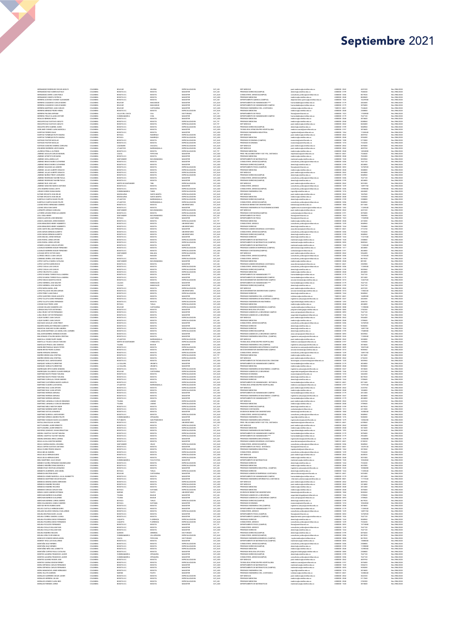## NAMENTA DE CONSUMERANTE DE CONSUMERANT DE CONSUMERANT DE CONSUMERANT DE CONSUMERANT DE CONSUMERANT DE CONSUMER DE CONSUMER DE CONSUMER DE CONSUMER DE CONSUMER DE CONSUMER DE CONSUMER DE CONSUMER DE CONSUMER DE CONSUMER DE , не положе по положе по положе положе по положе по положе по положе по положе по положе по положе по положе по положе по положе по положе по положе по положе по положе по положе по положе по положе по положе по положе по **MERINE CONFIDENTIAL AND A SUBARU AND A SUBARU AND A SUBARU AND A SUBARU AND A SUBARU AND A SUBARU AND A SUBARU AND A SUBARU AND A SUBARU AND A SUBARU AND A SUBARU AND A SUBARU AND A SUBARU AND A SUBARU AND A SUBARU AND A** 24 (and 2000) and 2000 (and 2000) and 2000 (and 2000) and 2000 (and 2000) and 2000 (and 2000) and 2000 (and 2000) and 2000 (and 2000) and 2000 (and 2000) and 2000 (and 2000) and 2000 (and 2000) and 2000 (and 2000) and a and the state of the state of the state of the state of the state of the state of the state of the state of the state of the state of the state of the state of the state of the state of the state of the state of the sta

### Septiembre 2021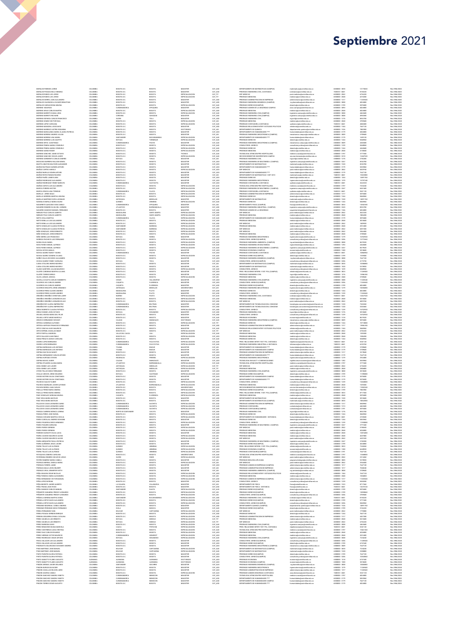# MPARIS THE MANUFACTURE SURFAIN DRIVEN IN the main of the main of the main of the main of the main of the main of the main of the main of the main of the main of the main of the main of the main of the main of the main of WE WAN A THE REAL PROPERTY AND RELEASE THE RELEASE THE RELEASE THE RELEASE THE RELEASE THE RELEASE THE RELEASE THE RELEASE THE RELEASE THE RELEASE THE RELEASE THE RELEASE THE RELEASE THE RELEASE THE RELEASE THE RELEASE THE REGISTER EN ANNE DE CONSUMER DE CONSUMER DE CONSUMER DE CONSUMER DE CONSUMER DE CONSUMER DE CONSUMER DE CONSUMER DE CONSUMER DE CONSUMER DE CONSUMER DE CONSUMER DE CONSUMER DE CONSUMER DE CONSUMER DE CONSUMER DE CONSUMER D e anterior de la consequence de la consequence de la consequence de la consequence de la consequence de la consequence de la consequence de la consequence de la consequence de la consequence de la consequence de la conseq STRAIN AN ENDERED WAS the control of the control of the control of the control of the control of the control of the control of the control of the control of the control of the control of the control of the control of the

### Septiembre 2021

Res 2086/2021<br>Res 2086/2021<br>Res 2086/2021<br>Res 2086/2021<br>Res 2086/2021<br>Res 2086/2021<br>Res 2086/2021<br>Res 2086/2021<br>Res 2086/2021<br>Res 2086/2021<br>Res 2086/2021<br>Res 2086/2021<br>Res 2086/2021<br>Res 2086/2021<br>Res 2086/2021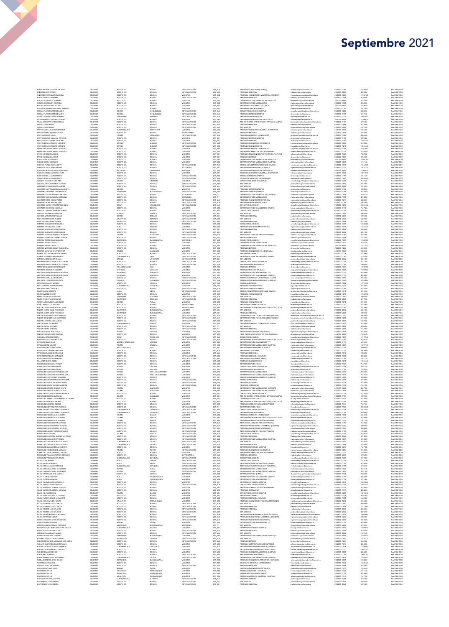| PIÑEROS BARRETO OSCAR ORLANDO                                                                           | COLOMBIA                         | BOGOTA D.C                                 | BOGOTA                            | ESPECIALIZACION                                | CAT_AUX                       | PREGRADO CONTADURIA(CAMPUS)                                                                                   | conteduria@unimilitar.edu.co                                                                        | 6500000 - 3191                   | 11390080                        | Res 2086/2020                     |
|---------------------------------------------------------------------------------------------------------|----------------------------------|--------------------------------------------|-----------------------------------|------------------------------------------------|-------------------------------|---------------------------------------------------------------------------------------------------------------|-----------------------------------------------------------------------------------------------------|----------------------------------|---------------------------------|-----------------------------------|
| PIÑEROS CASTRO FANN                                                                                     | COLOMBIA                         | BOGOTA D.C                                 | BOGOTA                            | ESPECIALIZACIO                                 | CAT_ASO                       | PREGRADO MEDICINA                                                                                             | edcina@unimilitar.edu.co                                                                            | 6500000 - 2048                   | 4024800                         | Res 2086/2020                     |
| PIÑEROS RIVERA BEATRIZ AURORA<br>PLATA GOMEZ GUILLERMO                                                  | COLOMBIA<br><b>COLOMBIA</b>      | BOGOTA D.C<br>BOGOTA D.C                   | BOGOTA<br>BOGOTA                  | MAGISTER<br>ESPECIALIZACION                    | CAT_ASO<br>CAT TIT            | PREGRADO INGENIERIA DE MULTIMEDIA (CAMPUS)<br>PRECRADO MEDICINA                                               | ingenieria.campus@unimilitar.edu.co<br>edcina@unimilitar.edu.co                                     | 6500000 - 3247<br>6500000 - 2048 | 13986180<br>8420400             | Res 2086/2020<br>Res 2086/2020    |
| PLAZAS ROJAS LADY JOHANN                                                                                | COLOMBU                          | BOGOTA D.C                                 | BOGOTA                            | MAGISTER                                       | CAT_ASO                       | DEPARTAMENTO DE MATEMATICAS - DIST 2013                                                                       | natematicas@unimilitar.edu.co                                                                       | 7480333 - 6841                   | 4527000                         | Res 2086/2020                     |
| PLAZAS ROJAS LADY JOHANNA<br>PLAZAS VEGA RAFAEL ARTURO                                                  | <b>COLOMBIA</b><br>COLOMBU       | BOGOTA D.C<br>BOGOTA D.C                   | BOGOTA<br>BOGOTA                  | MAGISTER<br>MAGISTER                           | CAT ASO<br>CAT_ASO            | DEPARTAMENTO DE MATEMATICAS<br>PREGRADO CONTADURIA A DISTANCIA                                                | matematicas@unimilitar.edu.co<br>cpdistancia@unimilitar.edu.co                                      | 6500000 - 1520<br>7480333 - 6841 | 4930380<br>7244640              | Res 2086/2020<br>Res 2086/2020    |
| POLANCO, IMPNEZ GILLI FRMO FRNESTO                                                                      | COLOMBIA                         | BOGOTA D.C                                 | BOGOTA                            | <b>MAGISTER</b>                                | CAT_ASO                       | PREGRADO DERECHO(CAMPUS)                                                                                      | derecho@unimilitar.edu.co                                                                           | 6500000 - 3199                   | 6741540                         | Res 2086/2020                     |
| ORRAS FLORIAN JAIME EDUARDI<br>PORRAS FLORIAN JAIME EDUARDO                                             | COLOMBU<br>COLOMBIA              | OYACA<br>BOYACA                            | CHIQUINQUIR<br>CHIQUINQUIRA       | ESPECIALIZACION<br>ESPECIALIZACION             | CAT_AUX<br>CAT_AUX            | CONSULTORIO JURIDICO(CAMPUS)<br>PREGRADO DERECHO(CAMPUS)                                                      | oraultorio juridico@unimilitar.edu.c<br>derecho@unimilitar.edu.co                                   | 6500000 - 3206<br>6500000 - 3199 | 4463680<br>9312160              | Res 2086/2020<br>Res 2986/2020    |
| PORRAS SUAREZ CARLOS ALBERTO                                                                            | COLOMBU                          | SANTANDER                                  | <b>BARBOSA</b>                    | ESPECIALIZACION                                | CAT_AUX                       | PREGRADO INGENIERIA CIVIL                                                                                     | ngcivi@unimilitar.edu.co                                                                            | 6500000 - 1276                   | 10697440                        | Res 2986/2020                     |
| POSSO AREVALO ORLANDO GERMAN<br>PRADA MUÑOZ RICARDO ESTEBAN                                             | COLOMBIA<br>COLOMBIA             | BOGOTA D.C<br>BOGOTA D.C                   | BOGOTA<br>BOGOTA                  | MAGISTER<br>ESPECIALIZACION                    | CAT_ASO<br>CAT AUX            | PREGRADO INGENIERIA CIVIL A DISTANCIA<br>TEC. EN GESTION Y PRODUCCION HORTICOLA CAMPUS                        | icdistancia@unimilitar.edu.co<br>tecnologia horticultura@unimilitar.edu.co                          | 7480333 - 6841<br>6500000 - 3183 | 17206020<br>3078400             | Res 2986/2020<br>Res 2986/2020    |
| PRADA TOVAR MIGUEL                                                                                      | COLOMBU                          | BOGOTA D.C                                 | BOGOTA                            | ESPECIALIZACIO                                 | CAT_AUX                       | PREGRADO MEDICINA                                                                                             | nedicina@unimilitar.edu.co                                                                          | 6500000 - 2048                   | 3078400                         | Res 2986/2020                     |
| PRADA TOVAR MIGUEL                                                                                      | COLOMBIA                         | BOGOTA D.C.                                | BOGOTA                            | ESPECIALIZACION                                | CAT_AUX                       | <b>ESP. MEDICAS</b>                                                                                           | post.medicina@unimilitar.edu.co                                                                     | 6500000 - 2042                   | 1847040                         | Res 2986/2020                     |
| PRIETO CARRILLO JOHN ALEXANDER<br>PRIETO FORERO ANDRES CAMILO                                           | COLOMBU<br>COLOMBIA              | CUNDINAMARO<br>BOGOTA D.C.                 | FACATATIVA<br>BOGOTA              | MAGISTER<br><b>UNIVERSITARIO</b>               | CAT_ASO<br>CAT ASI            | PREGRADO INGENIERIA INDUSTRIAL A DISTANCIA<br>PREGRADO MEDICINA                                               | idistancia@unimiltar.edu.co<br>medicina@unimilitar.edu.co                                           | 7480333 - 6841<br>6500000 - 2048 | 5433480<br>7419200              | Res 2986/2020<br>Res 2986/2020    |
| PRIETO MORENO ARLES                                                                                     | COLOMBU                          | TOLIMA                                     | CHAPARRA                          | ESPECIALIZACION                                | CAT_AUX                       | PREGRADO ADMON DE LA SEGURIDAD                                                                                | eguridad.integral@unimilitar.edu.r                                                                  | 6500000 - 1346                   | 4463680                         | Res 2986/202                      |
| PRIETO MORENO JHOANNA CATERINE<br>PRIETO SALAS MANUEL ASDRUBAL                                          | COLOMBIA<br>COLOMBIA             | BOGOTA D.C<br>BOGOTA D.C                   | BOGOTA<br>BOGOTA                  | <b>MAGISTER</b><br>MAGISTER                    | CAT_ASI<br>CAT_ASI            | PREGRADO DERECHO(CAMPUS)<br>PREGRADO DERECHO                                                                  | derecho@unimilitar.edu.co<br>derecho@unimiltar.edu.co                                               | 6500000 - 3199<br>6500000 - 1244 | 3709600<br>14560180             | Res 2986/2020<br>Res 2986/2020    |
| PRIETO SERRANO RAMIRO LISANDRO                                                                          | COLOMBIA                         | BOYACA                                     | MONGUA                            | ESPECIALIZACION                                | CAT_ASO                       | PREGRADO INGENIERIA CIVIL (CAMPUS)                                                                            | ingenieria.campus@unimilitar.edu.co                                                                 | 6500000 - 3008                   | 3018600                         | Res 2986/2020                     |
| PRIETO SERRANO RAMIRO LISANDRO<br>PRIMICIERO JAMAICA NURY MARCELA                                       | COLOMBIA<br>COLOMBU              | BOYACA<br>BOGOTA D.C                       | MONGUA<br>BOGOTA                  | ESPECIALIZACION<br>MAGISTER                    | CAT_ASO<br>CAT_ASO            | PREGRADO INGENIERIA CIVIL<br>PREGRADO ADMON DE LA SEGURIDAD                                                   | civilizarimilitar.edu.co<br>seguridad.integral@unimilitar.edu.co                                    | 6500000 - 1276<br>6500000 - 1346 | 11269440<br>10363860            | Res 2986/2020<br>Res 2986/2020    |
| PRIMICIERO JAMAICA NURY MARCELA                                                                         | COLOMBIA                         | BOGOTA D.C                                 | BOGOTA                            | MAGISTER                                       | CAT ASO                       | PREGRADO ADMINISTRACIÓN DE EMPRESAS                                                                           | administracion@unimilitar.edu.co                                                                    | 6500000 - 1317                   | 4024800                         | Res 2986/2020                     |
| PRYOR MORENO MAURICIO                                                                                   | COLOMBU                          | BOGOTA D.C                                 | BOGOT/                            | MAGISTER                                       | CAT_ASI                       | PREGRADO RELACIONES INTER Y ESTUDIOS POLITICOS                                                                | relinternal@unimilitar.edu.co<br>derecho@unimilitar.edu.co                                          | 6500000 - 1344                   | 7882900                         | Res 2986/2020                     |
| PRYOR MORENO MAURICIO<br>PUELLO GARCIA JOSE LUIS                                                        | COLOMBIA<br>COLOMBIA             | BOGOTA D.C<br>BOGOTA D.C                   | BOGOTA<br>BOGOTA                  | MAGISTER<br>MAGISTER                           | CAT_ASI<br>CAT_ASO            | PREGRADO DERECHO<br>DEPARTAMENTO DE MATEMATICAS - DIST 2013                                                   | matematicas@unimilitar.edu.co                                                                       | 6500000 - 1244<br>7480333 - 6841 | 3709600<br>10565100             | Res 2986/2020<br>Res 2986/2020    |
| PUELLO GARCIA JOSE LUIS                                                                                 | COLOMBIA                         | BOGOTA D.C                                 | <b>BOGOTA</b>                     | MAGISTER                                       | CAT_ASO                       | DEPARTAMENTO DE MATEMATICAS (CAMPUS)                                                                          | matematicas@unimilitar.edu.co                                                                       | 6500000 - 3055                   | 6741540                         | Res 2986/2020                     |
| PUENTES PARDO LEIDY JULIETH<br>PUERTO ACOSTA JORGE ANDRES                                               | COLOMBU<br>COLOMBIA              | BOGOTA D.C<br>BOGOTA D.C                   | BOGOTA<br><b>BOGOTA</b>           | <b>ESPECIALIZACION</b><br>DOCTORADO            | CAT_AUX<br>CAT_ASI            | SECCION BIENESTAR UNIVERSITARIO CAMPUS<br>PREGRADO INGENIERIA MECATRONICA                                     | seccion.bienestar@unimilitar.edu.c<br>ingmecatronica@unimilitar.edu.co                              | 6500000 - 3310<br>6500000 - 1279 | 12467520<br>11870720            | Res 2986/2020<br>Res 2986/2020    |
| PULGARIN MONTOYA DIEGO ALEJANDRO                                                                        | <b>COLOMBIA</b>                  | <b>ANTIQQUIA</b>                           | CARAMANTA                         | MAGISTER                                       | CAT ASO                       | PREGRADO INGENIERIA CIVIL A DISTANCIA                                                                         | edistancia (tunimilitar.edu.co                                                                      | 7480333 - 6841                   | 17206020                        | Res 2986/2020                     |
| PULIDO RAMIREZ MARIA DEL PILAR<br>PULIDO BEVES ALVARO FRAESTO                                           | COLOMBU<br><b>COLOMBIA</b>       | BOGOTA D.C<br>BOGOTA D.C                   | BOGOTA<br><b>BOGOTA</b>           | MAGISTER<br>ESPECIALIZACION                    | CAT_ASI<br>CAT ASO            | PREGRADO INGENIERIA INDUSTRIAL A DISTANCIA<br>PREGRADO DERECHO(CAMPUS)                                        | idistancia@unimilitar.edu.co<br>derecho@unimilitar.edu.co                                           | 7480333 - 6841<br>6500000 - 3199 | 10015920<br>6741540             | Res 2986/2020<br>Res 2986/2020    |
| PULIDO REYES ALVARO ERNESTO                                                                             | COLOMBU                          | BOGOTA D.C.                                | BOGOTA                            | ESPECIALIZACION                                | CAT_ASO                       | DIVISION DE BIENESTAR UNIVERSITARIO                                                                           | bienestarjäunimilitar.edu.co                                                                        | 6500000 - 1060                   |                                 | Res 2986/2020                     |
| QUICENO FRANCO GLORIA INES                                                                              | COLOMBIA                         | CALDAS<br>BOGOTA D.C                       | ANSERMA<br>BOGOTA                 | MAGISTER<br><b>ESPECIALIZACIO</b>              | CAT_ASO                       | CONSULTORIO JURIDICO(CAMPUS)                                                                                  | consultorio juridico@unimilitar.edu.co                                                              | 6500000 - 3206                   | 10866960<br>7647120             | Res 2986/2020                     |
| QUIJANO NIETO BERNARDO ALFONS<br>QUINTERO BELTRAN OSCAR ANDRES                                          | COLOMBU<br>COLOMBIA              | BOGOTA D.C                                 | BOGOTA                            | ESPECIALIZACION                                | CAT_ASO<br>CAT_ASI            | ESP. MEDICAS<br>ESP. MEDICAS                                                                                  | post medicina@unimilitar.edu.co<br>post medicina@unimilitar.edu.co                                  | 6500000-2042<br>6500000 - 2042   | 2414880<br>2225760              | Res 2986/2021<br>Res 2086/2020    |
| QUINTERO CASTELLANOS ANA ELIZABETH                                                                      | COLOMBU                          | BOYACA                                     | TUNJA                             | MAGISTER                                       | CAT_ASO                       | PREGRADO DERECHO(CAMPUS)                                                                                      | derecho@unimilitar.edu.co                                                                           | 6500000 - 3199                   | 9458280                         | Res 2086/2020                     |
| QUINTERO CHAPARRO SANDRA ROCIO<br>OUINTERO ESCOBAR MARIA CAROLINA                                       | COLOMBIA<br><b>COLOMBIA</b>      | SANTANDER<br>BOGOTA D.C                    | BUCARAMANGA<br><b>BOGOTA</b>      | ESPECIALIZACION<br>DOCTORADO                   | CAT_ASO<br>CAT TIT            | PREGRADO DERECHO(CAMPUS)<br>DEPARTAMENTO DE MATEMATICAS (CAMPUS)                                              | derecho@unimilitar.edu.co<br>matematicas@unimilitar.edu.co                                          | 6500000 - 3199<br>6500000 - 3055 | 4024800<br>8139720              | Res 2086/2020<br>Res 2086/2020    |
| QUINTERO ESCOBAR MARIA CAROLINA                                                                         | COLOMBIA                         | BOGOTA D.C                                 | BOGOTA                            | DOCTORADO                                      | $car\_TT$                     | DEPARTAMENTO DE MATEMATICAS                                                                                   | satematicas@unimilitar.edu.co                                                                       | 6500000 - 1520                   | 4210200                         | Res 2086/2020                     |
| QUINTERO MORA JOSE ANTONIO<br>QUINTERO MORA JOSE ANTONIO                                                | <b>COLOMBIA</b><br>COLOMBU       | BOGOTA D.C<br>BOGOTA D.C                   | <b>BOGOTA</b><br>BOGOTA           | ESPECIALIZACION<br>ESPECIALIZACION             | CAT AUX<br>CAT_AUX            | PREGRADO INGENIERIA MECATRONICA<br>PREGRADO INGENIERIA INDUSTRIAL                                             | ingmecatronica@unimilitar.edu.co<br>ingindustrial@unimilitar.edu.co                                 | 6500000 - 1279<br>6500000 - 1264 | 4463680<br>2385760              | Res 2086/2020<br>Res 2086/2020    |
| QUINTERO QUIROZ YAWARNIY MAHINDL                                                                        | <b>COLOMBIA</b>                  | CESAR                                      | VALLEDUPAR                        | ESPECIALIZACION                                | CAT_AUX                       | CONSULTORIO JURIDICO                                                                                          | roultorio juridico@unimilitar.edu.co                                                                | 6500000 - 1239                   | 10697440                        | Res 2086/2020                     |
| QUINTERO RODRIGUEZ MARIELA                                                                              | COLOMBU                          | 30GOTA D.C.                                |                                   |                                                | CAT_ASO                       | DEPARTAMENTO DE HUMANIDADES CAMPUS                                                                            | manidades@unimilitar.edu.co                                                                         | 6500000 - 3179                   | 7647120                         | Res 2086/2020                     |
| QUIROGA CUBILLOS JOHN ALEXANDER<br>QUIROGA MATAMOROS WILLIAM                                            | COLOMBIA<br>COLOMBIA             | BOGOTA D.C<br>BOYACA                       | BOGOTA<br>SAMACA                  | MAGISTER<br>ESPECIALIZACION                    | CAT_ASO<br>CAT_ASI            | CONSULTORIO JURIDICO<br>ESP. MEDICAS                                                                          | consultorio juridico@unimilitar.edu.co<br>tost medicina@unimilitar.edu.co                           | 6500000 - 1239<br>6500000 - 2042 | 0458280<br>556400               | Res 2086/2020<br>Res 2986/2020    |
| QUIROGA MATAMOROS WILLIAM                                                                               | COLOMBIA                         | BOYACA                                     | SAMACA                            | ESPECIALIZACION                                | CAT_ASI                       | PREGRADO MEDICINA                                                                                             | medicina@unimilitar.edu.co                                                                          | 6500000 - 2048                   | 3709600                         | Res 2986/2020                     |
| RADA ESCOBAR ROBIN ALONSO<br>RADA ESCOBAR ROBIN ALONSO                                                  | COLOMBIA<br>COLOMBU              | <b>ATLANTICO</b><br>ATLANTICO              | BARANOA<br>BARANOA                | ESPECIALIZACION<br>ESPECIALIZACION             | CAT ASO<br>CAT_ASO            | <b>ESP. MEDICAS</b><br>PREGRADO MEDICINA                                                                      | post medicina@unimilitar.edu.co<br>medicina@unimilitar.edu.co                                       | 6500000 - 2042<br>6500000 - 2048 | 6037200<br>5031000              | Res 2986/2020<br>Res 2986/2020    |
| RAMIREZ ARENAS ODUBER ALEXIS                                                                            | COLOMBIA                         | BOGOTA D.C                                 | BOGOTA                            | DOCTORADO                                      | CAT ASO                       | CONSULTORIO JURIDICO                                                                                          | consultorio juridico@unimilitar.edu.co                                                              | 6500000 - 1239                   | 13080600                        | Res 2986/2020                     |
| RAMIREZ ARTUNDUAGA JAIME<br>RAMIREZ BARRAGAN LUIS EDUARDO                                               | COLOMBU<br>COLOMBIA              | HULA<br>BOGOTA D.C                         | GARZON<br>BOGOTA                  | MAGISTER<br>ESPECIALIZACION                    | CAT_ASO<br>CAT ASI            | PREGRADO INGENIERIA MECATRONICA<br>PREGRADO MEDICINA                                                          | ingmecatronica@unimilitar.edu.co<br>nedicina@unimilitar.edu.co                                      | 6500000 - 1279<br>6500000 - 2048 | 11269440<br>3709600             | Res 2986/2020<br>Res 2986/2020    |
| RAMIREZ BARRAGAN LUIS EDUARDO                                                                           | COLOMBU                          | BOGOTA D.C                                 | BOGOTA                            | ESPECIALIZACION                                | CAT_ASI                       | ESP. MEDICAS                                                                                                  | post.medicina@unimilitar.edu.co                                                                     | 6500000 - 2042                   | 4451520                         | Res 2986/202                      |
| RAMIREZ CASTILLO FEDERICO ALFREDO                                                                       | COLOMBIA                         | CALDAS                                     | MANZALES                          | ESPECIALIZACION                                | CAT_AUX                       | TECNOLOGIA ATENCION PRE HOSPITALARIA                                                                          | medicina.social@unimilitar.edu.co                                                                   | 6500000 - 3197                   | 3078400                         | Res 2986/2020                     |
| RAMIREZ CORREDOR AMPARO LEONOF<br>RAMIREZ CORZO CESAR AUGUSTO                                           | COLOMBIA<br>COLOMBIA             | BOGOTA D.C.<br>SANTANDER                   | BOGOTA<br>BUCARAMANGA             | ESPECIALIZACION<br>DOCTORADO                   | CAT_ASO<br>CAT_ASO            | PREGRADO MEDICINA<br>CONSULTORIO JURIDICO                                                                     | medicina@unimilitar.edu.co<br>consultorio juridico@unimilitar.edu.co                                | 6500000 - 2048<br>6500000 - 1239 | 6037200<br>17608500             | Res 2986/2020<br>Res 2986/2020    |
| RAMIREZ JIMENEZ YAMILLE                                                                                 | COLOMBIA                         | BOGOTA D.C                                 | BOGOTA                            | MAGISTER                                       | CAT_ASO                       | DERAFTAMENTO DE MATEMATICAS                                                                                   | natematicas@unimilitar.edu.co                                                                       | 6500000 - 1520                   | 3119220                         | Res 2986/2020                     |
| RAMIREZ JIMENEZ YAMILLE<br>BAMBEZ MENERER, MHIMY ALEXANDRA                                              | COLOMBU<br>COLOMBIA              | BOGOTA D.C<br>BOGOTA D.C                   | BOGOTA<br>BOGOTA                  | MAGISTER<br>MAGISTER                           | CAT_ASO<br>CAT ASO            | DEPARTAMENTO DE MATEMATICAS - DIST 2013<br>PREGRADO DERECHO                                                   | natematicas@unimilitar.edu.co<br>derecho@unimilitar.edu.co                                          | 7480333 - 6841<br>6500000 - 1244 | 11772540<br>5835960             | Res 2986/2020<br>Res 2986/2020    |
| RAMIREZ NARANJO BELSY CRISTINA                                                                          | COLOMBU                          | CALDAS                                     | MANIZALES                         | MAGISTER                                       | CAT_ASO                       | PREGRADO INGENIERIA CIVIL A DISTANCIA                                                                         | icdistancia@unimilitar.edu.co                                                                       | 7480333 - 6841                   | 8904870                         | Res 2986/2020                     |
| <b>BAMON TRILLOS VIRGILIO ALF JANDRO</b>                                                                | COLOMBIA<br>COLOMBU              | BOGOTA D.C<br>CUNDINAMARC                  | <b>BOGOTA</b>                     | ESPECIALIZACION                                | CAT ASO                       | PREGRADO ECONOMIA                                                                                             | economia@unimilitar.edu.co                                                                          | 6500000 - 1318<br>6500000 - 3197 | 5835960                         | Res 2986/2020<br>Res 2986/202     |
| <b>RAMOS JUTINICO SONIA ANDREA</b><br>RAMOS RAMOS GLORIA EDILMA                                         | COLOMBIA                         | NARINO                                     | LA FLORIDA                        | ESPECIALIZACION<br>ESPECIALIZACION             | CAT_AUX<br>CAT_ASI            | TECNOLOGIA ATENCION PRE HOSPITALARIA<br>ESP. MEDICAS                                                          | vdcina social@unimilitar.<br>post medicina@unimilitar.edu.co                                        | 6500000 - 2042                   | 7234240<br>4451520              | Res 2986/2020                     |
| REDONDO VARGAS MONICA ALEXANDR                                                                          | COLOMBU                          | BOGOTA D.C.                                | BOGOTA                            | ESPECIALIZACIO                                 | CAT_AUX                       | CONSULTORIO JURIDICO(CAMPUS)                                                                                  | consultorio juridico@unimilitar.edu.c                                                               | 6500000 - 3206                   | 3771040                         | Res 2986/202                      |
| REDONDO VARGAS MONICA ALEXANDRA<br>RENGIFO LOZANO DIEGO FERNANDO                                        | COLOMBIA<br><b>COLOMBIA</b>      | BOGOTA D.C<br>VALLE DEL CAUCA              | <b>BOGOTA</b><br>CALL             | ESPECIALIZACION<br>MAGISTER                    | CAT_AUX<br>CAT ASO            | PREGRADO DERECHO(CAMPUS)<br>PREGRADO DERECHO                                                                  | derecho@unimilitar.edu.co<br>derecho@unimilitar.edu.co                                              | 6500000 - 3199<br>6500000 - 1244 | 2308800<br>16702920             | Res 2986/2020<br>Res 2986/2020    |
| RESTREPO BENAVIDES MARIANA                                                                              | COLOMBU                          | ANTIOQUU                                   | MEDELLIN                          | MAGISTER                                       | CAT_ASO                       | PREGRADO BIOLOGIA APLICADA                                                                                    | programa biologia(čunimilitar.edu.co                                                                | 6500000 - 3085                   | 16702920                        | Res 2986/2020                     |
| RESTREPO GIRALDO FRANCISCO JAVIER<br>RESTREPO GIRALDO FRANCISCO JAVIER                                  | <b>COLOMBIA</b><br>COLOMBU       | RISARALDA                                  | MARSELLA                          | MAGISTER                                       | CAT ASO                       | DEPARTAMENTO DE HUMANIDADES ****                                                                              | humanidades@unimilitar.edu.co                                                                       | 6500000 - 3179<br>6500000 - 3179 | 4024800                         | Res 2986/2020                     |
| RESTREPO MORA DIANA CRISTINA                                                                            | <b>COLOMBIA</b>                  | RISARALDA<br>BOGOTA D.C                    | MARSELLA<br><b>BOGOTA</b>         | MAGISTER<br>ESPECIALIZACION                    | CAT_ASO                       | DEPARTAMENTO DE HUMANIDADES CAMPUS<br>PREGRADO ADMON DE LA SEGURIDAD CAMPUS                                   | humanidades@unimilitar.edu.co<br>asso campua@unimilitar.edu.co                                      | 6500000-3093                     | 4024800<br>2024480              | Res 2986/2020<br>Res 2986/2020    |
| <b>ESTREPO TOVAR ERIKA PATRICU</b>                                                                      | COLOMBU                          | CAQUETA                                    | LORENCH                           | ESPECIALIZACION                                | CAT_AUX<br>CAT_AUX            | PREGRADO INGENIERIA INDUSTRIAL (CAMPUS                                                                        | ngenieria.campus@unimi                                                                              | 6500000-3245                     | 139008                          | Res 2986/202                      |
| RETIS AMAYA JUAN MANUEL<br>REY CAMPEROS EDGAR MAURICIO                                                  | COLOMBIA<br>COLOMBU              | BOGOTA D.C<br>CUNDINAMARO                  | BOGOTA<br>ZIPAQUIRI               | MAGISTER<br><b>MAGISTER</b>                    | CAT_ASO<br>CAT_ASO            | PREGRADO DERECHO<br>PREGRADO INGENIERIA CIVIL                                                                 | derecho@unimilitar.edu.co<br>ngcivil@unimilitar.edu.co                                              | 6500000 - 1244<br>6500000 - 1276 | 15797340<br>5835960             | Res 2086/2020<br>Res 2086/2020    |
| REY LEON JERMY CATALINA                                                                                 | COLOMBIA                         | BOGOTA D.C.                                | BOGOTA                            | ESPECIALIZACION                                | CAT_AUX                       | PREGRADO DERECHO(CAMPUS)                                                                                      | derecho@unimilitar.edu.co                                                                           | 6500000 - 3199                   | 3078400                         | Res 2086/2020                     |
| REYES GARCIA ERNESTO<br>REYES RIVEROS HECTOR                                                            | <b>COLOMBIA</b><br>COLOMBIA      | HULA<br>BOGOTA D.C                         | NEIVA<br>BOGOTA                   | ESPECIALIZACION<br>MAGISTER                    | CAT AUX<br>CAT_ASO            | SECCION BIENESTAR UNIVERSITARIO CAMPUS<br>PREGRADO INGENIERIA CIVIL                                           | seccion bienestar@unimilitar.edu.co                                                                 | 6500000 - 3310<br>6500000 - 1276 | 9696960<br>17608500             | Res 2086/2020<br>Res 2086/2020    |
| REVES TO FDO RAIL FOLLAROO                                                                              | <b>COLOMBIA</b>                  | SANTANDER                                  | SOCORRO                           | ESPECIALIZACION                                | CAT_AUX                       | ESP. MEDICAS                                                                                                  | ingcivil@unimilitar.edu.co<br>post medicina (čunimi litar edu co                                    | 6500000 - 2042                   | 3694080                         | Res 2086/2020                     |
| REYES TOLEDO RAUL EDUARDO<br>REYES VARGAS JEIMY ALEXANDRA                                               | COLOMBU<br><b>COLOMBIA</b>       | SANTANDER<br>BOYACA                        | SOCORRO<br>TUNJA                  | ESPECIALIZACION<br><b>MAGISTER</b>             | CAT_AUX                       | PREGRADO MEDICINA<br>PREGRADO INGENIERIA CIVIL                                                                | medicina@unimilitar.edu.co                                                                          | 6500000 - 2048<br>6500000 - 1276 | 4617600<br>3018600              | Res 2086/2020<br>Res 2086/2020    |
| RIAÑO DUARTE LUIS ANTONIO                                                                               | COLOMBU                          | BOGOTA D.C                                 | BOGOTA                            | <b>UNIVERSITARIO</b>                           | CAT_ASO<br>CAT_AUX            | PREGRADO ECONOMIA (CAMPUS)                                                                                    | ingcivil@unimilitar.edu.co                                                                          | 6500000 - 130                    | 7772060                         | Res 2086/2020                     |
| RINCON CASTRO MARCELA DEL PILAR                                                                         | COLOMBIA                         | BOGOTA D.C<br>SANTANDER                    | BOGOTA<br>BUCARAMANCA             | <b>UNIVERSITARIO</b><br>MAGISTER               | CAT_ASO                       | PREGRADO RELACIONES INTER Y ESTUDIOS POLITICOS                                                                | relinternal@unimilitar.edu.co                                                                       | 6500000 - 1344                   | 5835960                         | Res 2086/2020                     |
| RINCON DURAN JAIME FRANCISCO<br>RINCON DURAN JAIME FRANCISCO                                            | COLOMBIA<br>COLOMBIA             | SANTANDER                                  | BUCARAMANGA                       | MAGISTER                                       | CAT_ASI<br>CAT_ASI            | ESP. MEDICAS<br>PREGRADO MEDICINA                                                                             | ost.medicina@unimilitar.edu.cr<br>medicina@unimilitar.edu.co                                        | 6500000 - 2042<br>6500000 - 2048 | 4451520<br>3709600              | Res 2086/2020<br>Res 2986/2020    |
| RINCON GONZALEZ CARLOS ENRIQUE                                                                          | COLOMBIA                         | BOGOTA D.C                                 | BOGOTA                            | ESPECIALIZACION                                | CAT AUX                       | DEPARTAMENTO DE TECNOLOGIAS DEL CONOCIM                                                                       |                                                                                                     | 6500000 - 1220                   | 4463680                         | Res 2986/2020                     |
| RINCON GONZALEZ CARLOS ENRIQUE<br>RINCON LA ROTTA LUIS CARLOS                                           | COLOMBIA<br>COLOMBIA             | BOGOTA D.C<br>BOGOTA D.C.                  | BOGOTA<br>BOGOTA                  | ESPECIALIZACION<br>ESPECIALIZACION             | CAT_AUX<br>CAT ASO            | DEPARTAMENTO DE TECNOLOGIAS DEL CONOCIMI<br><b>ESP. MEDICAS</b>                                               | ecnologias conocimiento@unimilitar.edu.co<br>post.medicina@unimilitar.edu.co                        | 6500000 - 1220<br>6500000 - 2042 | 8619520<br>6037200              | Res 2986/2020<br>Res 2986/2020    |
| RINCON MORA LUZ MIREYA                                                                                  | COLOMBU                          | CUNDINAMARO                                | <b>SUESCA</b>                     | MAGISTER                                       | CAT_ASO                       | PREGRADO ADMON DE LA SEGURIDAD CAMPUS                                                                         | asso.campus@unimilitar.edu.co                                                                       | 6500000 - 3093                   | 3018600                         | Res 2986/2020                     |
| RINCON SIERRA OSWALDO<br>RINCON SIERRA OSWALDO                                                          | COLOMBIA<br>COLOMBU              | BOGOTA D.C.<br>BOGOTA D.C                  | BOGOTA<br>BOGOTA                  | ESPECIALIZACION<br>ESPECIALIZACION             | CAT TIT<br>cat_TIT            | ESP. MEDICAS<br>REGRADO MEDICINA                                                                              | post.medicina@unimilitar.edu.co<br>edicina@unimilitar.edu.co                                        | 6500000 - 2042<br>6500000 - 2048 | 8420400<br>5613600              | Res 2986/2020<br>Res 2986/202     |
|                                                                                                         | COLOMBIA                         | BOYACA                                     | DUITAMA                           | MAGISTER                                       | CAT_ASO                       |                                                                                                               | ingenieria.campus@unimilitar.edu.co                                                                 | 6500000 - 3008                   | 5835960                         | Res 2986/2020                     |
| RINCON VARGAS JOSE MIGUEL                                                                               |                                  |                                            |                                   |                                                |                               | PREGRADO INGENIERIA CIVIL(CAMPUS)                                                                             |                                                                                                     |                                  |                                 |                                   |
| RINCON VARGAS LINDA CRISTIAN                                                                            | COLOMBU                          | BOGOTA D.C                                 | BOGOTA                            | MAGISTER                                       | CAT_ASO                       | PREG. RELACIONES INTER Y EST. POL. DISTANCIA                                                                  | iepdistancia@unimilitar.edu.co                                                                      | 7480333 - 6841                   | 7244540                         | Res 2986/2020                     |
| RIOS VEGA CARMEN YANETH<br>RIVERA BAYONA JAIRO NICOLAS                                                  | COLOMBIA<br>COLOMBIA             | CESAR<br>BOGOTA D.C.                       | RIO DE ORO<br>BOGOTA              | ESPECIALIZACIO<br>ESPECIALIZACION              | CAT_AUX<br>CAT_AUX            | CONSULTORIO JURIDICO<br>PREGRADO RELACIONES INTER Y ESTUDIOS POLITICOS                                        | consultorio juridico@unimilitar.edu.co<br>vintemal@unimilitar.edu.co                                | 6500000 - 1239<br>6500000 - 1344 | 12775360<br>8619520             | Res 2986/2020<br>Res 2986/2020    |
| RIVERA BOTELLO ELIAS                                                                                    | COLOMBU                          | NORTE DE SANTANDE                          | LOURDES                           | MAGISTER                                       | CAT_ASO                       | DEPARTAMENTO DE HUMANIDADES ***                                                                               | rumanidades@unimilitar.edu.co                                                                       | 6500000 - 3179                   | 5835960                         | Res 2986/2020                     |
| RIVERA LOZANO WILSON                                                                                    | COLOMBIA                         | TOLIMA                                     | SALDANA                           | MAGISTER                                       | CAT ASO                       | DEPARTAMENTO DE MATEMATICAS (CAMPUS)                                                                          | matematicas@unimilitar.edu.co                                                                       | 6500000 - 3055                   | 11873160                        | Res 2986/2020                     |
| RIVERA MEDINA JUAN CAMILO<br>RIVEROS AVILA ANDRES RICARDO                                               | COLOMBU<br>COLOMBIA              | VALLE DEL CAUCA<br>BOGOTA D.C              | CALL<br>BOGOTA                    | MAGISTER<br>MAGISTER                           | CAT_ASI<br>CAT AUX            | PREGRADO INGENIERIA MECATRONICA<br>PREGRADO CONTADURIA                                                        | ingmecatronica@u<br>militar.edu.co<br>conteduria@unimilitar.edu.co                                  | 6500000 - 1279<br>6500000 - 1313 | 3709600<br>4463680              | Res 2986/2020<br>Res 2986/2020    |
| RIVEROS AVILA ANDRÉS RICARDO                                                                            | COLOMBU                          | BOGOTA D.C                                 | BOGOTA                            | MAGISTER                                       | CAT_AUX                       | PREGRADO ECONOMIA                                                                                             | conomia@unimilitar.edu.co                                                                           | 6500000 - 1318                   |                                 | Res 2986/2020                     |
| RIVEROS PRIETO LUIS HERNANDO<br>RIVEROS PRIETO LUIS HERNANDO                                            | COLOMBIA<br>COLOMBU              | BOGOTA D.C<br>BOGOTA D.C                   | <b>BOGOTA</b><br>BOGOTA           | ESPECIALIZACION<br>ESPECIALIZACION             | CAT_ASO<br>CAT_ASO            | PREGRADO ECONOMIA (CAMPUS)<br>PREGRADO CONTADURIA(CAMPUS)                                                     | economia@unimilitar.edu.co<br>contaduria@unimilitar.edu.co                                          | 6500000 - 1300<br>6500000 - 3191 | 4024800<br>7647120              | Res 2986/2020<br>Res 2986/202     |
| ROA VEGA MIGUEL ANGEL                                                                                   | COLOMBIA                         | BOGOTA D.C                                 | BOGOTA                            | MAGISTER                                       | CAT_ASO                       | PREGRADO INGENIERIA CIVIL                                                                                     | ingcivil@unimilitar.edu.co                                                                          | 6500000 - 1276                   | 11269440                        | Res 2986/2020                     |
| RODRIGUEZ BARRAGAN HERNEY<br>RODRIGUEZ CARDENAS EFRAID                                                  | <b>COLOMBIA</b><br>COLOMBU       | BOGOTA D.C<br>BOYACA                       | BOGOTA<br>DUITAMA                 | MAGISTER                                       | CAT ASO                       | DEPARTAMENTO DE FISICA<br>CONSULTORIO JURIDICO(CAMPUS)                                                        | faica@unimilitar.edu.co<br>raultorio juridico@unimilitar.edu.cr                                     | 6500000 - 1523<br>6500000 - 3206 | 7647120<br>9552220              | Res 2986/2020<br>Res 2986/2020    |
| RODRIGUEZ CARDENAS EFRAIN                                                                               | <b>COLOMBIA</b>                  | BOYACA                                     | <b>DUITAMA</b>                    | MAGISTER<br>MAGISTER                           | CAT_ASI<br>CAT ASI            | PREGRADO DERECHO(CAMPUS)                                                                                      | derecho@unimilitar.edu.co                                                                           | 6500000 - 3199                   | 7048240                         | Res 2986/2020                     |
| RODRIGUEZ CARDENAS VICTOR HELMAL<br>RODRIGUEZ CARDENAS VICTOR HELMAN                                    | COLOMBU<br><b>COLOMBIA</b>       | BOYACA<br>BOYACA                           | SAN LUIS DE GACENO                | MAGISTER<br>MAGISTER                           | CAT_ASO                       | DEPARTAMENTO DE MATEMATICAS<br>DERAFTAMENTO DE MATEMATICAS (CAMPUS)                                           | matematicas@unimilitar.edu.co<br>matematicas@unimilitar.edu.co                                      | 6500000 - 1520<br>6500000 - 3055 | 8552700                         | Res 2986/2020<br>Res 2986/2020    |
| RODRIGUEZ CASTRO LEIDY JOHANNA                                                                          | COLOMBU                          | BOGOTA D.C                                 | SAN LUIS DE GACENO<br>BOGOTA      | MAGISTER                                       | CAT_ASO<br>CAT_ASI            | REGRADO INGENIERIA AMBIENTAL (CAMPUS)                                                                         | ing ambiental@unimilitar.edu.co                                                                     | 6500000-3008                     | 7647120<br>3709600              | Res 2986/2021                     |
| RODRIGUEZ FORERO FERNANDO ANCIZAR                                                                       | COLOMBIA                         | BOGOTA D.C                                 | BOGOTA                            | ESPECIALIZACION                                | CAT_ASI                       | PREGRADO MEDICINA                                                                                             | medicina@unimilitar.edu.co                                                                          | 6500000 - 2048                   | 1854800                         | Res 2986/2020                     |
| RODRIGUEZ GARCIA RICARDO ALBERTO<br>RODRIGUEZ GARCIA RICARDO ALBERTO                                    | COLOMBIA<br>COLOMBIA             | BOGOTA D.C<br>BOGOTA D.C                   | BOGOTA<br>BOGOTA                  | ESPECIALIZACION<br>ESPECIALIZACION             | CAT_ASO<br>CAT_ASO            | PREGRADO ECONOMIA<br>PREGRADO CONTADURIA                                                                      | mimilitar.edu.co<br>contaduria@unimilitar.edu.co                                                    | 6500000 - 1318<br>6500000 - 1313 | 4024800<br>7647120              | Res 2086/2020<br>Res 2086/2020    |
|                                                                                                         | COLOMBIA                         |                                            |                                   |                                                |                               |                                                                                                               | matematicas@unimilitar.edu.co                                                                       | 7480333 - 6841                   | 4527000                         | Res 2986/2020                     |
| RODRIGUEZ GIRALDO RONALD GENTIL<br>RODRIGUEZ GIRALDO RONALD GENTIL<br>RODRIGUEZ GUZMAN JOHANNA PATRICIA | COLOMBIA<br><b>COLOMBIA</b>      | TOLIMA<br>TOLIMA<br>BOGOTA D.C.            | MARIQUITA<br><b>BOGOTA</b>        | MAGISTER<br>MAGISTER<br>MAGISTER               | CAT_ASO<br>CAT_ASO<br>CAT_ASI | DEPARTAMENTO DE MATEMATICAS - DIST 2013<br>DEPARTAMENTO DE MATEMATICAS (CAMPUS)<br>CONSULTORO, URIDICOCAMPUS) | matematican@unimilitar.edu.co<br>consultorio iuridico@unimilitar.edu.co                             | 6500000 - 3055<br>6500000 - 3206 | 13080600<br>16229500            | Res 2086/2020<br>Res 2086/2020    |
| RODRIGUEZ HERRERA CATALINA                                                                              | COLOMBU                          | CALDAS                                     | MANIZALES                         | MAGISTER                                       | CAT_ASI                       | TEC. EN GESTION Y PRODUCCION HORTICOLA CAMPUS                                                                 | lecnologia horticultura@unimilitar.edu.co                                                           | 6500000 - 3183                   | 3709600                         | Res 2086/2020                     |
| RODRIGUEZ JIMENEZ JUAN MANUEL SALVADOR<br>CORIGUEZ MAYORGA ANDRES                                       | <b>COLOMBIA</b><br>COLOMBU       | BOGOTA D.C<br>BOGOTA D.C                   | <b>BOGOTA</b><br>BOGOTA           | <b>MAGISTER</b><br>MAGISTER                    | CAT ASO                       | DEPARTAMENTO DE FISICA<br>.<br>REGRADO RELACIONES INTER Y ESTUDIOS POLITICOS                                  | fisica@unimilitar.edu.co                                                                            | 6500000 - 1523<br>6500000 - 1344 | 4024800<br>1024800              | Res 2086/2020                     |
| RODRIGUEZ MAYORGA ANDRES                                                                                | COLOMBIA                         | BOGOTA D.C                                 | <b>BOGOTA</b>                     | MAGISTER                                       | CAT_ASO<br>CAT_ASO            | PREGRADO ADMINISTRACION DE EMPRESAS                                                                           | administracion@unimilitar.edu.co                                                                    | 6500000 - 1317                   | 7647120                         | Res 2086/2020<br>Res 2086/2020    |
| RODRIGUEZ MONTAÑA FERY PATRICIA<br>RODRIGUEZ OTALORA CAMILO FERNANDO                                    | COLOMBIA<br>COLOMBIA             | BOGOTA D.C<br>CUNDINAMARCA                 | BOGOTA<br>ZIPAQUIRA               | ESPECIALIZACIO<br>ESPECIALIZACION              | CAT_TIT<br>CAT_ASO            | DEPARTAMENTO DE FISICA<br>CONSULTORIO JURIDICO(CAMPUS)                                                        | fisica@unimilitar.edu.co<br>consultorio juridico@unimilitar.edu.co                                  | 6500000 - 1523<br>6500000 - 3206 | 22033380<br>6741540             | Res 2986/2020<br>Res 2986/2020    |
|                                                                                                         | COLOMBU                          | CUNDINAMARCA                               | ZIPAQUIRA                         | ESPECIALIZACIO                                 |                               |                                                                                                               |                                                                                                     | 6500000 - 3199                   |                                 | Res 2986/2020                     |
| RODRIGUEZ OTALORA CAMILO FERNANDO<br>RODRIGUEZ PINZON JULIO ALBERTO<br>RODRIGUEZ PINZON JULIO ALBERTO   | COLOMBU<br>COLOMBIA              | TOLIMA<br>TOI IMA                          | <b>IBAGUE</b><br><b>IRACLIF</b>   | MAGISTER<br><b>MACRIFER</b>                    | CAT_ASO<br>CAT_ASO<br>CAT ASO | PREGRADO DERECHO(CAMPUS)<br>PREGRADO ADMON DE LA SEGURIDAD<br>PREGRADO RELACIONES INTER Y ESTUDIOS POLITICOS  | seguridad.integral@unimilitar.edu.co<br>imilitar edu co                                             | 6500000 - 1346<br>6500000 - 1344 | 4024800<br>5835960<br>4024800   | Res 2986/2020<br>Res 2986/2020    |
| RODRIGUEZ PINZON JULIO ALBERTO                                                                          | COLOMBU                          | TOLIMA                                     | <b>IBAGUE</b>                     | MAGISTER                                       | CAT_ASO                       | PREGRADO ADMINISTRACION DE EMPRESAS                                                                           | administracion@unimilitar.edu.cc                                                                    | 6500000 - 1317                   | 7647120                         | Res 2986/2020                     |
| RODRIGUEZ PORRAS EDWIN ANTONIO<br>RODRIGUEZ PUERTO GABRIEL ALFONSO                                      | COLOMBIA<br>COLOMBIA             | BOGOTA D.C<br>BOGOTA D.C                   | BOGOTA<br>BOGOTA                  | ESPECIALIZACION<br>ESPECIALIZACION             | CAT AUX                       | TECNOLOGIA ATENCION PRE HOSPITALARIA<br>PREGRADO INGENIERIA DE MULTIMEDIA (CAMPUS)                            | medicina.social@unimilitar.edu.co                                                                   | 6500000 - 3197<br>6500000 - 3247 | 8619520<br>2308801              | Res 2986/2020<br>Res 2986/202     |
| RODRIGUEZ PUERTO GABRIEL ALFONSO                                                                        | COLOMBIA                         | BOGOTA D.C                                 | <b>BOGOTA</b>                     | ESPECIALIZACION                                | CAT_AUX<br>CAT_AUX            | PREGRADO INGENIERIA EN MULTIMEDIA                                                                             | ngenieria campus@unimilitar.edu.c<br>ingmultimedia@unimilitar.edu.co                                | 6500000 - 1293                   | 4463680                         | Res 2986/2020                     |
| RODRIGUEZ RAMIREZ CARLOS EDUARDO                                                                        | COLOMBIA                         | BOGOTA D.C                                 | BOGOTA                            | ESPECIALIZACIO                                 | CAT_AUX                       | TECNOLOGIA ATENCION PRE HOSPITALARIA                                                                          | nedicina.social@unimilitar.edu.cc                                                                   | 6500000 - 3197                   | 1539200                         | Res 2986/2020                     |
| RODRIGUEZ ROA MARIA<br>RODRIGUEZ RODRIGUEZ ANDREA DEL PILAR                                             | COLOMBIA<br>COLOMBU              | TOLIMA                                     | <b>IBAGUE</b><br>BOGOTA           | ESPECIALIZACION                                | CAT_AUX                       | CONSULTORIO JURIDICO                                                                                          | consultorio juridico@unimilitar.edu.co                                                              | 6500000 - 1239<br>6500000 - 2046 | 8619520                         | Res 2986/2020                     |
| RODRIGUEZ RUEDA OMAR VIRGILIO                                                                           | COLOMBU                          | BOGOTA D.C.<br>BOGOTA D.C.                 | BOGOTA                            | ESPECIALIZACIÓN                                | CAT_ASO<br>CAT_ASO            | PREGRADO MEDICINA<br>DEPARTAMENTO DE MATEMATICAS (CAMPUS)                                                     | edicina@unimilitar.edu.co<br>natematicas@unimilitar.edu.co                                          | 6500000 - 3055                   | 3018600<br>3018600              | Res 2986/2020<br>Res 2986/2020    |
| RODRIGUEZ SABOGAL CARLOS ALBERTO                                                                        | COLOMBIA                         | CUNDINAMARCA                               | <b>GUASCA</b>                     | ESPECIALIZACION                                | CAT AUX                       | <b>ESP. MEDICAS</b>                                                                                           | post.medicina@unimilitar.edu.co                                                                     | 6500000 - 2042                   | 2077920                         | Res 2986/2020                     |
| RODRIGUEZ SABOGAL CARLOS ALBERTO<br>RODRIGUEZ SALGADO EDGAR AUGUSTO                                     | COLOMBU<br>COLOMBIA              | CUNDINAMARCA<br>BOGOTA D.C.                | <b>GUASCA</b><br>BOGOTA           | ESPECIALIZACIO<br>MAGISTER                     | CAT_AUX<br>CAT ASO            | PREGRADO MEDICINA<br>DEPARTAMENTO FISICA (CAMPUS)                                                             | medicina@unimilitar.edu.co<br>faica@unimilitar.edu.co                                               | 6500000 - 2048<br>6500000 - 3053 | 2616640<br>7647120              | Res 2986/2020<br>Res 2986/2020    |
| <b>ODRGUEZ TORRES INGRID ADRIAN</b>                                                                     | COLOMBU                          | TOLIMA                                     | enne                              | ESPECIALIZACION                                | CAT_ASO                       |                                                                                                               | ingenieria campus@unimilitar.edu.co                                                                 | 6500000 - 3008                   | 3018600                         | Res 2986/202                      |
| RODRIGUEZ TORRES MONICA CONSUELO<br>RODRIGUEZ VELASQUEZ JAVIER OSWALDO                                  | COLOMBIA<br>COLOMBU              | BOGOTA D.C<br>BOGOTA D.C                   | BOGOTA<br>BOGOTA                  | MAGISTER<br>UNIVERSITARIO                      | CAT_ASO<br>CAT_AUX            | PREGRADO ADMINISTRACION DE EMPRESAS<br>PREGRADO MEDICINA                                                      | administracion@unimilitar.edu.co<br>edicina@unimilitar.edu.co                                       | 6500000 - 1317<br>6500000 - 2046 | 11269440<br>3078400             | Res 2986/2020<br>Res 2986/2020    |
| RODRIGUEZ VENEGAS IVETH MARIA<br>ROJAS JUAN MANUEL                                                      | COLOMBIA<br>ODI OMRIA            | CUNDINAMARCA                               | <b>ZIPAQUIRA</b>                  | ESPECIALIZACION                                | CAT_AUX                       | CONSULTORIO JURIDICO<br>CONSULTORIO JURIDICO                                                                  | consultorio juridico@unimilitar.edu.co                                                              | 6500000 - 1239<br>6500000 - 1239 | 8619520                         | Res 2986/2020                     |
| ROJAS ARDILA MAGNOLIA                                                                                   | COLOMBU                          | HULA<br>HULA                               | TARQUI<br>NEIVA                   | ESPECIALIZACIÓN                                |                               | <b>TECNOLOGIA ATENCION PRE HOSPITALARIA</b>                                                                   |                                                                                                     | 6500000 - 3197                   | 12775360<br>3078400             | Res 2986/2020<br>Res 2986/2020    |
| ROJAS BONILLA MARCO ANTONIO                                                                             | <b>COLOMBIA</b>                  | CUNDINAMARCA                               | <b>ZIPAQUIRA</b>                  | ESPECIALIZACION                                | CAT_AUX<br>CAT_AUX<br>CAT AUX | TECNOLOGIA EN CONTABILIDAD Y TRIBUTARIA                                                                       | contaduria@unimilitar.edu.co                                                                        | 6500000 - 3191                   | 9312160                         | Res 2986/2020                     |
| ROJAS CAMARGO JORGE ALEJANDRO<br>ROJAS CAMARGO JORGE ALEJANDRO                                          | COLOMBU<br><b>COLOMBIA</b>       | BOYACA<br>BOYACA                           | TUNJA<br>TUNJA                    | <b>ESPECIALIZACIO</b><br>ESPECIALIZACION       | CAT_AUX<br>CAT AUX            | DEPARTAMENTO DE MATEMATICAS<br>DEPARTAMENTO DE MATEMATICAS (CAMPUS)                                           | matematicas@unimilitar.edu.co<br>matematicas@unimilitar.edu.co                                      | 6500000 - 1520<br>6500000 - 3055 | 2616640<br>8157760              | Res 2986/2020<br>Res 2986/2020    |
| OJAS CARABALLO JOSE VICENTI                                                                             | COLOMBU                          | BOGOTA D.C                                 | BOGOTA                            | COCTORADO                                      | CAT_ASO                       | DEPARTAMENTO DE QUIMICA                                                                                       | epartamento quimica@unimilitar.edu.cr                                                               | 6500000 - 1526                   | 1458280                         | les 2086/202                      |
| ROJAS CLAROS ARMANDO<br>ROJAS CLAROS ARMANDO                                                            | COLOMBIA<br><b>COLOMBIA</b>      | HULA<br>HULA                               | SALADOBLANCO<br>SALADOBLANCO      | MAGISTER<br>MAGISTER                           | CAT_ASO                       | DEPARTAMENTO DE HUMANIDADES CAMPUS<br>DEPARTAMENTO DE HUMANIDADES ****                                        | humanidades@unimilitar.edu.co                                                                       | 6500000-3179<br>6500000 - 3179   | 5835960<br>2012400              | Res 2986/2020<br>Res 2086/2020    |
| ROJAS CUERVO ANGELA MARCELA                                                                             | COLOMBIA                         | BOGOTA D.C                                 | BOGOTA                            | MAGISTER                                       | CAT_ASO<br>CAT_ASI            | DEPARTAMENTO FISICA (CAMPUS)                                                                                  | umanidades@unimilitar.edu.co<br>fisica@unimilitar.edu.co                                            | 6500000 - 3053                   | 12890860                        | Res 2086/2020                     |
| RO IAS CAROLA DIANA VANNETH<br>ROJAS MARTINEZ JAZMITH ADRIAN                                            | COLOMBIA<br><b>COLOMBIA</b>      | BOGOTA D.C<br>BOGOTA D.C                   | BOGOTA<br>BOGOTA                  | ESPECIALIZACIO<br>MAGISTER                     |                               | CONSULTORIO JURIDICO(CAMPUS<br>PREGRADO ADMINISTRACION DE EMPRESAS                                            | raultorio juridico@unimilitar.edu.c<br>administracion@unimilitar.edu.co                             | 6500000 - 3206<br>6500000 - 1317 | 10697440<br>4024800             | Res 2086/2020<br>Res 2086/2020    |
| ROJAS MARTINEZ JAZMITH ADRIANA                                                                          | <b>COLOMBIA</b>                  | BOGOTA D.C                                 | <b>BOGOTA</b>                     | MAGISTER                                       | CAT_AUX<br>CAT_ASO<br>CAT ASO | PREGRADO CONTADURIA                                                                                           | contaduria@unimilitar.edu.co                                                                        | 6500000 - 1313                   | 4024800                         | Res 2086/2020                     |
| ROJAS MOLINA NELSON<br>ROJAS PARDO NICOLAS ALEJANDRO                                                    | COLOMBU<br><b>COLOMBIA</b>       | TOLIMA<br>BOGOTA D.C                       | <b>IBAGUE</b><br>BOGOTA           | MAGISTER<br>MAGISTER                           | CAT_ASI<br>CAT ASO            | CONSULTORIO JURIDICO(CAMPUS)<br>PRECRADO ECONOMIA                                                             | consultorio juridico@unimilitar.edu.co<br>economia@unimilitar.edu.co                                | 6500000 - 3206<br>6500000 - 1318 | 15394840<br>8552700             | Res 2086/2020<br>Res 2086/2020    |
| GUAS PARDO NICOLAS ALEJANDRO                                                                            | COLOMBIA                         | BOGOTA D.C                                 | BOGOTA                            | MAGISTER                                       | CAT_ASO                       | PREGRADO ECONOMIA (CAMPUS)                                                                                    | onomia@unimilitar.edu.co                                                                            | 6500000 - 130                    | 6640920                         | Res 2086/202                      |
| ROJAS REALES WILSON MAURO                                                                               | COLOMBIA                         | ATLANTICO                                  | BARRANQUILLA<br><b>BOGOTA</b>     | MAGISTER<br>ESPECIALIZACION                    | CAT_ASO                       | PREGRADO INGENIERIA DE TELECOMUNICACIONES                                                                     | ingtelecomunicaciones@unimilitar.edu.co                                                             | 6500000 - 1282                   | 3018600                         | Res 2086/2020                     |
| ROJAS RODRIGUEZ LUIS CARLOS<br>ROJAS RODRIGUEZ LUIS CARLOS                                              | COLOMBIA<br>COLOMBIA             | BOGOTA D.C<br>BOGOTA D.C                   | BOGOTA                            | ESPECIALIZACION                                | CAT_AUX<br>CAT_AUX            | ESP. MEDICAS<br>PREGRADO MEDICINA                                                                             | ost medicina@unimilitar.edu.co<br>medicina@unimilitar.edu.co                                        | 6500000 - 2042<br>6500000 - 2048 | 3694080<br>10774400             | Res 2086/2020<br>Res 2986/2020    |
| ROJAS ROMERO LUIS ORLANDO                                                                               | COLOMBU                          | BOGOTA D.C                                 |                                   | ESPECIALIZACIO                                 |                               | PREGRADO MEDICINA                                                                                             | nedicina@unimilitar.edu.co                                                                          | 6500000 - 2046                   |                                 | Res 2986/202                      |
| ROJAS ROMERO LUIS ORLANDO<br>ROJAS SARMENTO DIEGO ALFONSO                                               | COLOMBIA<br>COLOMBIA             | BOGOTA D.C<br>BOGOTA D.C                   | BOGOTA<br>BOGOTA<br>BOGOTA        | ESPECIALIZACIO<br><b>MAGISTER</b>              | CAT_ASO<br>CAT_ASO<br>CAT AUX | ESP. MEDICAS<br>PREGRADO INGENIERIA MECATRONICA (CAMPUS)                                                      | post medicina@unimilitar.edu.co<br>mecatronica.campus@unimilitar.edu.co                             | 6500000 - 2042<br>6500000 - 3009 | 4024800<br>4829760<br>10004800  | Res 2986/2020<br>Res 2986/2020    |
| ROJAS TORRES LIZ YISELTH                                                                                | COLOMBU                          | BOGOTA D.C                                 | BOGOTA                            | ESPECIALIZACIO                                 | CAT_AUX                       | PREGRADO INGENIERIA DE MULTIMEDIA (CAMPUS)                                                                    | ingenieria campua@unimilitar.edu.co                                                                 | 6500000 - 3247                   | 2308800                         | Res 2986/2020                     |
| ROLDAN BOLAÑOS JHON SEBASTIAN<br>CMERO OTERO GERMAN                                                     | COLOMBIA<br>COLOMBU              | BOGOTA D.C.<br>NARINO                      | BOGOTA<br>PASTO                   | ESPECIALIZACION<br><b>MAGISTER</b>             | CAT AUX                       | PREGRADO INGENIERIA CIVILICAMPUS)<br>DEPARTAMENTO DE HUMANIDADES ***                                          | parieria campus@unimilitar.edu.co                                                                   | 6500000 - 3008<br>6500000-3179   | 4463680<br>4024800              | Res 2986/2020<br><br>Res 2986/202 |
| ROMERO SANCHEZ MARIA CONSUELO                                                                           | COLOMBIA                         | SANTANDER                                  | BUCARAMANGA                       | DOCTORADO                                      | CAT_ASO<br>CAT_TIT            | ESP. MEDICAS                                                                                                  | unidades@unimilitar.edu.co<br>post medicina@unimilitar.edu.co                                       | 6500000 - 2042                   | 6736320                         | Res 2986/2020                     |
| ROMERO SUAREZ BORIS CRISTHIAN CAMILO<br>ROMO ARTEAGA DIANA CAMILA                                       | COLOMBU<br>COLOMBIA              | CUNDINAMARC<br>BOGOTA D.C.                 | SOACHA<br>BOGOTA                  | MAGISTER<br>ESPECIALIZACION                    | CAT_ASI<br>CAT_AUX            | DEPARTAMENTO FISICA (CAMPUS)<br>PREGRADO MEDICINA                                                             | fisica@unimilitar.edu.co<br>medicina@unimilitar.edu.co                                              | 6500000 - 3053<br>6500000 - 2048 | 1289086<br>3078400              | Res 2986/2020<br>Res 2986/2020    |
| ROMO ARTEAGA DIANA CAMILA                                                                               | COLOMBIA                         | <b>BOGOTA D.C</b>                          |                                   |                                                |                               |                                                                                                               |                                                                                                     | 6500000 - 2042                   |                                 | Res 2986/2020                     |
| ROPERO RUEDA PAOLA ANDREA<br>ROVIRA CABRALES OMAR ULPIANO                                               | COLOMBU<br>COLOMBIA              | SANTANDER<br><b>MAGDALENA</b>              | BOGOTA<br>BUCARAMANGA<br>CIENAGA  | ESPECIALIZACIÓN<br>MAGISTER<br>ESPECIALIZACION | CAT_AUX<br>CAT_ASO<br>CAT AUX | ESP. MEDICAS<br>DEPARTAMENTO DE MATEMATICAS - DIST 2013<br><b>ESP. MEDICAS</b>                                | post medicina@unimilitar.edu.co<br>matematicas@unimilitar.edu.co<br>post medicina@unimilitar.edu.co | 7480333 - 6841<br>6500000 - 2042 | 1847040<br>16300440<br>14776320 | Res 2986/2020<br>Res 2986/2020    |
| RUBI MARTINEZ SAID MOHAMAD ABEL MUEN                                                                    | COLOMBU                          | BOGOTA D.C                                 | BOGOTA                            | ESPECIALIZACIO                                 | CAT_AUX                       | PREGRADO DERECHO                                                                                              | derecho@unimilitar.edu.co                                                                           | 6500000 - 1244                   | 5848160                         | Res 2986/2020                     |
| RUBIANO BARRERO LUCIA ESPERANZA                                                                         | COLOMBIA                         | BOGOTA D.C                                 | <b>BOGOTA</b>                     | MAGISTER                                       | CAT ASO                       | PREGRADO ADMINISTRACIÓN DE EMPRESAS                                                                           | administracion@unimilitar.edu.cc                                                                    | 6500000-1317                     | 4024800                         | Res 2986/2020                     |
| UBIANO MONTAÑA OSCAR GERARD<br>RUBIANO MURCIA MARIA CONSUELO                                            | COLOMBU<br>COLOMBIA              | CUNDINAMARCA<br>BOGOTA D.C                 | <b>ZIPAQUIRA</b><br><b>BOGOTA</b> | MAGISTEI<br>MAGISTER                           | CAT_AUX<br>CAT_AUX            | PREGRADO INGENIERIA BIOMEDICA (CAMPUS)<br>SECCION BIENESTAR UNIVERSITARIO CAMPUS                              | ing biomedica@unimilitar.edu.c<br>seccion.bienestar@unimilitar.edu.co                               | 6500000 - 300<br>6500000 - 3310  | 139008<br>11082240              | Res 2986/2020<br>Res 2986/2020    |
| RUBIO FERNANDEZ DIEGO                                                                                   | COLOMBU                          | BOGOTA D.C                                 | BOGOTA                            | MAGISTER                                       | CAT_ASO                       | PREGRADO INGENIERIA AMBIENTAL (CAMPUS)                                                                        | ing ambiental@unimilitar.edu.co                                                                     | 6500000 - 3008                   | 4024800                         | Res 2986/202                      |
| RUEDA NIESTO RYMEL<br>RUFDA RAMIREZ CRISTIAN CARRIE                                                     | COLOMBIA<br>ODI OMRIA            | BOGOTA D.C<br>CUNDINAMARCA                 | <b>BOGOTA</b><br>CAJICA           | ESPECIALIZACION<br>ESPECIALIZACION             | CAT_ASO                       | PREGRADO DERECHO(CAMPUS)<br>DEPARTAMENTO DE MATEMATICAS (CAMPUS)                                              | derecho@unimilitar.edu.co<br>matematicas@unimilitar.edu.co                                          | 6500000 - 3199<br>6500000 - 3055 | 13986180<br>11269440            | Res 2986/2020<br>Res 2986/2020    |
| RUEDA SANABRIA JORGE DANILO                                                                             | COLOMBU                          | SANTANDER                                  | BUCARAMANGA                       | MAGISTER                                       | CAT_ASO<br>CAT_ASO            | PREGRADO INGENIERIA INFORMATICA A DISTANCIA                                                                   | nformatica.distancia@unimilitar.edu.co                                                              | 6500000 - 8001                   | 8150220                         | Res 2986/2020                     |
| RUIZ ANGULO RICARDO<br>RUZ AVILA HECTOR ANDRES                                                          | <b>COLOMBIA</b><br>COLOMBU       | BOGOTA D.C<br>BOGOTA D.C                   | <b>BOGOTA</b><br>BOGOTA           | MAGISTER<br><b>ESPECIALIZACIO</b>              | CAT ASO<br>CAT_AUX            | DIVISION DE BIENESTAR UNIVERSITARIO<br>PREGRADO MEDICINA                                                      | bienestarjäunimilitar.edu.co                                                                        | 6500000 - 1060                   | 16300440<br>3924960             | Res 2986/2020<br>Res 2986/2020    |
| RUIZ HIDALGO IVAN DARIO                                                                                 | <b>COLOMBIA</b>                  | CORRAN                                     | PASTO                             | MAGISTER                                       | CAT AUX                       | PREGRADO INGENIERIA MECATRONICA                                                                               | medicina@unimilitar.edu.co<br>ingmecatronica@unimilitar.edu.cc                                      | 6500000 - 2048<br>6500000 - 1279 | 7234240                         | Res 2986/2020                     |
| RUIZ MARIN WILLIS<br>RUIZ MARIN WILLIS                                                                  | COLOMBU<br>COLOMBIA              | ATLANTICO<br>ATLANTICO                     | BARRANQUILLA<br>BARRANQUILLA      | MAGISTER<br>MAGISTER                           | CAT_ASO<br>CAT_ASO            | PREGRADO ECONOMIA (CAMPUS)<br>PREGRADO CONTADURIA(CAMPUS)                                                     | conomia@unimilitar.edu.co<br>contaduria@unimilitar.edu.co                                           | 6500000-130<br>6500000-3191      | 6741540<br>4024800              | Res 2986/202<br>Res 2986/2020     |
| RUIZ MARIN WILLIS                                                                                       | <b>COLOMBIA</b>                  | ATLANTICO                                  | BARRANQUILLA                      | MAGISTER                                       | CAT_ASO                       | PREGRADO ADMON DE EMPRESAS (CAMPUS                                                                            | administracion@unimilitar.edu.co                                                                    | 6500000 - 1317                   | 7647120                         | Res 2086/2020                     |
| RUIZ QUIROGA LUIS AUGUSTO<br>RULZ ROBLES LUIS ALBERTO<br>RULZ ROBLES LUIS ALBERTO                       | COLOMBIA<br>COLOMBIA<br>COLOMBIA | CUNDINAMARCA<br>BOGOTA D.C.<br>BOGOTA D.C. | EL PENON<br>BOGOTA<br>BOGOTA      | ESPECIALIZACION<br>ESPECIALIZACIÓN             | CAT_AUX<br>CAT_ASI<br>CAT_ASI | PREGRADO DERECHO<br>ESP. MEDICAS<br>PREGRADO MEDICINA                                                         | derecho@unimilitar.edu.co<br>post.medicina@unimilitar.edu.co                                        | 6500000 - 1244<br>6500000 - 2042 | 3078400<br>5564400              | Res 2086/2020<br>Res 2086/2020    |

 $\blacksquare$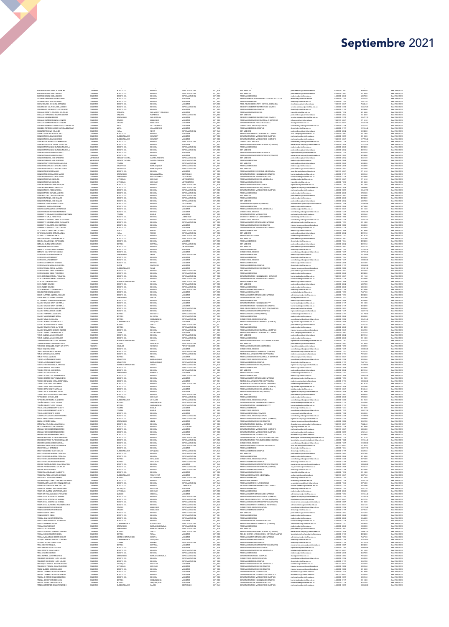| MEZ ROOMGUY DIANA ALF MADIN<br>RUIZ RODRIGUEZ URIEL ANDRES                             | COLOMBIA<br>COLOMBIA  | BOGOTA D.C<br>BOGOTA D.C                  | BOGOTA<br>BOGOTA                  | <b>ESPECIALIZACION</b><br>ESPECIALIZACION        | CAT_AUX<br>CAT ASO            | <b>ESP. MEDICAS</b><br><b>ESP. MEDICAS</b>                                            | post medicina@unimator.edu.co<br>post medicina@unimilitar.edu.c                      | 6500000-204<br>6500000 - 2042                      | 36/24030<br>2414880  | Res 2986/2021<br>Res 2986/2021 |
|----------------------------------------------------------------------------------------|-----------------------|-------------------------------------------|-----------------------------------|--------------------------------------------------|-------------------------------|---------------------------------------------------------------------------------------|--------------------------------------------------------------------------------------|----------------------------------------------------|----------------------|--------------------------------|
| RUIZ RODRIGUEZ URIEL ANDRES                                                            | COLOMBIA              | BOGOTA D.C                                | BOGOTA                            | ESPECIALIZACION                                  | CAT_ASO                       | PRECRADO MEDICINA                                                                     | medicina@unimilitar.edu.co                                                           | 6500000 - 2048                                     | 6037200              | Res 2986/2021                  |
| SAAVEDRA RAMIREZ LUIS EDUARDO<br>SAAVEDRA ROA JOSE EDUARDO                             | COLOMBIA<br>COLOMBIA  | BOGOTA D.C<br>BOGOTA D.C                  | BOGOTA<br>BOGOTA                  | MAGISTER<br>MAGISTER                             | CAT ASI<br>CAT_ASO            | PRECRADO RELACIONES INTER Y ESTUDIOS POLITICOS<br>PRECRADO DERECHO                    | relintemal@unimilitar.edu.co<br>derecho@unimilitar.edu.co                            | 6500000-1344<br>6500000 - 1244                     | 7048240<br>7647120   | Res 2986/2021<br>les 2986/2021 |
| SAENZ BOJACA JOHANNA CAROLINA                                                          | COLOMBIA              | BOGOTA D.C                                | BOGOTA                            | MAGISTER                                         | CAT_ASO                       | PREG. RELACIONES INTER Y EST. POL. DISTANCIA                                          | riepdistancia@unimilitar.edu.co                                                      | 7480333 - 6841                                     | 7244640              | Res 2986/2021                  |
| SALAMANCA GALINDO JOSÉ ALFREDO<br>SALAMANCA RODRIGUEZ LUIS EDUARDO                     | COLOMBIA<br>COLOMBIA  | BOGOTA D.C<br>BOGOTA D.C                  | BOGOTA<br>BOGOTA                  | ESPECIALIZACION<br>MAGISTER                      | CAT_AUX<br>CAT_ASO            | SECCION BIENESTAR UNIVERSITARIO CAMPUS<br>PRECRADO DERECHO(CAMPUS)                    | seccion.bienestar@unimilitar.edu.<br>derecho (cunimilitar.edu.co                     | 6500000 - 3310<br>6500000 - 3199                   | 1246752<br>4024800   | Res 2986/2021<br>Res 2986/2021 |
| SALAZAR ARRIETA AZUCENA DEL PILAR                                                      | COLOMBIA              | CAQUETA                                   | SAN VICENTE DEL CAGL              | MAGISTER                                         | CAT_ASO                       | PREGRADO INGENIERIA CIVIL                                                             | ingcivil@unimilitar.edu.co                                                           | 6500000 - 1276                                     | 3018600              | Res 2986/2021                  |
| SALAZAR HERNANDEZ MARTHA LILIANA<br>SALAZAR MORENO MOISES                              | COLOMBIA<br>COLOMBIA  | CAQUETA<br>SANTANDER                      | <b>FLORENCIA</b><br>SAN JOACUIN   | <b>ESPECIALIZACION</b><br>MAGISTER               | CAT_ASO<br>CAT ASO            | ESP. MEDICAS<br>SECCION BIENESTAR UNIVERSITARIO CAMPUS                                | post medicina@unimilitar.edu.co<br>seccion.bienestan@unimilitar.edu.c                | 6500000 - 2042<br>6500000 - 3310                   | 2414880<br>12678120  | Res 2986/2021<br>Res 2986/2021 |
| SALAZAR SUAREZ FRANCIA LEONORI                                                         | COLOMBIA              | CALDAS                                    | MANIZALES                         | MAGISTER                                         | CAT_ASO                       | PREGRADO INGENIERIA INDUSTRIAL A DISTANCIA                                            | idistancia@unimilitar.edu.co                                                         | 7480333 - 6841                                     | 2716740              | Res 2986/2021                  |
| SALAZAR SUAREZ FRANCIA LEONORA                                                         | COLOMBIA              | CALDAS                                    | MANIZALES                         | MAGISTER                                         | CAT ASO                       | DEPARTAMENTO DE FISICA - DISTANCIA                                                    | fisica@unimilitar.edu.co                                                             | 7480333 - 6841                                     | 13583700             | Res 2986/2021                  |
| SALCEDO TORRES CLAUDIA PATRICIA DEL PILAR<br>SALCEDO TORRES CLAUDIA PATRICIA DEL PILAR | COLOMBIA<br>COLOMBIA  | META<br>META                              | VILLAVICENCIO<br>VILLAVICENCIO    | MAGISTER<br>MAGISTER                             | CAT_ASO<br>CAT_ASO            | CONSULTORIO JURIDICO(CAMPUS)<br>PRECRADO DERECHO/CAMPUS)                              | consultorio.juridico@unimilitar.edu.co<br>derecho (cunimilitar.edu.co                | 6500000 - 3206<br>6500000-3199                     | 6741540<br>11260440  | Res 2986/2021<br>Res 2986/2021 |
| SALINAS PERDOMO ORLANDO                                                                | COLOMBIA              | <b>HULA</b>                               | NEIVA                             | ESPECIALIZACION                                  | CAT_AUX                       | ESP. MEDICAS                                                                          | post medicina@unimilitar.edu.co                                                      | 6500000-2042                                       | 3694030              | Res 2986/2021                  |
| SAMBO TAFUR PATRICIA DE ARCO<br>SANCHEZ CASILIMAS MAURICIO                             | COLOMBIA<br>COLOMBIA  | BOGOTA D.C<br>CUNDINAMARO                 | BOGOTA<br>GIRARDOT                | MAGISTER<br>MAGISTER                             | CAT_ASO<br>CAT_ASO            | PREGRADO ADMON DE LA SEGURIDAD CAMPUS<br>DEPARTAMENTO DE MATEMATICAS (CAMPUS)         | asso.campus@unimilitar.edu.co<br>natematicas@unimilitar.edu.c                        | 6500000 - 3093<br>6500000-3055                     | 2817360<br>1018600   | Res 2986/2021<br>Res 2986/2021 |
| SANCHEZ CASILIMAS MAURICIO                                                             | COLOMBIA              | CUNDINAMARCA                              | GIRARDOT                          | MAGISTER                                         | CAT_ASO                       | DEPARTAMENTO DE MATEMATICAS - DIST 2013                                               | matematicas@unimilitar.edu.co                                                        | 7480333 - 6841                                     | 11772540             | Res 2986/2021                  |
| SANCHEZ CHAPARRO LUIS HERNANDO<br>SANCHEZ CHOACHI JOHAN SEBASTIAN                      | COLOMBIA<br>COLOMBIA  | BOGOTA D.C.<br>BOGOTA D.C                 | BOGOTA<br>BOCOTA                  | <b>ESPECIALIZACION</b><br>MAGISTER               | CAT AUX<br>CAT_ASI            | CONSULTORIO JURIDICO<br>PREGRADO INGENIERIA MECATRONICA (CAMPUS)                      | consultorio juridico@unimilitar.edu.co<br>mecatronica campua@unimilitar.edu.co       | 6500000-1239<br>6500000 - 3009                     | 10697440<br>11221540 | Res 2986/2021<br>Res 2986/2021 |
| SANCHEZ FERNANDEZ CLAUDIA MARCELA                                                      | COLOMBIA              | BOGOTA D.C                                | BOGOTA                            | <b>ESPECIALIZACION</b>                           | CAT ASO                       | PRECRADO MEDICINA                                                                     | medicina@unimilitar.edu.co                                                           | 6500000 - 2048                                     | 4024800              | Res 2986/2021                  |
| SANCHEZ FERNANDEZ CLAUDIA MARCELA                                                      | COLOMBIA              | BOGOTA D.C                                | BOGOTA                            | ESPECIALIZACION                                  | CAT_ASO                       | ESP. MEDICAS<br>PREGRADO INGENIERIA MECATRONICA                                       | post medicina@unimilitar.edu.co                                                      | 6500000 - 2042                                     | 4829760              | Res 2986/2021                  |
| SANCHEZ GALVIS NUBIA NATHALY<br>SANCHEZ GALVIS NUBIA NATHALY                           | COLOMBIA<br>COLOMBIA  | BOGOTA D.C<br>BOGOTA D.C                  | BOGOTA<br>BOGOTA                  | MAGISTER<br>MAGISTER                             | CAT_ASO<br>CAT_ASD            | PREGRADO INGENIERIA MECATRONICA (CAMPUS)                                              | ingmecatronica@unimilitar.edu.co<br>mecatronica campua@unimilitar.edu.co             | 6500000 - 1279<br>6500000-3001                     | 9458280<br>4024800   | Res 2986/2021<br>Res 2986/2021 |
| SANCHEZ GELVEZ JOSE GREGORIO                                                           | VENEZUELA             | ESTADO TACHIRA                            | CAPITAL TACHIRA                   | <b>ESPECIALIZACION</b>                           | CAT_ASI                       | ESP. MEDICAS                                                                          | post medicina@unimilitar.edu.co                                                      | 6500000 - 2042                                     | 4451520              | Res 2986/2021                  |
| SANCHEZ GELVEZ JOSE GREGORIO<br>SANCHEZ GUTIERREZ SANDRA MILENA                        | VENEZUELA<br>COLOMBIA | ESTADO TACHINA<br><b>TOLIMA</b>           | CAPITAL TACHIRA<br>LIBANO         | ESPECIALIZACION<br><b>ESPECIALIZACION</b>        | CAT_AS<br>CAT_AUX             | PRECRADO MEDICIN<br>ESP. MEDICAS                                                      | nedicina@unimilitar.edu.co<br>post medicina@unimilitar.edu.co                        | 6500000 - 2048<br>6500000 - 2042                   | 3709600<br>3694080   | Res 2986/2021<br>Res 2986/2021 |
| SANCHEZ MARRUGO CAROLINA ISABE                                                         | COLOMBIA              | ATLANTICO                                 | BARRANOULLA                       | ESPECIALIZACION                                  | CAT ASI                       | PRECRADO MEDICINA                                                                     | medicina@unimilitar.edu.co                                                           | 6500000 - 2048                                     | 1854800              | Res 2986/2021                  |
| SANCHEZ MARRUGO CAROLINA ISABEL<br>SANCHEZ MORA FERNANDO                               | COLOMBIA<br>COLOMBIA  | ATLANTICO<br>BOGOTA D.C                   | BARRANQUILLA<br>BOGOTA            | ESPECIALIZACION<br>MAGISTER                      | CAT_ASI<br>CAT ASO            | ESP. MEDICAS<br>PREGRADO ADMON SEGURIDAD A DISTANCIA                                  | post medicina@unimilitar.edu.co<br>asso distancia@unimilitar.edu.co                  | 6500000 - 2042<br>7480333 - 6841                   | 5564400<br>2716740   | Res 2986/2021<br>Res 2986/2021 |
| SANCHEZ NOGLERA JORGE MARIO                                                            | COLOMBIA              | SANTANDER                                 | <b>BUCARAMANG</b>                 | DOCTORADO                                        | CAT_ASO                       | DEPARTAMENTO DE HUMANIDADES CAMPUS                                                    | humanidades@unimilitar.edu.co                                                        | 6500000 - 3170                                     | 5835960              | Res 2986/2021                  |
| SANCHEZ NOGUERA JORGE MARIO<br>SANCHEZ OSPINA CAROLINA                                 | COLOMBIA<br>COLOMBIA  | SANTANDER<br>ANTIOQUIA                    | BUCARAMANGA<br>MEDELLIN           | DOCTORADO<br>UNIVERSITARIO                       | CAT_ASO<br>CAT_ASO            | DEPARTAMENTO DE HUMANIDADES **<br>PREGRADO INGENIERIA CIVIL A DISTANCIA               | humanidades@unimilitar.edu.co<br><b>Indistancia@ur</b><br>imilitar.edu.co            | 6500000 - 3179<br>7480333 - 6841                   | 4024800<br>2716740   | Res 2986/2021<br>Res 2986/2021 |
| SANCHEZ OSPINA CAROLINA                                                                | COLOMBIA              | ANTIOQUIA                                 | MEDELLIN                          | <b>UNIVERSITARIO</b>                             | CAT_ASO                       | PRECRADO INCENIERIA CIVIL                                                             | inscivil@unimilitar.edu.co                                                           | 6500000 - 1276                                     | 3018600              | Res 2986/2021                  |
| SANCHEZ PINEDA DANIEL ENRIQUE                                                          | COLOMBIA              | BOGOTA D.C                                | BOGOTA                            | <b>ESPECIALIZACION</b>                           | CAT_AUX                       | PREGRADO INGENIERIA INDUSTRIA                                                         | gindustrial@unimilitar.edu.co                                                        | 6500000-1264                                       | 9312160              | Res 2986/2021                  |
| SANCHEZ REY MARIA CONSUELO<br>SANCHEZ SILVA ROCIO ANDREA                               | COLOMBIA<br>COLOMBIA  | BOGOTA D.C<br>BOGOTA D.C                  | BOGOTA<br>BOGOTA                  | <b>ESPECIALIZACION</b><br>ESPECIALIZACION        | CAT_AUX<br>CAT ASO            | PRECRADO INGENIERIA CIVIL (CAMPUS)<br>DEPARTAMENTO DE MATEMATICAS (CAMPUS)            | ingenieria.campus@unimilitar.edu.co<br>utematicas@unimilitar.edu.co                  | 6500000 - 3008<br>6500000 - 3055                   | 2308800<br>10665720  | Res 2986/2021<br>Res 2986/2021 |
| SANCHEZ TORO CARLOS ALBERTO                                                            | COLOMBIA              | BOGOTA D.C                                | BOGOTA                            | ESPECIALIZACION                                  | CAT_ASI                       | PRECRADO MEDICINA                                                                     | medicina@unimilitar.edu.co                                                           | 6500000 - 2048                                     | 3709600              | Res 2986/2021                  |
| SANCHEZ TORO CARLOS ALBERTO<br>SANCHEZ URBINA JOSE IGNACIO                             | COLOMBIA<br>COLOMBIA  | BOGOTA D.C<br>BOGOTA D.C                  | BOGOTA<br>BOGOTA                  | <b>ESPECIALIZACION</b><br><b>ESPECIALIZACION</b> | CAT ASI<br>CAT_ASO            | ESP. MEDICAS<br>PREGRADO MEDICINA                                                     | post medicina@unimilitar.edu.co<br>nedicina@unimilitar.edu.co                        | 6500000 - 2042<br>6500000 - 2048                   | 5564400<br>4024800   | Res 2986/2021<br>Res 2986/2021 |
| SANCHEZ URBINA JOSE IGNACIO                                                            | COLOMBIA              | BOGOTA D.C                                | BOGOTA<br>BOGOTA                  | ESPECIALIZACION                                  | CAT_ASO                       | ESP. MEDICAS                                                                          | post medicina@unimilitar.edu.co                                                      | 6500000 - 2042                                     | 6037200              | Res 2986/2021                  |
| SANDOVAL USME MARIA CLAUDIA<br>SANIMGUEL IBARRA CAROLINA                               | COLOMBIA<br>COLOMBIA  | BOGOTA D.C<br>BOGOTA D.C                  | BOGOTA                            | DOCTORADO<br><b>ESPECIALIZACION</b>              | CAT_ASO<br>CAT_AUX            | DEPARTAMENTO QUIMICA (CAMPUS)<br>PRECRADO MEDICINA                                    | departamento quimica@unimilitar.edu.c<br>medicina@unimilitar.edu.co                  | 6500000 - 1526<br>6500000 - 2048                   | 1760850<br>3078400   | Res 2986/2021<br>Res 2986/2021 |
| SANTOS CASTELLANOS LUZ ADRIANA                                                         | COLOMBIA              | BOGOTA D.C                                | BOGOTA                            | MAGISTER                                         | CAT_AUX                       | PREGRADO INGENIERIA CIVIL A DISTANCIA                                                 | iodistancia@unimilitar.edu.co                                                        | 7480333 - 6841                                     | 8311680              | Res 2986/2021                  |
| SANTOYO ROMERO YESID FERNANDO<br>SARMENTO BENAVIDES NORMA CONSTANZA                    | COLOMBIA<br>COLOMBIA  | BOGOTA D.C.<br><b>TOLIMA</b>              | BOGOTA<br><b>IBAGUE</b>           | MAGISTER<br>MAGISTER                             | CAT_ASI<br>CAT ASO            | CONSULTORIO JURIDICO<br>DEPARTAMENTO DE MATEMATICAS                                   | consultorio.juridico@unimilitar.edu.co<br>natematicas@unimilitar.edu.co              | 6500000 - 1239<br>6500000 - 1520                   | 12056200<br>5835960  | Res 2986/2021<br>Res 2986/2021 |
| SARMENTO CRUZ JORGE IVAN                                                               | COLOMBIA              | BOGOTA D.C                                | BOGOTA                            | LICENCIADO                                       | CAT_AUX                       | DIVISION DE BIENESTAR UNIVERSITARIO                                                   | bienestar@unimilitar.edu.co                                                          | 6500000 - 1060                                     | 9696960              | Res 2986/2021                  |
| SARMENTO MORENO JORGE ALEJANDRO                                                        | COLOMBIA<br>COLOMBIA  | BOGOTA D.C<br>BOGOTA D.C                  | BOGOTA                            | <b>ESPECIALIZACION</b>                           | CAT ASO                       | CONSULTORIO JURIDICO                                                                  | consultorio.iuridico@unimilitar.edu.cr<br>dministracion@unimilitar.edu.co            | 6500000-1239<br>6500000 - 1317                     | 14891760             | Res 2986/2021                  |
| SARMENTO MORENO JORGE ALEJANDRO<br>SARMENTO SALAZAR JOSE GERARDO                       | COLOMBIA              | BOGOTA D.C                                | BOGOTA<br>BOGOTA                  | ESPECIALIZACION<br>MAGISTER                      | CAT_ASO<br>CAT_ASO            | PREGRADO ADMINISTRACION DE EMPRESAS<br>PRECRADO INGENIERIA CIVIL (CAMPUS)             | ingenieria.campus@unimilitar.edu.co                                                  | 6500000 - 3008                                     | 2012400<br>9458280   | Res 2986/2021<br>Res 2986/2021 |
| SARMENTO SANCHEZ LUIS ALBERTO                                                          | COLOMBIA              | BOGOTA D.C                                | BOCOTA                            | MAGISTER                                         | CAT_ASO                       | DEPARTAMENTO DE HUMANIDADES CAMPUS                                                    | humanidades@unimilitar.edu.co                                                        | 6500000 - 3179                                     | 5835960              | Res 2986/2021                  |
| SATIZABAL AZUERO CARLOS ARNUL<br>SATIZABAL AZUERO CARLOS ARNU                          | COLOMBIA<br>COLOMBIA  | HULA<br><b>HULA</b>                       | RIVERA<br>RIVERA                  | <b>ESPECIALIZACION</b><br>ESPECIALIZACION        | CAT_ASO<br>CAT_ASO            | PRECRADO MEDICINA<br>ESP. MEDICAS                                                     | medicina@unimilitar.edu.co<br>post medicina@unimilitar.edu.co                        | 6500000 - 2048<br>6500000-2042                     | 3018600<br>4829760   | Res 2986/2021<br>Res 2986/2021 |
| SCARPETTA PEREZ RICARDO                                                                | COLOMBIA              | BOGOTA D.C                                | BOGOTA                            | <b>ESPECIALIZACION</b>                           | CAT_AUX                       | PRECRADO CONTADURIA                                                                   | contaduria@unimilitar.edu.co                                                         | 6500000 - 1313                                     | 8619520              | Res 2986/2021                  |
| SEGOVIA GOMEZ JAVIER MAURICIO<br>SEGURA CALVO SONIA ESPERANZA                          | COLOMBIA<br>COLOMBIA  | BOGOTA D.C<br>BOGOTA D.C                  | BOGOTA<br>BOCOTA                  | ESPECIALIZACION<br>MAGISTER                      | CAT ASO<br>CAT_ASO            | <b>ESP. MEDICAS</b><br>PRECRADO DERECHO                                               | post medicina@unimilitar.edu.co<br>derecho@unimilitar.edu.co                         | 6500000 - 2042<br>6500000 - 1244                   | 6037200<br>4024800   | Res 2986/2021<br>Res 2986/2021 |
| SENEJOA NUÑEZ NAJRO JAVIER                                                             | COLOMBIA              | BOYACA                                    | DUITAMA                           | <b>ESPECIALIZACIÓN</b>                           | CAT ASO                       | <b>ESP. MEDICAS</b>                                                                   | post medicina@unimilitar.edu.co                                                      | 6500000 - 2042                                     | 4829760              | Res 2986/2021                  |
| SERRANO BONITTO CAMILO<br>SERRATO ALVAREZ YEZID ALBERTO                                | COLOMBIA<br>COLOMBIA  | BOGOTA D.C<br>BOGOTA D.C                  | BOGOTA<br>BOGOTA                  | <b>UNIVERSITARIO</b><br>MAGISTER                 | CAT_ASI<br>CAT_ASO            | ESP. MEDICAS<br>PRECRADO DERECHO                                                      | post medicina@unimilitar.edu.co<br>derecho (čunimilitar.edu.co                       | 6500000-2042<br>6500000 - 1244                     | 4451520<br>11260440  | Res 2986/2021<br>Res 2986/2021 |
| SERRATO DIAZ CRISTIAN CAMILO                                                           | COLOMBIA              | BOGOTA D.C                                | BOGOTA                            | MAGISTER                                         | CAT_ASO                       | CONSULTORIO JURIDICO                                                                  | consultorio juridico@unimilitar.edu.c                                                | 6500000 - 1239                                     | 15707340             | Res 2986/2021                  |
| SIERRA ARIZA SANDRA PATRICIA                                                           | COLOMBIA              | SANTANDER                                 | <b>VELEZ</b>                      | <b>ESPECIALIZACION</b>                           | CAT_ASI                       | PRECRADO MEDICINA                                                                     | medicina@unimilitar.edu.co                                                           | 6500000 - 2048                                     | 15765800             | Res 2986/2021                  |
| SIERRA AVILA ROSEMBERT<br>SIERRA AVILA ROSEMBERT                                       | COLOMBIA<br>COLOMBIA  | BOGOTA D.C<br>BOGOTA D.C                  | BOGOTA<br>BOGOTA                  | MAGISTER<br>MAGISTER                             | CAT_ASD<br>CAT_ASO            | PREGRADO DERECHO<br>CONSULTORIO JURIDICO                                              | derecho@unimilitar.edu.co<br>consultorio juridico@unimilitar.edu.co                  | 6500000-1244<br>6500000 - 1239                     | 4930380<br>13080600  | Res 2986/2021<br>Res 2986/2021 |
| SIERRA CANO BRIGITH YESENYA                                                            | COLOMBIA              | BOGOTA D.C                                | BOGOTA                            | MAGISTER                                         | CAT ASO                       | PRECRADO MEDICINA                                                                     | medicina@unimilitar.edu.co                                                           | 6500000 - 2048                                     | 5031000              | Res 2986/2021                  |
| SIERRA GARCIA MAIRA ALEJANDRA<br>SIERRA PARADA RONAL JACKSON                           | COLOMBIA<br>COLOMBIA  | SUCRE<br><b>CUNDINAMARCA</b>              | SINCELEJO<br>PAIME                | MAGISTER<br>MAGISTER                             | CAT_AUX<br>CAT ASO            | PRECRADO DERECHO(CAMPUS)<br>PREGRADO INGENIERIA CIVIL(CAMPUS)                         | derecho (čunimilitar.edu.co<br>ingenieria.campus@unimilitar.edu.co                   | 6500000-3199<br>6500000 - 3008                     | 1000480<br>13986180  | Res 2986/2021<br>Res 2986/2021 |
| SIERRA SUAREZ DIEGO FERNANDO                                                           | COLOMBIA              | BOGOTA D.C.                               | BOGOTA                            | ESPECIALIZACION                                  | CAT_ASO                       | ESP. MEDICAS                                                                          | post medicina@unimilitar.edu.co                                                      | 6500000 - 2042                                     | 4829760              | Res 2986/2021                  |
| SIERRA SUAREZ DIEGO FERNANDO<br>SILVA CORONADO MARIA FERNAND                           | COLOMBIA              | BOGOTA D.C<br><b>SOGOTA D.C</b>           | BOGOTA                            | ESPECIALIZACION                                  | CAT ASO                       | PRECRADO MEDICINA<br>DEPARTAMENTO DE HUMANIDADES - DISTANCIA                          | medicina@unimilitar.edu.co                                                           | 6500000 - 2048<br>480333 - 6841                    | 4024800              | Res 2986/2021                  |
| SILVA CORONADO MARIA FERNANDA                                                          | COLOMBIA<br>COLOMBIA  | BOGOTA D.C                                | ATODOR<br>BOGOTA                  | ESPECIALIZACION<br><b>ESPECIALIZACION</b>        | CAT_ASO<br>CAT_ASO            | DEPARTAMENTO DE HUMANIDADES CAMPUS                                                    | humanidades@unimilitar.edu.co                                                        | 6500000 - 3179                                     | 1811160<br>4024800   | Res 2986/2021<br>Res 2986/2021 |
| SILVA DIAZ GRANADO LUIS                                                                | COLOMBIA              | NORTE DE SANTANDER                        | OCANA                             | ESPECIALIZACION                                  | CAT_ASI                       | PRECRADO MEDICINA                                                                     | medicina@unimilitar.edu.co                                                           | 6500000 - 2048                                     | 2782200              | Res 2986/2021                  |
| SILVA RUEDA RICARDO<br>SILVA RUEDA RICARDO                                             | COLOMBIA<br>COLOMBIA  | BOGOTA D.C.<br>BOGOTA D.C                 | BOGOTA<br>BOGOTA                  | <b>ESPECIALIZACION</b><br><b>ESPECIALIZACION</b> | CAT_ASO<br>CAT ASO            | ESP. MEDICAS<br>PRECRADO MEDICINA                                                     | post medicina@unimilitar.edu.co<br>.<br>Naskrina Staminnička radni na                | 6500000 - 2042<br>6500000 - 2048                   | 6037200<br>5031000   | Res 2986/2021<br>Res 2986/2021 |
| SOACHA PEDRAZA JAZMIN ROCIO                                                            | COLOMBIA              | BOGOTA D.C                                | BOCOTA                            | ESPECIALIZACIÓN                                  | CAT_AUX                       | PRECRADO DERECHO(CAMPUS)                                                              | derecho@unimiltar.edu.co                                                             | 6500000-3199                                       | 3078400              | Res 2986/2021                  |
| SOLANO RODRIGUEZ WILSON<br>SOLER HURTADO ANDREA JOHANNA                                | COLOMBIA<br>COLOMBIA  | BOGOTA D.C<br>BOGOTA D.C                  | BOGOTA<br>BOGOTA                  | MAGISTER<br>MAGISTER                             | CAT ASO<br>CAT_ASO            | PREGRADO CONTADURIA<br>PREGRADO ADMINISTRACION DE EMPRESAS                            | contaduria@unimilitar.edu.co<br>administracion@unimilitar.edu.co                     | 6500000 - 1313<br>6500000 - 1317                   | 7647120<br>4024800   | Res 2986/2021<br>Res 2986/2021 |
| SOLFR MANTILLA ALBA CUIOMAR                                                            | COLOMBIA              | SANTANDER                                 | SAN GIL                           | MAGISTER                                         | CAT ASO                       | DEPARTAMENTO DE FISICA                                                                | fisica@unimilitar.edu.co                                                             | 6500000 - 1523                                     | 8552700              | Res 2986/2021                  |
| OTOMAYOR TRIBIN HUGO ARMAND<br>SUAREZ CAMELO DAISY JOHANNA                             | COLOMBIA<br>COLOMBIA  | <b>BOGOTA D.C</b><br>BOGOTA D.C           | BOCOTA<br>BOGOTA                  | MAGISTER<br>MAGISTER                             | CAT_ASO<br>CAT_ASO            | REGRADO MEDICIN<br>DEPARTAMENTO DE HUMANIDADES ***                                    | humanidades@unimilitar.edu.co                                                        | 5500000 - 2048<br>6500000 - 3179                   | 055800<br>2012400    | Res 2986/2020<br>Res 2986/2021 |
| SUAREZ CAMELO DAISY JOHANNA                                                            | COLOMBIA              | BOGOTA D.C                                | BOGOTA                            | MAGISTER                                         | CAT_ASO                       | DEPARTAMENTO DE HUMANIDADES CAMPUS                                                    | humanidades@unimilitar.edu.co                                                        | 6500000-3179                                       | 4024800              | Res 2986/2021                  |
| SUAREZ DE LA HOZ CAMILO ANDRÉS<br>SUAREZ GARCIA OSCAR JAVIER                           | COLOMBIA<br>COLOMBIA  | BOGOTA D.C<br>BOGOTA D.C                  | BOGOTA<br>BOGOTA                  | <b>ESPECIALIZACION</b><br>DOCTORADO              | CAT_AUX<br>CAT ASO            | PREG. RELACIONES INTERN. Y EST. POL.(CAMPUS)<br>PREGRADO INGENIERIA MECATRONICA       | relintemal@unimilitar.edu.co<br>insmecatronica@unimilitar.edu.co                     | 6500000 - 3033<br>6500000-1279                     | 5848960<br>14891760  | Res 2986/2021<br>Res 2986/2021 |
| SUAREZ HERRERA ANA LILIANA                                                             | COLOMBIA              | BOYACA                                    | MOTANTA                           | ESPECIALIZACION                                  | CAT_ASO                       | PREGRADO CONTADURIA(CAMPUS)                                                           | contaduria@unimilitar.edu.co                                                         | 6500000-3191                                       | 12175020             | Res 2986/2021                  |
| SUAREZ NAMEN GINNA MARIA                                                               | COLOMBIA              | BOYACA                                    | EL COCUY                          | <b>ESPECIALIZACION</b>                           | CAT ASO                       | PRECRADO MEDICINA                                                                     | medicina@unimilitar.edu.co                                                           | 6500000 - 2048                                     | 8049600              | Res 2986/2021                  |
| SUAREZ NOVA OLGA LUCIA<br>SUAREZ ROBAYO HEIDI MARCELA                                  | COLOMBIA<br>COLOMBIA  | BOYACA<br><b>CUNDINAMARCA</b>             | CHIQUINQUIR<br><b>ZIPAQUIRA</b>   | ESPECIALIZACIÓN<br>MAGISTER                      | CAT_AUX<br>CAT AUX            | CONSULTORIO JURIDICO(CAMPUS)<br>PREGRADO INGENIERIA AMBIENTAL (CAMPUS)                | consultorio.juridico@unimilitar.edu.cr<br>ing.ambiental@unimilitar.edu.co            | 6500000 - 3206<br>6500000 - 3008                   | 10597440<br>7234240  | Res 2986/2021<br>Res 2986/2021 |
| SUAREZ ROMERO FABIO ALFONSI                                                            | COLOMBIA              | BOYACA                                    | TUNJA                             | ESPECIALIZACION                                  | CAT_TIT                       | ESP. MEDICAS                                                                          | ut medicina@unimilitar.edu.c                                                         | 6500000 - 2042                                     | 6736320              | Res 2986/2021                  |
| SUAREZ ROMERO FABIO ALFONSO<br>SUAREZ SAAVEDRA GERMAN ANDRES                           | COLOMBIA              | BOYACA                                    | TUNJA                             | <b>ESPECIALIZACION</b>                           | CAT_TIT                       | PRECRADO MEDICINA                                                                     | medicina@unimilitar.edu.co                                                           | 6500000 - 2048                                     | 4210200<br>8552700   | Res 2986/2021                  |
|                                                                                        |                       |                                           |                                   |                                                  |                               |                                                                                       |                                                                                      |                                                    |                      |                                |
| SUAREZ SIERRA LORENA PATRICIA                                                          | COLOMBIA<br>COLOMBIA  | BOGOTA D.C.<br><b>CESAR</b>               | BOGOTA<br>VALLEDUPAR              | ESPECIALIZACION<br>MAGISTER                      | CAT_ASO<br>CAT_ASO            | PREGRADO INGENIERIA INDUSTRIAL (CAMPUS)<br>PRECRADO ADMON DE LA SECURIDAD CAMPUS      | ngenieria.campus@unimilitar.edu.co<br>asso.campus@unimilitar.edu.co                  | 6500000 - 3245<br>6500000 - 3093                   | 6741540              | Res 2986/2021<br>Res 2986/2021 |
| TAFUR ANZOLA ALVARO AMADOR                                                             | COLOMBIA              | BOGOTA D.C.                               | BOGOTA                            | <b>ESPECIALIZACION</b>                           | CAT ASO                       | <b>ESP. MEDICAS</b>                                                                   | post medicina@unimilitar.edu.co                                                      | 6500000 - 2042                                     | 4829760              | Res 2986/2021                  |
| TAFUR ANZOLA ALVARO AMADOR<br>TAMARA RODRIGUEZ LEYDI JOHANNA                           | COLOMBIA<br>COLOMBIA  | BOGOTA D.C.<br>NORTE DE SANTANDER         | BOGOTA<br>CUCUTA                  | ESPECIALIZACIÓN<br><b>MAGISTER</b>               | CAT_ASO<br>CAT ASO            | PREGRADO MEDICINA<br>PREGRADO INGENIERIA DE TELECOMUNICACIONES                        | medicina@unimilitar.edu.co<br>instelecomunicaciones@unimilitar.edu.c                 | 6500000 - 2048<br>6500000 - 1282                   | 2012400<br>6741540   | Res 2986/2021<br>Res 2986/2021 |
| TAMAYO FONSECA SERVIO RICARDO                                                          | COLOMBIA              | BOYACA                                    | SOGAMOSO                          | ESPECIALIZACIÓN                                  | CAT_ASO                       | ESP. MEDICAS                                                                          | post medicina@unimilitar.edu.co                                                      | 6500000 - 2042                                     | 2414880              | Res 2986/2021                  |
| TARQUINO GONZALEZ JONATHAN STEVE<br>TELLO ESQUIVEL DIEGO                               | NINGUNO<br>COLOMBIA   | NINGUNO<br>BOGOTA D.C                     | NINGUNO<br>BOGOTA                 | POR ESTABLECER<br><b>AGISTER</b>                 | CAT ASI<br>CAT_ASO            | PRECRADO INCENIERIA EN MULTIMEDIA<br>CONSULTORIO JURIDICO                             | inomultimedia@unimilitar.edu.co<br>.<br>nsultorio.juridico@unimilitar.edu.c          | 6500000 - 1293<br>6500000 - 1231                   | 5100700<br>1308060   | Res 2986/2021<br>Res 2986/2021 |
| TELLO RUIZ MAURICIO ANDRES                                                             | COLOMBIA              | BOGOTA D.C                                | BOGOTA                            | <b>ESPECIALIZACION</b>                           | CAT_AUX                       | PREGRADO ADMON DE EMPRESAS (CAMPUS)                                                   | administracion@unimilitar.edu.co                                                     | 6500000 - 1317                                     | 5156320              | Res 2986/2021                  |
| TENJO MUÑOZ LUIS ALBERTO<br>TENJO TENJO ANA ELSA                                       | COLOMBIA<br>COLOMBIA  | BOGOTA D.C<br>BOYACA                      | BOCOTA<br>PESCA                   | ESPECIALIZACION<br>MAGISTER                      | CAT_AU<br>CAT_ASO             | TECNOLOGIA ATENCION PRE HOSPITALARIA<br>PRECRADO INGENIERIA INDUSTRIAL A DISTANCIA    | redicina social@unimilitar.edu.o<br>iidistancia@unimilitar.edu.co                    | 6500000-3197<br>7480333 - 6841                     | 7026880<br>5433480   | Res 2986/2021<br>Res 2986/2021 |
| TIRADO ACUÑA DANERY ELBER                                                              | COLOMBIA              | ATLANTICO                                 | BARRANOULLA                       | ESPECIALIZACION                                  | CAT ASO                       | CONSULTORIO JURIDICO/CAMPUS)                                                          | consultorio juridico@unimilitar.edu.cr                                               | 6500000 - 3206                                     | 5835960              | Res 2986/2021                  |
| TIRADO ACUÑA DANERY ELBER<br>TOBITO CUBEROS MANUEL ANTONIO                             | COLOMBIA<br>COLOMBIA  | ATLANTICO<br>NORTE DE SANTANDER           | BARRANQUILLA<br>CUCUTA            | ESPECIALIZACION<br><b>ESPECIALIZACION</b>        | CAT_ASO<br>CAT AUX            | PRECRADO DERECHO(CAMPUS)                                                              | derecho@unimilitar.edu.co<br>ingenieria.campus@unimilitar.edu.co                     | 6500000-3199<br>6500000 - 3008                     | 7647120<br>11390080  | Res 2986/2021<br>Res 2986/2021 |
| TOLEDO ARENAS JOSE DANIEL                                                              | COLOMBIA              | BOGOTA D.C.                               | BOGOTA                            | <b>ESPECIALIZACIÓN</b>                           | CAT_ASO                       | PRECRADO INGENIERIA CIVIL(CAMPUS)<br>PREGRADO MEDICINA                                | medicina@unimilitar.edu.co                                                           | 6500000 - 2048                                     | 4024800              | Res 2986/2021                  |
| TOLEDO ARENAS JOSE DANIEL                                                              | COLOMBIA              | BOGOTA D.C                                | BOGOTA                            | <b>ESPECIALIZACION</b>                           | CAT ASO                       | ESP. MEDICAS                                                                          | post medicina@unimilitar.edu.co                                                      | 6500000 - 2042                                     | 4829760              | Res 2986/2021                  |
| TORRES AGUDELO FABIOLA<br>TORRES ALONSO OSCAR FERNANDO                                 | COLOMBIA<br>COLOMBIA  | SANTANDER<br>BOGOTA D.C                   | <b>BARBOS</b><br>BOGOTA           | AGISTER<br><b>ESPECIALIZACIÓN</b>                | CAT_ASO<br>CAT_ASO            | PREGRADO CONTADURIA<br>PRECRADO MEDICINA                                              | contaduria@unimilitar.edu.co<br>medicina@unimilitar.edu.co                           | SS00000 - 1313<br>6500000 - 2048                   | 6741540<br>12074400  | Res 2986/2021<br>Res 2986/2021 |
| TORRES CASTRO FELIPE ALEJANDRO                                                         | COLOMBIA              | BOGOTA D.C                                | BOGOTA                            | MAGISTER                                         | CAT_AUX                       | PREGRADO ADMINISTRACIÓN DE EMPRESAS                                                   | dministracion@unimilitar.edu.co                                                      | 6500000 - 1317                                     | 8619520              | Res 2986/2021                  |
| TORRES GONZALEZ DIANA CONSTANZA<br>TORRES GONZALEZ GUILLERMO                           | COLOMBIA<br>COLOMBIA  | BOGOTA D.C<br>BOGOTA D.C                  | BOGOTA<br>BOGOTA                  | MAGISTER<br><b>ESPECIALIZACION</b>               | CAT_ASI<br>CAT AUX            | TECNOLOGIA ATENCION PRE HOSPITALARIA<br>TECNOLOGIA EN CONTABILIDAD Y TRIBUTARIA       | medicina social@unimilitar.edu.co<br>contaduria@unimilitar.edu.co                    | 6500000 - 3197<br>6500000-3191                     | 10386880<br>8619520  | Res 2986/2021<br>Res 2986/2021 |
| TORRES MESA ANA CONSTANZA                                                              | COLOMBIA              | BOGOTA D.C                                | BOCOTA                            | MAGISTER                                         | CAT_AUX                       | PRECRADO INGENIERIA AMBIENTAL (CAMPUS)                                                | ing.ambiental@unimilitar.edu.co                                                      | 6500000 - 3008                                     | 6541600              | Res 2986/2021                  |
| TORRES ORTIZ DENNY MARIANA<br>TORRES PALACIO ANDRES FELIPE                             | COLOMBIA<br>COLOMBIA  | BOGOTA D.C<br>BOGOTA D.C                  | BOGOTA<br>BOGOTA                  | MAGISTER<br>MAGISTER                             | CAT AUX                       | PRECRADO INCENIERIA CIVIL A DISTANCIA                                                 | iodistancia@unimilitar.edu.co                                                        | 7480333 - 6841<br>6500000 - 3008                   | 4155840              | Res 2986/2021<br>Res 2986/2021 |
| TORRES RESTREPO CARLOS GREGORIO                                                        | COLOMBIA              | BOGOTA D.C                                | BOGOTA                            | <b>ESPECIALIZACION</b>                           | CAT_ASO<br>CAT AUX            | PREGRADO INGENIERIA CIVIL (CAMPUS)<br>ESP. MEDICAS                                    | ingenieria.campus@unimilitar.edu.co<br>cost medicina@unimilitar.edu.co               | 6500000 - 2042                                     | 3018600<br>3694080   | Res 2986/2021                  |
| OVAR COCK ALVARO JOS                                                                   | COLOMBI               | ANTIOQUIA                                 | MEDELLIN                          | ESPECIALIZACION                                  | CAT_ASI                       | PREGRADO MEDICINA                                                                     | edicina@unimilitar.edu.co                                                            | 5500000-2048                                       | 3700600              | les 2986/2020                  |
| TOVAR ROJAS MILENA ELIZABETH<br>TRIVIÑO BENITEZ LEIDY VIVIANA                          | COLOMBIA<br>COLOMBIA  | <b>CUNDINAMARCA</b><br>BOYACA             | LA PALMA<br>CHIQUINQUIR           | <b>ESPECIALIZACION</b><br>ESPECIALIZACION        | CAT_AUX<br>CAT_AUX            | CONSULTORIO JURIDICO(CAMPUS)<br>DEPARTAMENTO DE HUMANIDADES CAMPUL                    | consultorio.juridico@unimilitar.edu.co<br>manidades@unimilitar.edu.co                | 6500000 - 3206<br>6500000 - 3179                   | 8619520<br>1539200   | Res 2986/2021<br>Res 2986/2021 |
| TRIVINO BENITEZ LEIDY VIVIANA                                                          | COLOMBIA              | BOYACA                                    | CHIQUINQUIRA                      | <b>ESPECIALIZACION</b>                           | CAT_AUX                       | DEPARTAMENTO DE HUMANIDADES ***                                                       | humanidades@unimilitar.edu.co                                                        | 6500000 - 3179                                     | 7234240              | Res 2986/2021                  |
| TRUJILLO GUZMAN MARTHA RUTH<br>TRUJILLO GUZMAN MARTHA RUTH                             | COLOMBIA<br>COLOMBIA  | <b>TOLIMA</b><br>TOLIMA                   | <b>IBAGUE</b><br><b>IBAGUE</b>    | MAGISTER<br>MAGISTER                             | CAT ASO<br>CAT_ASO            | PRECRADO DERECHO<br>CONSULTORIO JURIDICO                                              | derecho@unimilitar.edu.co<br>consultorio.juridico@unimilitar.edu.cr                  | 6500000-1244<br>6500000 - 1239                     | 3018600<br>1489176   | Res 2986/2021<br>Res 2986/2021 |
| TRUJILLO NAVARRETE JORGE                                                               | COLOMBIA              | BOGOTA D.C                                | BOGOTA                            | MAGISTER                                         | CAT ASO                       | PREGRADO ECONOMIA (CAMPUS)                                                            | economia@unimilitar.edu.co                                                           | 6500000 - 1300                                     | 9458280              | Res 2986/2021                  |
| TUMBAJOY SALGADO LINDA CRISTINA<br>ULLOA BRAVO INGRID CAROLINA                         | COLOMBIA<br>COLOMBIA  | BOGOTA D.C<br>BOGOTA D.C                  | BOGOTA<br>BOGOTA                  | ESPECIALIZACION<br>ESPECIALIZACION               | CAT_AUX<br>CAT AUX            | CONSULTORIO JURIDICO(CAMPUS)<br>REFORADO INCENERIA INDUSTRIAL (CAMPUS)                | consultorio.juridico@unimilitar.edu.co                                               | 6500000 - 3206<br>6500000 - 3245                   | 11390080<br>2308800  | Res 2986/2021<br>Res 2986/2021 |
| <b>HLOLH</b>                                                                           |                       |                                           | <b>VELEZ</b>                      | AACHETEL                                         | CAT ASD                       |                                                                                       |                                                                                      |                                                    | 155270               |                                |
| UMBARILA VALENCIA LILIAN PAOLA<br>URAZAN BONELLS CARLOS FELIPE                         | COLOMBIA<br>COLOMBIA  | BOGOTA D.C<br>BOGOTA D.C                  | BOGOTA<br>BOGOTA                  | MAGISTER<br>DOCTORADO                            | CAT_ASO<br>CAT_ASO            | DEPARTAMENTO DE QUIMICA - DISTANCIA<br>PRECRADO INCENIERIA CIVIL                      | departamento.quimica@unimilitar.edu.co<br>ingcivil@unimilitar.edu.co                 | 7480333 - 6841<br>6500000 - 1276                   | 7244640<br>3018600   | Res 2986/2021<br>Res 2986/2021 |
| URBINA FORERO GERMAN RICARDO                                                           | COLOMBIA              | BOGOTA D.C.                               | BOGOTA                            | MAGISTER                                         | CAT_ASO                       | DEPARTAMENTO DE MATEMATICAS - DIST 2013                                               | matematicas@unimilitar.edu.co                                                        | 7480333 - 6841                                     | 5433480              | Res 2986/2021                  |
| URBINA FORERO CERMAN RICARDO<br>URBINA FORERO GERMAN RICARDO                           | COLOMBIA<br>COLOMBIA  | BOGOTA D.C<br>BOGOTA D.C                  | BOGOTA<br>BOGOTA                  | MAGISTER<br>MAGISTER                             | CAT ASO                       | DEPARTAMENTO DE MATEMATICAS (CAMPUS)<br>DEPARTAMENTO DE MATEMATICAS                   | matematicas@unimilitar.edu.co<br>matematicas@unimilitar.edu.co                       | 6500000 - 3055<br>6500000 - 1520                   | 6741540<br>5835960   | Res 2986/2021<br>Res 2986/2021 |
| URIBE ECHEVERRY ALFREDO HERNANDO                                                       | COLOMBIA              | BOGOTA D.C                                | BOGOTA                            | <b>ESPECIALIZACION</b>                           | CAT_ASO<br>CAT ASO            | DEPARTAMENTO DE TECNOLOGIAS DEL CONOCIM                                               | tecnologias.conocimiento@unimilitar.edu.cr                                           | 6500000 - 1220                                     | 3119220              | Res 2986/2021                  |
| URIBE ECHEVERRY ALFREDO HERNANDO<br>HRIBE MENDEZ CLAHOLA PATRICIA                      | COLOMBIA<br>COLOMBIA  | BOGOTA D.C<br>BOGOTA D.C                  | BOGOTA<br>BOGOTA                  | ESPECIALIZACIÓN<br><b>ESPECIALIZACION</b>        | CAT_ASO<br>CAT AUX            | DEPARTAMENTO DE TECNOLOGIAS DEL CONOCIM<br>CONSULTORIO JURIDICO                       | tecnologias.conocimiento@unimilitar.edu.co<br>consultorio.juridico@unimilitar.edu.co | 6500000 - 1220<br>6500000 - 1239                   | 11269440<br>11390080 | Res 2986/2021<br>Res 2986/2021 |
| URIBE RESTREPO FRANCISCO FABIAN                                                        | COLOMBIA              | BOGOTA D.C                                | BOGOTA                            | ESPECIALIZACION                                  | CAT_AUX                       | PREGRADO ADMON SEGURIDAD A DISTANCIA                                                  | asso distancia@unimilitar.edu.co                                                     | 7480333 - 6841                                     | 7619040              | Res 2986/2021                  |
| URIBE VARGAS HERNANDO                                                                  | COLOMBIA              | BOGOTA D.C.                               | BOGOTA                            | MAGISTER                                         | CAT_ASO                       | PREGRADO DERECHO                                                                      | derecho (cunimilitar.edu.co                                                          | 6500000 - 1244                                     | 14891760             | Res 2986/2021                  |
| URRUTIA RAMIREZ JUAN CARLOS<br>USCATEGUI RUIZ ADRIANA CATALINA                         | COLOMBIA<br>COLOMBIA  | <b>CUNDINAMARC</b><br>BOGOTA D.C.         | ZIPAQUIRA<br>BOGOTA               | ESPECIALIZACION<br><b>ESPECIALIZACION</b>        | CAT_AUX<br>CAT_ASO            | PREGRADO DERECHO(CAMPUS)<br>ESP. MEDICAS                                              | derecho@unimilitar.edu.co<br>post medicina@unimilitar.edu.co                         | 6500000-3199<br>6500000 - 2042                     | 5848960<br>6037200   | Res 2986/2021<br>Res 2986/2021 |
| USCATEGUI RUIZ ADRIANA CATALINA                                                        | COLOMBIA              | BOGOTA D.C.                               | BOGOTA                            | ESPECIALIZACION                                  | CAT ASO                       | PRECRADO MEDICINA                                                                     | medicina@unimilitar.edu.co                                                           | 6500000 - 2048                                     | 3018600              | Res 2986/2021                  |
| USCATEGUI SANCHEZ EDSON DAVID<br>USCATEGUI SANCHEZ EDSON DAVID                         | COLOMBIA<br>COLOMBIA  | BOYACA<br>BOYACA                          | SOGAMOSO<br>SOGAMOSO              | ESPECIALIZACION<br>FREEDLA (ZACION               | CAT_AUX<br>CAT AUX            | CONSULTORIO JURIDICO(CAMPUS)<br>PREGRADO DERECHO/CAMPUS)                              | consultorio.juridico@unimilitar.edu.cr<br>derecho (tunimilitar.edu.co                | 6500000 - 3206<br>6500000-3199                     | 3078400<br>5848960   | Res 2986/2021<br>Res 2986/2021 |
| USECHE CASTELBLANCO JUAN SEBASTIAN                                                     | COLOMBIA              | BOGOTA D.C                                | BOGOTA                            | MAGISTER                                         | CAT_AUX                       | PRECRADO INGENIERIA MECATRONICA (CAMPUS)                                              | ecatronica campua@unimilitar.edu.co                                                  | 6500000 - 3009                                     | 1000480              | Res 2986/2021                  |
| USECHE PATIÑO ANDREA DEL PILAR<br>USECHE RICO CATALINA                                 | COLOMBIA<br>COLOMBIA  | BOGOTA D.C<br>BOGOTA D.C                  | BOGOTA<br>BOGOTA                  | <b>ESPECIALIZACION</b><br>ESPECIALIZACION        | CAT AUX                       | PREGRADO INGENIERIA BIOMEDICA (CAMPUS)                                                | ing biomedica@unimilitar.edu.co<br>echo@unimilitar.edu.co                            | 6500000 - 3008<br>6500000-3199                     | 7234240<br>3078400   | Res 2986/2021<br>Res 2986/2021 |
| VALBUENA LEGUIZAMO HUMBERTO                                                            | COLOMBIA              | BOGOTA D.C                                | BOGOTA                            | MAGISTER                                         | CAT_AUX<br>CAT_ASO            | PRECRADO INCENIERIA CIVIL                                                             | inscivil@unimilitar.edu.co                                                           | 6500000 - 1276                                     | 2012400              | Res 2986/2021                  |
| VALBUENA PEÑA LORENZO ALFONSO<br>VALCARCEL NOVA LUIS ALFREDO                           | COLOMBIA<br>COLOMBIA  | CUNDINAMARC<br>BOYACA                     | FACATATIVA<br>SATIVANORTE         | MAGISTER<br><b>ESPECIALIZACION</b>               | CAT_ASI<br>CAT_ASI            | PREGRADO CONTADURIA A DISTANCIA<br>PRECRADO DERECHO                                   | cpdistancia@unimilitar.edu.co<br>derecho (cunimilitar.edu.co                         | 7480333 - 6841<br>6500000 - 1244                   | 5007960<br>8717560   | Res 2986/2021<br>Res 2986/2021 |
| VALDERLANDUEZ PRIETO FEDERICO ALBERTO                                                  | COLOMBIA              | BOGOTA D.C.                               | BOGOTA                            | MAGISTER                                         | CAT ASO                       | PRECRADO ECONOMIA                                                                     | ia@unimilitar.edu.co                                                                 | 6500000 - 1318                                     | 14891760             | Res 2986/2021                  |
| VALDERRAMA SANCHEZ HERNAN ANTONIO<br>VALENCIA RARRERA FIVAIN ANCIZAR                   | COLOMBIA<br>COLOMBIA  | BOGOTA D.C<br>BOGOTA D.C                  | BOGOTA<br>BOGOTA                  | ESPECIALIZACION<br>LICENCIADO                    | CAT_AUX<br>CAT AUX            | PREGRADO ADMON DE LA SEGURIDAD<br>SECCION BIENESTAR UNIVERSITARIO CAMPUS              | seguridad integral@unimilitar.edu.co<br>service hieraster@mimilitar.edu.co           | 6500000 - 1346<br>6500000 - 3310                   | 3078400<br>6926400   | Res 2986/2021<br>Res 2986/2021 |
| VALENCIA JIMENEZ WALTER GERARDO                                                        | COLOMBIA              | ANTIOQUIA                                 | MEDELLIN                          | MAGISTER                                         | CAT_ASO                       | PREGRADO DERECHO                                                                      | derecho@unimilitar.edu.co                                                            | 6500000 - 1244                                     | 7647120              | Res 2986/2021                  |
| VALENCIA JIMENEZ WALTER GERARDO                                                        | COLOMBIA              | ANTIQOUIA                                 | MEDELLIN                          | MAGISTER                                         | CAT ASO                       | PRECRADO MEDICINA                                                                     | medicina@unimilitar.edu.co                                                           | 6500000 - 2048                                     | 1006200              | Res 2986/2021                  |
| VALENCIA POSADA CARLOS FERNAND<br>VALENZUELA ACOSTA LUZ ANGELA                         | COLOMBIA<br>COLOMBIA  | BOGOTA D.C                                | ARMENI<br>BOGOTA                  | MAGISTER<br><b>ESPECIALIZACION</b>               | CAT_ASO<br>CAT_ASO            | <b>PREGRADO ADMINISTRACIÓN DE EMPRESAS</b><br>PRECRADO INGENIERIA INDUSTRIAL (CAMPUS) | Iministracion@unimilitar.edu.co<br>ingenieria.campus@unimilitar.edu.co               | 6500000 - 1317<br>6500000 - 3245                   | 1269440<br>11260440  | Res 2986/2021<br>Res 2986/2021 |
| VALENZUELA ACOSTA LUZ ANGELA                                                           | COLOMBIA              | BOGOTA D.C                                | <b>BOGOTA</b>                     | ESPECIALIZACIÓN                                  | CAT_ASO                       | PREG. RELACIONES INTER Y EST. POL. DISTANCIA                                          | iepdistancia@unimilitar.edu.co                                                       | 480333 - 6841                                      | 3622320              | Res 2986/2021                  |
| VALENZUELA ACOSTA LUZ ANGELA<br>VALENZUELA GUTIERREZ RAMON RICARDO                     | COLOMBIA<br>COLOMPIA  | BOGOTA D.C<br>POGOTA D.C.                 | BOGOTA<br>BOGOTA                  | <b>ESPECIALIZACION</b>                           | CAT_ASO                       | PRECRADO INGENIERIA MECATRONICA (CAMPUS)<br>PREGRADO ADMON DE EMPRESAS A DISTANCIA    | mecatronica.campus@unimilitar.edu.co                                                 | 6500000 - 3009                                     | 3018600<br>5541120   | Res 2986/2021                  |
| VANEGAS MONTOYA BERNARDO                                                               | COLOMBIA              | CALDAS                                    | MANIZALES                         | ESPECIALIZACIÓN                                  | CAT_AUX<br>CAT_ASI            | CONSULTORIO JURIDICO(CAMPUS)                                                          | admon.distancia@unimilitar.edu.co<br>consultorio.juridico@unimilitar.edu.co          | 7480333 - 6841<br>6500000 - 3206                   | 1122154              | Res 2986/2021<br>Res 2986/2021 |
| VANEGAS MONTOYA BERNARDO                                                               | COLOMBIA              | CALDAS                                    | MANIZALES                         | <b>ESPECIALIZACION</b><br>ESPECIALIZACIÓN        | CAT ASI                       | PRECRADO DERECHO/CAMPUS)                                                              | derecho@unimilitar.edu.co                                                            | 6500000-3199                                       | 5378920              | Res 2986/2021                  |
| VANEGAS SILVA DIEGO<br>VANEGAS SILVA DIEGO                                             | COLOMBIA<br>COLOMBIA  | BOGOTA D.C<br>BOGOTA D.C                  | BOGOTA<br>BOGOTA                  | <b>ESPECIALIZACION</b>                           | CAT_ASI<br>CAT ASI            | ESP. MEDICAS<br>PRECRADO MEDICINA                                                     | post medicina@unimilitar.edu.co<br>medicina@unimilitar.edu.co                        | 6500000 - 2042<br>6500000 - 2048                   | 2225760<br>1854800   | Res 2986/2021<br>Res 2986/2021 |
| VARELA DIAZ MARIA MARGARITA                                                            | COLOMBIA              | <b>SOGOTA D.C</b>                         | BOCOTA                            | ESPECIALIZACION                                  | CAT_ASI                       | PRECRADO MEDICINA                                                                     | nedicina@unimilitar.edu.co                                                           | 500000-204                                         | 5564400              | Res 2986/2021                  |
| VARGAS AYALA MARTHA JEANNETTE<br>VARGAS BARRERA RAFAEL                                 | COLOMBIA<br>COLOMBIA  | BOGOTA D.C<br><b>CENDINAMARCA</b>         | BOGOTA<br><b>FUSAGASUGA</b>       | MAGISTER<br>ESPECIALIZACIÓN                      | CAT_ASO<br>CAT_AUX            | DEPARTAMENTO DE HUMANIDADES ****<br>PREGRADO ADMON DE EMPRESAS (CAMPUS)               | humanidades@unimilitar.edu.co<br>administracion@unimilitar.edu.co                    | 6500000 - 3179<br>6500000-1317                     | 7647120<br>4463680   | Res 2986/2021<br>Res 2986/2021 |
| VARGAS DIAZ ADRIANA                                                                    | COLOMBIA              | SANTANDER                                 | BARRANCABERMEJA                   | <b>ESPECIALIZACION</b>                           | CAT_AUX                       | PREGRADO MEDICINA                                                                     | medicina@unimilitar.edu.co                                                           | 6500000 - 2048                                     | 1539200              | Res 2986/2021                  |
| VARGAS DIAZ ADRIANA<br>VARGAS FONSECA GERMAN LEANDRO                                   | COLOMPIA<br>COLOMBIA  | SANTANDER<br>BOYACA                       | BARRANCABERME.JA<br>TUNJA         | ESPECIALIZACIÓN                                  |                               | ESP. MEDICAS<br>PREGRADO INGENIERIA MECATRONICA (CAMPUS)                              | post medicina@unimilitar.edu.co<br>mecatronica.campus@unimilitar.edu.co              | 6500000 - 2042<br>6500000 - 3009                   | 3694080<br>13986180  | Res 2986/2021<br>Res 2986/2021 |
| VARGAS MORA MARTHA ISABEL                                                              | COLOMBIA              | BOYACA                                    | <b>TUNJA</b>                      | MAGISTER                                         | CAT_AUX<br>CAT_ASO<br>CAT ASO | TEC. EN GESTION Y PRODUCCION HORTICOLA CAMPUS                                         | tecnologia.horticultura@unimilitar.edu.co                                            | 6500000-3183                                       | 4024800              | Res 2986/2021                  |
| VARGAS VILLAMIZAR OSCAR HERNA<br>VASQUEZ RANGEL MARTHA CONSUELO                        | COLOMBIA<br>COLOMBIA  | NORTE DE SANTANDER<br><b>CUNDINAMARCA</b> | <b>CUCUTA</b><br><b>ZIPAQUIRA</b> | MAGISTER<br>MAGISTER                             | CAT_ASO<br>CAT ASO            | PREGRADO ADMINISTRACIÓN DE EMPRESAS<br>PRECRADO DERECHO/CAMPUS)                       | administracion@unimilitar.edu.co<br>derecho (cunimilitar edu co                      | 6500000 - 1317<br>6500000-3199                     | 7647120<br>10363860  | Res 2986/2021<br>Res 2986/2021 |
| ASQUEZ ROJAS CAMPO ELIAS                                                               | COLOMBIA              | <b>FOLUMA</b>                             | ESPINAL                           | ESPECIALIZACIÓN                                  | CAT_ASO                       | PREGRADO DERECHO(CAMPUS)                                                              | derecho@unimilitar.edu.co                                                            | 5500000 - 3199                                     | 1670292              | Res 2986/2021                  |
| VEGA HECTOR MANUEL                                                                     | COLOMBIA<br>COLOMBIA  | BOYACA<br>BOGOTA D.C                      | DUITAMA<br>BOGOTA                 | MAGISTER<br>MAGISTER                             | CAT_ASO                       | PREGRADO INGENIERIA MECATRONICA (CAMPUS)<br>PREGRADO INGENIERIA INDUSTRIAL            | mecatronica.campus@unimilitar.edu.co                                                 | 6500000 - 3009<br>6500000 - 1264                   | 4024800<br>10004800  | Res 2986/2021                  |
| VEGA ANGULO HUGO ESTEBAN<br>VEGA APONTE JUAN CAMILO                                    | COLOMBIA              | BOGOTA D.C.                               | BOGOTA                            | <b>ESPECIALIZACION</b>                           | CAT_AUX<br>CAT_AUX            | PREGRADO INGENIERIA CIVIL A DISTANCIA                                                 | ingindustrial@unimilitar.edu.co<br>iodistancia@unimilitar.edu.co                     | 7480333 - 6841                                     | 8311680              | Res 2986/2021<br>Res 2986/2021 |
| VEGA CHAVES RICARDO                                                                    | COLOMBIA              | BOGOTA D.C                                | BOGOTA                            | ESPECIALIZACIÓN                                  |                               | PREGRADO MEDICINA                                                                     | medicina@unimilitar.edu.co                                                           | 6500000 - 2048                                     | 4637000              | Res 2986/2021                  |
| VEGA TORRES JAVIER MAURICIO<br>VELANDIA RODRIGUEZ HUGO NELSON                          | COLOMBIA<br>COLOMBIA  | SANTANDER<br>BOGOTA D.C.                  | BARRANCABERMEJA<br>BOGOTA         | ESPECIALIZACION<br><b>ESPECIALIZACION</b>        | CAT_ASI<br>CAT_AUX<br>CAT ASO | DEPARTAMENTO FISICA (CAMPUS)<br>CONSULTORIO JURIDICO/CAMPUS)                          | fisica@unimilitar.edu.co<br>consultorio.iuridico@unimilitar.edu.cr                   | 6500000 - 3053<br>6500000 - 3206                   | 7926880<br>9458280   | Res 2986/2021<br>Res 2986/2021 |
| VELANDIA RODRIGUEZ HUGO NELSON                                                         | COLOMBIA              | BOGOTA D.C                                | BOGOTA                            | ESPECIALIZACION                                  | CAT_ASO                       | PREGRADO DERECHO(CAMPUS)                                                              | derecho@unimilitar.edu.co                                                            | 6500000-3199                                       | 8552700              | Res 2986/2021                  |
| VELASQUEZ POSADA JUAN FRANCISCO<br>VELASQUEZ POSADA JUAN FRANCISCI                     | COLOMBIA<br>COLOMBIA  | ANTIQOUIA<br><b>ANTIQQUIA</b>             | MEDELLIN<br>MEDELLIN              | MAGISTER<br>MACISTER                             | CAT ASO                       | PREGRADO INGENIERIA CIVIL A DISTANCIA<br>PREGRADO INGENIERIA CIVILICAMPUSI            | iodistancia@unimilitar.edu.co                                                        | 7480333 - 6841<br>6500000-3008                     | 5433480<br>5835960   | Res 2986/2021<br>Res 2986/2021 |
| VELEZ MUNERA JORGE IGNACIO                                                             | COLOMBIA              | BOGOTA D.C                                | BOGOTA                            | MAGISTER                                         | CAT_ASO<br>CAT_ASO            | PREGRADO INGENIERIA CIVIL(CAMPUS)                                                     | ingenieria.campus@unimilitar.edu.co<br>ingenieria.campus@unimilitar.edu.co           | 6500000 - 3008                                     | 3018600              | Res 2986/2021                  |
| VELOSA CHAMUCERO LUIS EDUARDO                                                          | COLOMBIA              | BOGOTA D.C                                | BOGOTA                            | MAGISTER                                         | CAT_ASO                       | DEPARTAMENTO DE MATEMATICAS                                                           | tematicas@unimilitar.edu.co                                                          | 6500000 - 1520                                     | 3018600              | Res 2986/2021                  |
| VELOSA CHAMUCERO LUIS EDUARDO<br>VELOSA CHAMUCERO LUIS EDUARDO                         | COLOMBIA<br>COLOMBIA  | BOGOTA D.C.<br>BOGOTA D.C                 | BOGOTA<br>BOCOTA                  | MAGISTER<br>MAGISTER                             | CAT_ASO                       | DEPARTAMENTO DE MATEMATICAS - DIST 2013<br>DEPARTAMENTO DE MATEMATICAS (CAMPUS        | matematicas@unimilitar.edu.co<br>natematicas@unimilitar.edu.o                        | 7480333 - 6841                                     | 5433480<br>5835960   | Res 2986/2021<br>Res 2986/2021 |
| VELOZA SERRATO MAGDA LUCIA<br>VELOZA SERRATO MAGDA LUCIA                               | COLOMBIA<br>COLOMBIA  | BOYACA<br>BOYACA                          | CHIQUINQUIR<br>CHIQUINQUIRA       | MAGISTER<br>MAGISTER                             | CAT_ASO<br>CAT_ASO<br>CAT ASO | DEPARTAMENTO DE HUMANIDADES CAMPUS<br>DEPARTAMENTO DE HUMANIDADES ****                | humanidades@unimilitar.edu.co<br>humanidades@unimilitar.edu.co                       | 6500000 - 3055<br>6500000 - 3179<br>6500000 - 3179 | 2012400<br>9458280   | Res 2986/2021<br>Res 2986/2021 |